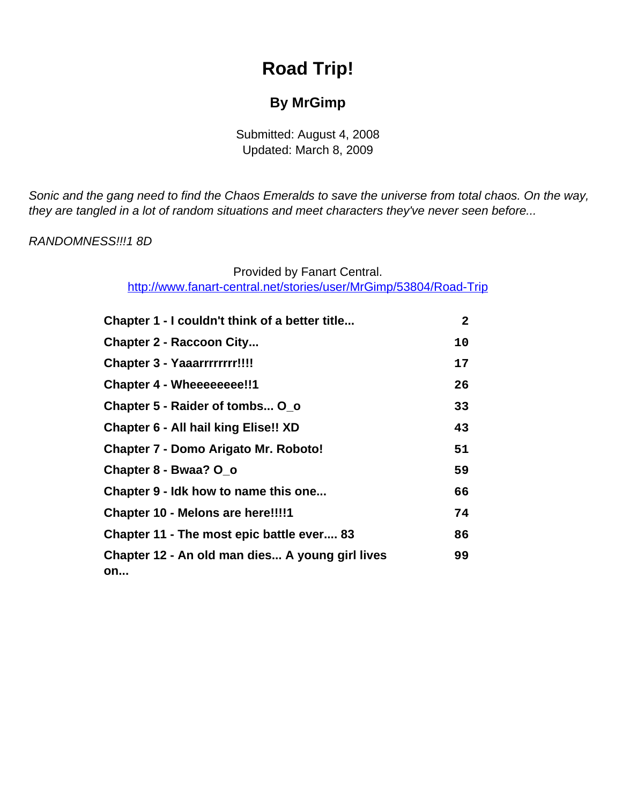# **Road Trip!**

## **By MrGimp**

Submitted: August 4, 2008 Updated: March 8, 2009

<span id="page-0-0"></span>Sonic and the gang need to find the Chaos Emeralds to save the universe from total chaos. On the way, they are tangled in a lot of random situations and meet characters they've never seen before...

#### RANDOMNESS!!!1 8D

## Provided by Fanart Central.

[http://www.fanart-central.net/stories/user/MrGimp/53804/Road-Trip](#page-0-0)

| Chapter 1 - I couldn't think of a better title        | $\mathbf{2}$ |
|-------------------------------------------------------|--------------|
| <b>Chapter 2 - Raccoon City</b>                       | 10           |
| <b>Chapter 3 - Yaaarrrrrrrrr!!!!</b>                  | 17           |
| <b>Chapter 4 - Wheeeeeeee!!1</b>                      | 26           |
| Chapter 5 - Raider of tombs O o                       | 33           |
| <b>Chapter 6 - All hail king Elise!! XD</b>           | 43           |
| <b>Chapter 7 - Domo Arigato Mr. Roboto!</b>           | 51           |
| Chapter 8 - Bwaa? O_o                                 | 59           |
| Chapter 9 - Idk how to name this one                  | 66           |
| Chapter 10 - Melons are here!!!!                      | 74           |
| Chapter 11 - The most epic battle ever 83             | 86           |
| Chapter 12 - An old man dies A young girl lives<br>on | 99           |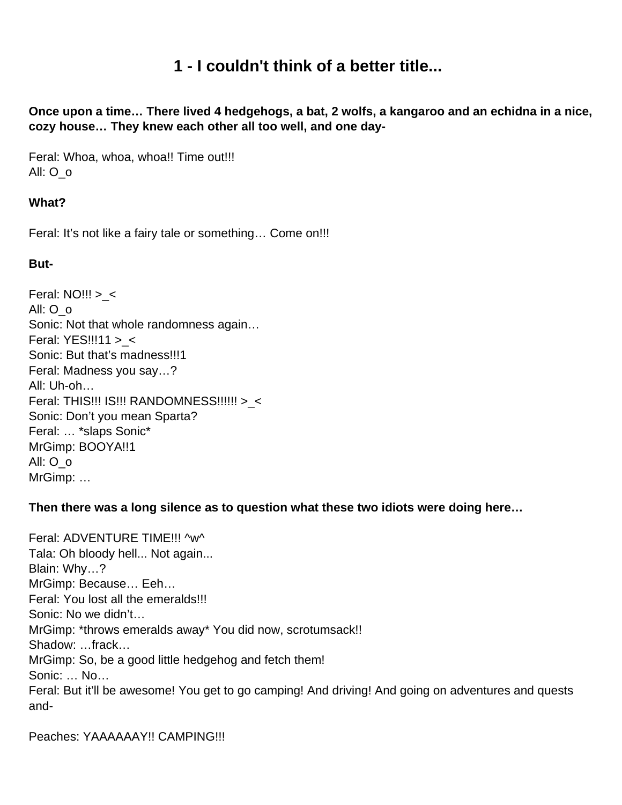## **1 - I couldn't think of a better title...**

<span id="page-1-0"></span>**Once upon a time… There lived 4 hedgehogs, a bat, 2 wolfs, a kangaroo and an echidna in a nice, cozy house… They knew each other all too well, and one day-**

Feral: Whoa, whoa, whoa!! Time out!!! All: O\_o

## **What?**

Feral: It's not like a fairy tale or something… Come on!!!

#### **But-**

Feral: NO!!! >\_< All: O\_o Sonic: Not that whole randomness again… Feral: YES!!!11 >\_< Sonic: But that's madness!!!1 Feral: Madness you say…? All: Uh-oh… Feral: THIS!!! IS!!! RANDOMNESS!!!!!! >\_< Sonic: Don't you mean Sparta? Feral: … \*slaps Sonic\* MrGimp: BOOYA!!1 All: O\_o MrGimp: …

**Then there was a long silence as to question what these two idiots were doing here…** 

Feral: ADVENTURE TIME!!! ^w^ Tala: Oh bloody hell... Not again... Blain: Why…? MrGimp: Because… Eeh… Feral: You lost all the emeralds!!! Sonic: No we didn't… MrGimp: \*throws emeralds away\* You did now, scrotumsack!! Shadow: …frack… MrGimp: So, be a good little hedgehog and fetch them! Sonic: … No… Feral: But it'll be awesome! You get to go camping! And driving! And going on adventures and quests and-

Peaches: YAAAAAAY!! CAMPING!!!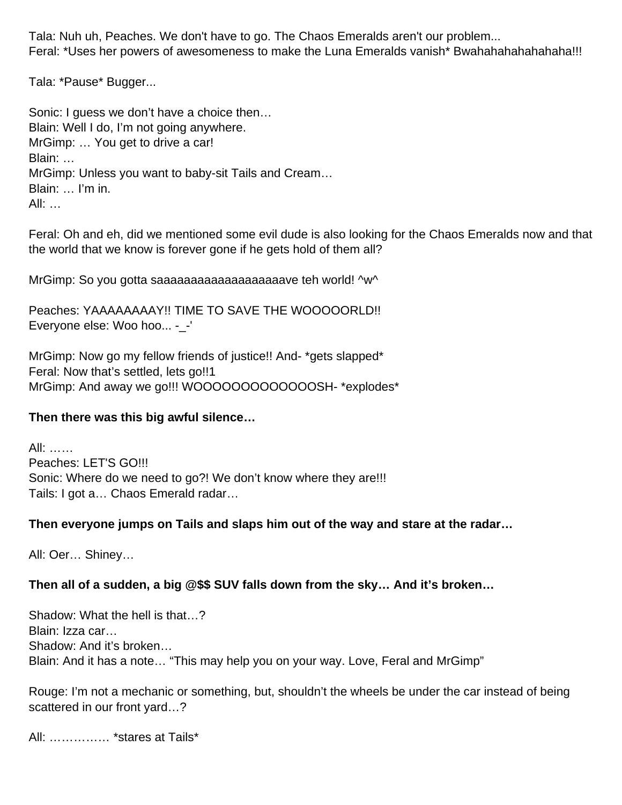Tala: Nuh uh, Peaches. We don't have to go. The Chaos Emeralds aren't our problem... Feral: \*Uses her powers of awesomeness to make the Luna Emeralds vanish\* Bwahahahahahahaha!!!

Tala: \*Pause\* Bugger...

Sonic: I guess we don't have a choice then… Blain: Well I do, I'm not going anywhere. MrGimp: … You get to drive a car! Blain: … MrGimp: Unless you want to baby-sit Tails and Cream… Blain: … I'm in. All:  $\ldots$ 

Feral: Oh and eh, did we mentioned some evil dude is also looking for the Chaos Emeralds now and that the world that we know is forever gone if he gets hold of them all?

MrGimp: So you gotta saaaaaaaaaaaaaaaaaaaave teh world! ^w^

Peaches: YAAAAAAAAY!! TIME TO SAVE THE WOOOOORLD!! Everyone else: Woo hoo... -\_-'

MrGimp: Now go my fellow friends of justice!! And- \*gets slapped\* Feral: Now that's settled, lets go!!1 MrGimp: And away we go!!! WOOOOOOOOOOOOOSH- \*explodes\*

#### **Then there was this big awful silence…**

All: …… Peaches: LET'S GO!!! Sonic: Where do we need to go?! We don't know where they are!!! Tails: I got a… Chaos Emerald radar…

#### **Then everyone jumps on Tails and slaps him out of the way and stare at the radar…**

All: Oer… Shiney…

#### **Then all of a sudden, a big @\$\$ SUV falls down from the sky… And it's broken…**

Shadow: What the hell is that…? Blain: Izza car… Shadow: And it's broken… Blain: And it has a note… "This may help you on your way. Love, Feral and MrGimp"

Rouge: I'm not a mechanic or something, but, shouldn't the wheels be under the car instead of being scattered in our front yard…?

All: …………… \*stares at Tails\*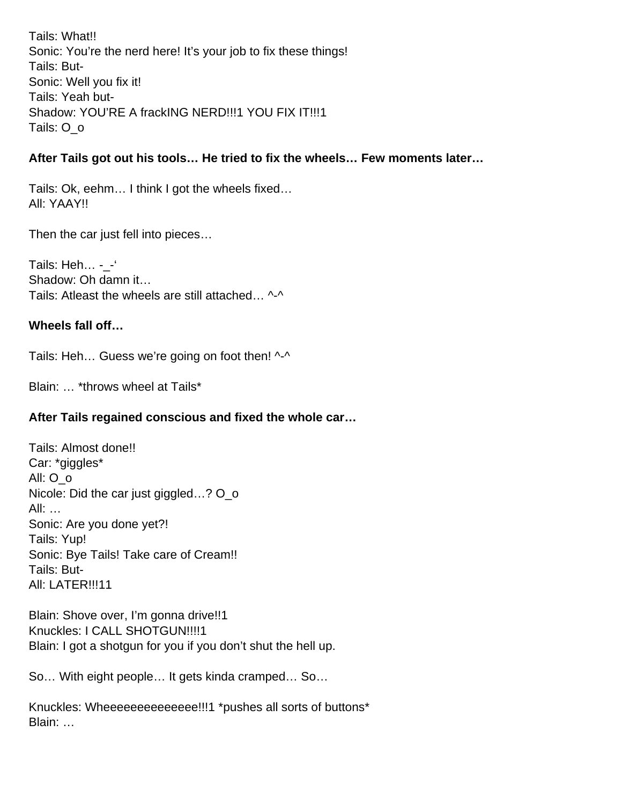Tails: What!! Sonic: You're the nerd here! It's your job to fix these things! Tails: But-Sonic: Well you fix it! Tails: Yeah but-Shadow: YOU'RE A frackING NERD!!!1 YOU FIX IT!!!1 Tails: O\_o

#### **After Tails got out his tools… He tried to fix the wheels… Few moments later…**

Tails: Ok, eehm… I think I got the wheels fixed… All: YAAY!!

Then the car just fell into pieces…

Tails: Heh... - -' Shadow: Oh damn it… Tails: Atleast the wheels are still attached... ^-^

#### **Wheels fall off…**

Tails: Heh... Guess we're going on foot then! ^-^

Blain: … \*throws wheel at Tails\*

#### **After Tails regained conscious and fixed the whole car…**

Tails: Almost done!! Car: \*giggles\* All: O\_o Nicole: Did the car just giggled...? O o All: … Sonic: Are you done yet?! Tails: Yup! Sonic: Bye Tails! Take care of Cream!! Tails: But-All: LATER!!!11

Blain: Shove over, I'm gonna drive!!1 Knuckles: I CALL SHOTGUN!!!!1 Blain: I got a shotgun for you if you don't shut the hell up.

So… With eight people… It gets kinda cramped… So…

Knuckles: Wheeeeeeeeeeeeee!!!1 \*pushes all sorts of buttons\* Blain: …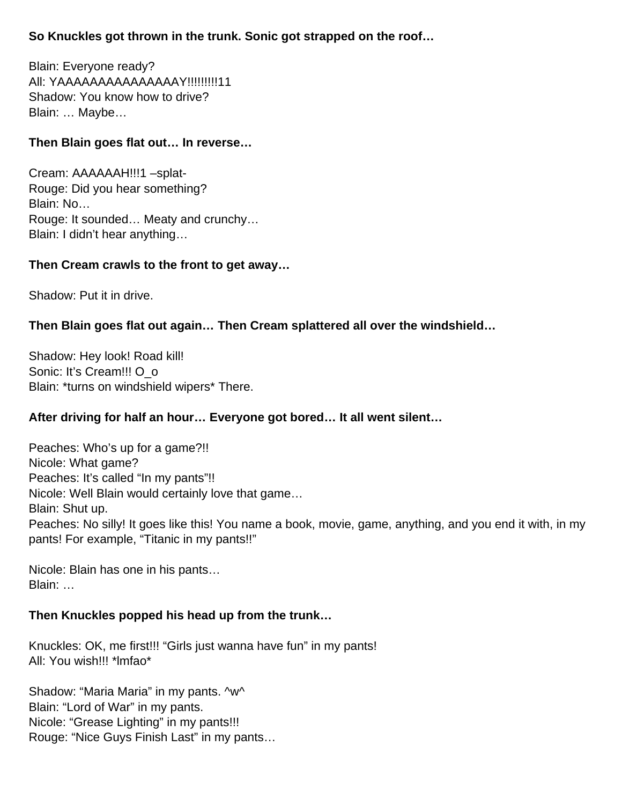## **So Knuckles got thrown in the trunk. Sonic got strapped on the roof…**

Blain: Everyone ready? All: YAAAAAAAAAAAAAAAY!!!!!!!!!11 Shadow: You know how to drive? Blain: … Maybe…

## **Then Blain goes flat out… In reverse…**

Cream: AAAAAAH!!!1 –splat-Rouge: Did you hear something? Blain: No… Rouge: It sounded… Meaty and crunchy… Blain: I didn't hear anything…

#### **Then Cream crawls to the front to get away…**

Shadow: Put it in drive.

#### **Then Blain goes flat out again… Then Cream splattered all over the windshield…**

Shadow: Hey look! Road kill! Sonic: It's Cream!!! O\_o Blain: \*turns on windshield wipers\* There.

#### **After driving for half an hour… Everyone got bored… It all went silent…**

Peaches: Who's up for a game?!! Nicole: What game? Peaches: It's called "In my pants"!! Nicole: Well Blain would certainly love that game… Blain: Shut up. Peaches: No silly! It goes like this! You name a book, movie, game, anything, and you end it with, in my pants! For example, "Titanic in my pants!!"

Nicole: Blain has one in his pants… Blain: …

#### **Then Knuckles popped his head up from the trunk…**

Knuckles: OK, me first!!! "Girls just wanna have fun" in my pants! All: You wish!!! \*lmfao\*

Shadow: "Maria Maria" in my pants. ^w^ Blain: "Lord of War" in my pants. Nicole: "Grease Lighting" in my pants!!! Rouge: "Nice Guys Finish Last" in my pants…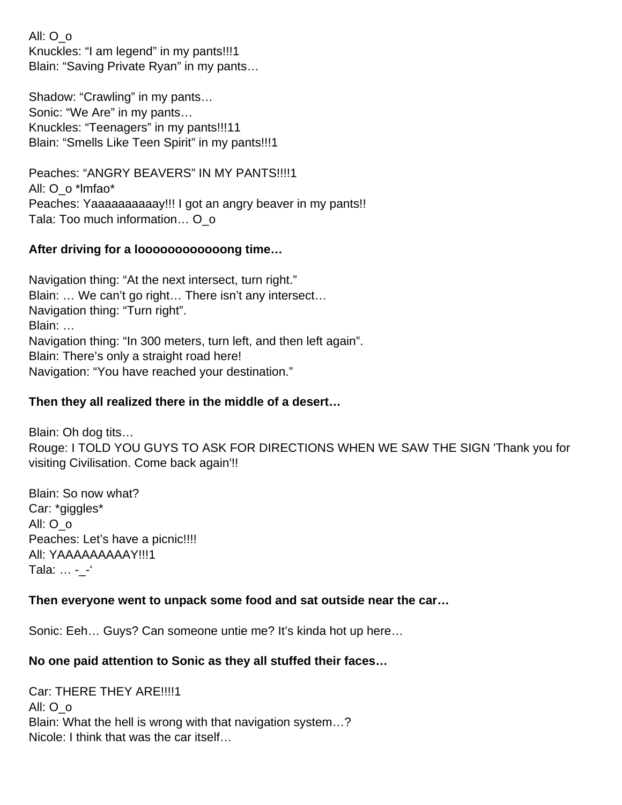All: O\_o Knuckles: "I am legend" in my pants!!!1 Blain: "Saving Private Ryan" in my pants…

Shadow: "Crawling" in my pants… Sonic: "We Are" in my pants… Knuckles: "Teenagers" in my pants!!!11 Blain: "Smells Like Teen Spirit" in my pants!!!1

Peaches: "ANGRY BEAVERS" IN MY PANTS!!!!1 All: O\_o \*lmfao\* Peaches: Yaaaaaaaaaay!!! I got an angry beaver in my pants!! Tala: Too much information... O o

#### **After driving for a loooooooooooong time…**

Navigation thing: "At the next intersect, turn right." Blain: … We can't go right… There isn't any intersect… Navigation thing: "Turn right". Blain: … Navigation thing: "In 300 meters, turn left, and then left again". Blain: There's only a straight road here! Navigation: "You have reached your destination."

#### **Then they all realized there in the middle of a desert…**

Blain: Oh dog tits… Rouge: I TOLD YOU GUYS TO ASK FOR DIRECTIONS WHEN WE SAW THE SIGN 'Thank you for visiting Civilisation. Come back again'!!

Blain: So now what? Car: \*giggles\* All: O\_o Peaches: Let's have a picnic!!!! All: YAAAAAAAAAY!!!1 Tala: ... - - '

#### **Then everyone went to unpack some food and sat outside near the car…**

Sonic: Eeh… Guys? Can someone untie me? It's kinda hot up here…

#### **No one paid attention to Sonic as they all stuffed their faces…**

Car: THERE THEY ARE!!!!1 All: O\_o Blain: What the hell is wrong with that navigation system…? Nicole: I think that was the car itself…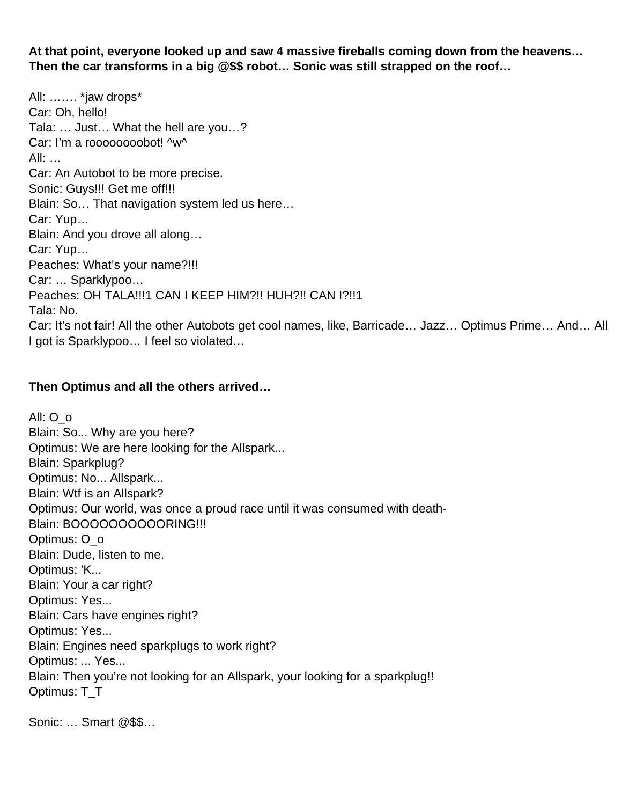**At that point, everyone looked up and saw 4 massive fireballs coming down from the heavens… Then the car transforms in a big @\$\$ robot… Sonic was still strapped on the roof…** 

All: ……. \*jaw drops\* Car: Oh, hello! Tala: … Just… What the hell are you…? Car: I'm a roooooooobot! ^w^ All: … Car: An Autobot to be more precise. Sonic: Guys!!! Get me off!!! Blain: So… That navigation system led us here… Car: Yup… Blain: And you drove all along… Car: Yup… Peaches: What's your name?!!! Car: … Sparklypoo… Peaches: OH TALA!!!1 CAN I KEEP HIM?!! HUH?!! CAN I?!!1 Tala: No. Car: It's not fair! All the other Autobots get cool names, like, Barricade… Jazz… Optimus Prime… And… All I got is Sparklypoo… I feel so violated…

#### **Then Optimus and all the others arrived…**

All: O\_o Blain: So... Why are you here? Optimus: We are here looking for the Allspark... Blain: Sparkplug? Optimus: No... Allspark... Blain: Wtf is an Allspark? Optimus: Our world, was once a proud race until it was consumed with death-Blain: BOOOOOOOOOORING!!! Optimus: O\_o Blain: Dude, listen to me. Optimus: 'K... Blain: Your a car right? Optimus: Yes... Blain: Cars have engines right? Optimus: Yes... Blain: Engines need sparkplugs to work right? Optimus: ... Yes... Blain: Then you're not looking for an Allspark, your looking for a sparkplug!! Optimus: T\_T\_

Sonic: … Smart @\$\$…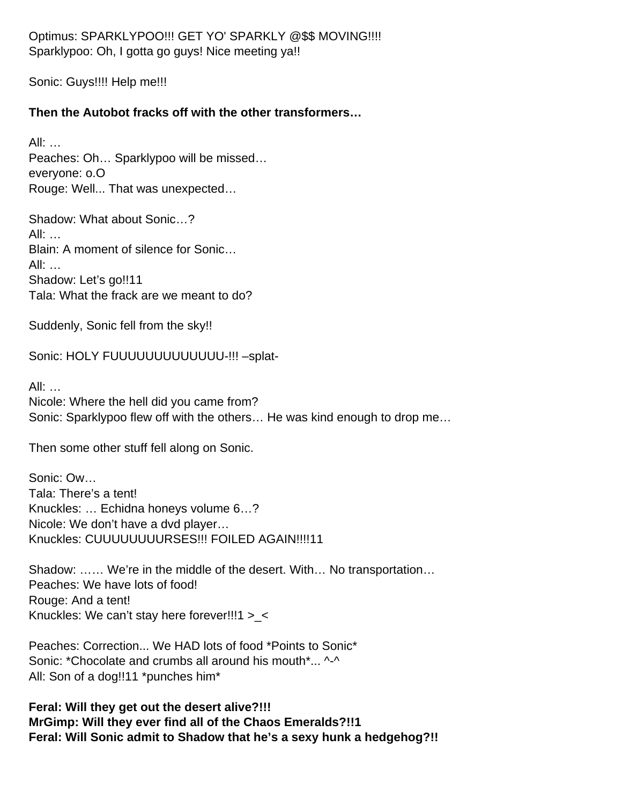Optimus: SPARKLYPOO!!! GET YO' SPARKLY @\$\$ MOVING!!!! Sparklypoo: Oh, I gotta go guys! Nice meeting ya!!

Sonic: Guys!!!! Help me!!!

## **Then the Autobot fracks off with the other transformers…**

All: … Peaches: Oh… Sparklypoo will be missed… everyone: o.O Rouge: Well... That was unexpected…

Shadow: What about Sonic…? All: … Blain: A moment of silence for Sonic… All: … Shadow: Let's go!!11 Tala: What the frack are we meant to do?

Suddenly, Sonic fell from the sky!!

Sonic: HOLY FUUUUUUUUUUUUUUU-!!! -splat-

All: … Nicole: Where the hell did you came from? Sonic: Sparklypoo flew off with the others… He was kind enough to drop me…

Then some other stuff fell along on Sonic.

Sonic: Ow… Tala: There's a tent! Knuckles: … Echidna honeys volume 6…? Nicole: We don't have a dvd player… Knuckles: CUUUUUUUURSES!!! FOILED AGAIN!!!!11

Shadow: …… We're in the middle of the desert. With… No transportation… Peaches: We have lots of food! Rouge: And a tent! Knuckles: We can't stay here forever!!!1 >\_<

Peaches: Correction... We HAD lots of food \*Points to Sonic\* Sonic: \*Chocolate and crumbs all around his mouth\*... ^-^ All: Son of a dog!!11 \*punches him\*

**Feral: Will they get out the desert alive?!!! MrGimp: Will they ever find all of the Chaos Emeralds?!!1 Feral: Will Sonic admit to Shadow that he's a sexy hunk a hedgehog?!!**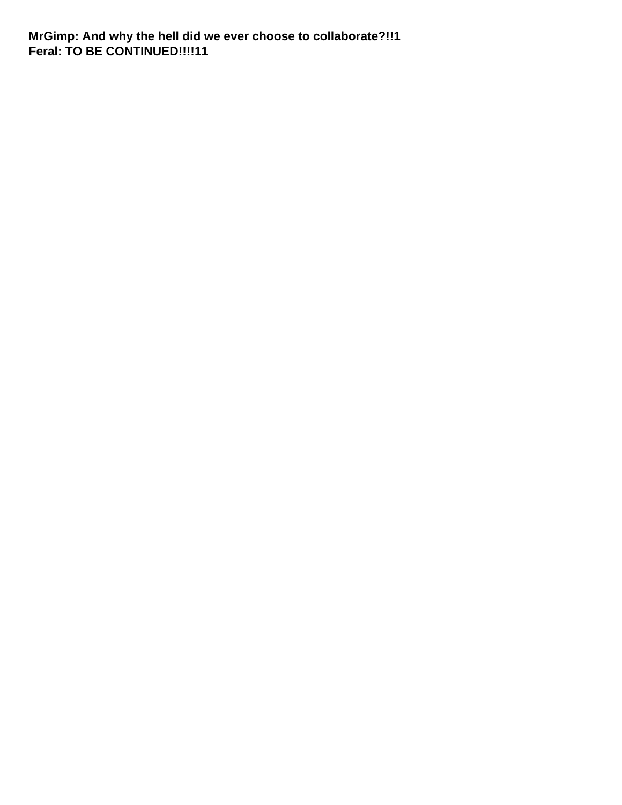**MrGimp: And why the hell did we ever choose to collaborate?!!1 Feral: TO BE CONTINUED!!!!11**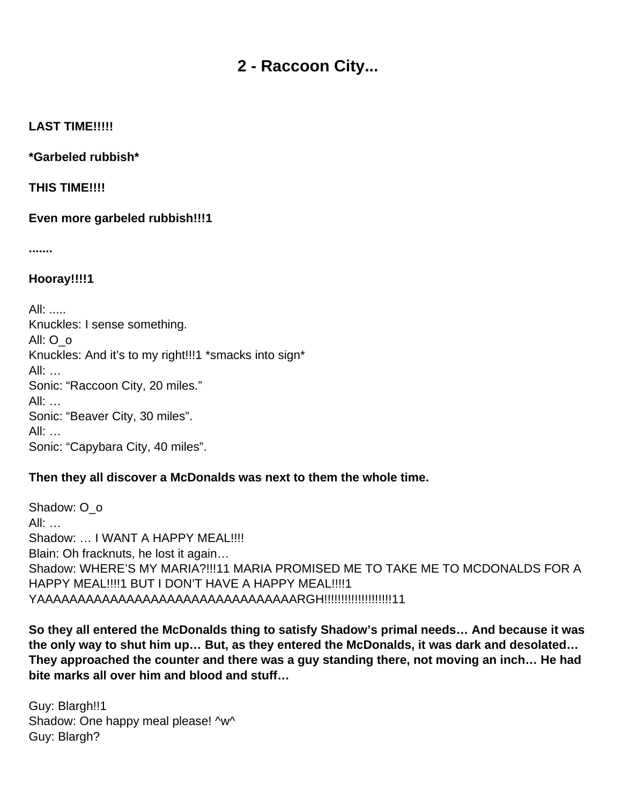## **2 - Raccoon City...**

#### <span id="page-9-0"></span>**LAST TIME!!!!!**

**\*Garbeled rubbish\***

**THIS TIME!!!!**

**Even more garbeled rubbish!!!1**

**.......**

**Hooray!!!!1**

All: ..... Knuckles: I sense something. All: O\_o Knuckles: And it's to my right!!!1 \*smacks into sign\* All: … Sonic: "Raccoon City, 20 miles." All: … Sonic: "Beaver City, 30 miles". All: … Sonic: "Capybara City, 40 miles".

#### **Then they all discover a McDonalds was next to them the whole time.**

Shadow: O\_o  $All:$ Shadow: ... I WANT A HAPPY MEAL!!!! Blain: Oh fracknuts, he lost it again… Shadow: WHERE'S MY MARIA?!!!11 MARIA PROMISED ME TO TAKE ME TO MCDONALDS FOR A HAPPY MEAL!!!! 1 BUT I DON'T HAVE A HAPPY MEAL!!!! 1 YAAAAAAAAAAAAAAAAAAAAAAAAAAAAAAAARGH!!!!!!!!!!!!!!!!!!!!11

**So they all entered the McDonalds thing to satisfy Shadow's primal needs… And because it was the only way to shut him up… But, as they entered the McDonalds, it was dark and desolated… They approached the counter and there was a guy standing there, not moving an inch… He had bite marks all over him and blood and stuff…** 

Guy: Blargh!!1 Shadow: One happy meal please! ^w^ Guy: Blargh?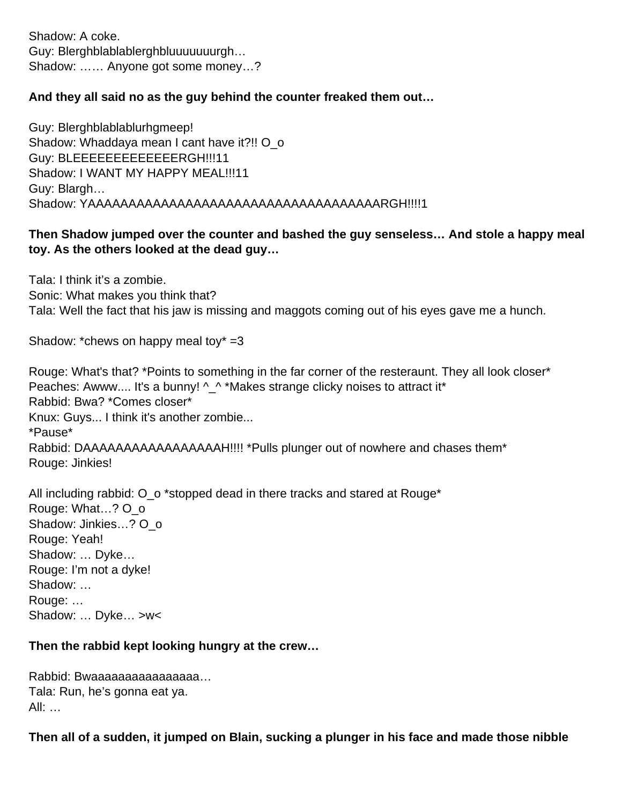Shadow: A coke. Guy: Blerghblablablerghbluuuuuuurgh… Shadow: …… Anyone got some money…?

#### **And they all said no as the guy behind the counter freaked them out…**

Guy: Blerghblablablurhgmeep! Shadow: Whaddaya mean I cant have it?!! O o Guy: BLEEEEEEEEEEEEERGH!!!11 Shadow: I WANT MY HAPPY MEAL!!!11 Guy: Blargh… Shadow: YAAAAAAAAAAAAAAAAAAAAAAAAAAAAAAAAAAAARGH!!!!1

## **Then Shadow jumped over the counter and bashed the guy senseless… And stole a happy meal toy. As the others looked at the dead guy…**

Tala: I think it's a zombie. Sonic: What makes you think that? Tala: Well the fact that his jaw is missing and maggots coming out of his eyes gave me a hunch.

Shadow: \*chews on happy meal toy\*  $=3$ 

Rouge: What's that? \*Points to something in the far corner of the resteraunt. They all look closer\* Peaches: Awww.... It's a bunny!  $\wedge \wedge^*$ Makes strange clicky noises to attract it\* Rabbid: Bwa? \*Comes closer\* Knux: Guys... I think it's another zombie... \*Pause\* Rabbid: DAAAAAAAAAAAAAAAAAH!!!! \*Pulls plunger out of nowhere and chases them\* Rouge: Jinkies!

All including rabbid:  $O$  o \*stopped dead in there tracks and stared at Rouge\* Rouge: What…? O\_o Shadow: Jinkies...? O o Rouge: Yeah! Shadow: … Dyke… Rouge: I'm not a dyke! Shadow: … Rouge: ... Shadow: … Dyke… >w<

#### **Then the rabbid kept looking hungry at the crew…**

Rabbid: Bwaaaaaaaaaaaaaaa... Tala: Run, he's gonna eat ya. All: …

**Then all of a sudden, it jumped on Blain, sucking a plunger in his face and made those nibble**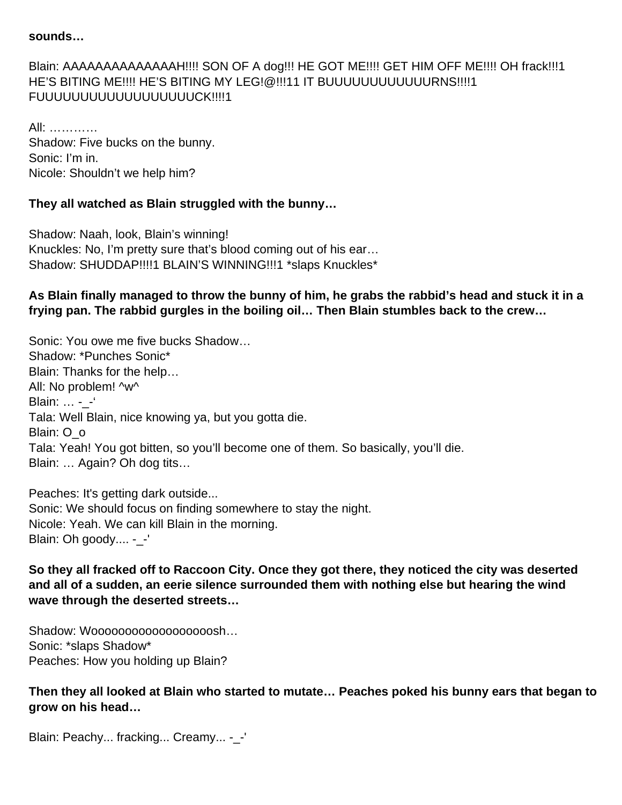#### **sounds…**

## Blain: AAAAAAAAAAAAAAH!!!! SON OF A dog!!! HE GOT ME!!!! GET HIM OFF ME!!!! OH frack!!!1 HE'S BITING ME!!!! HE'S BITING MY LEG!@!!!11 IT BUUUUUUUUUUUURNS!!!!1 FUUUUUUUUUUUUUUUUUUCK!!!!1

All: ………… Shadow: Five bucks on the bunny. Sonic: I'm in. Nicole: Shouldn't we help him?

#### **They all watched as Blain struggled with the bunny…**

Shadow: Naah, look, Blain's winning! Knuckles: No, I'm pretty sure that's blood coming out of his ear… Shadow: SHUDDAP!!!!1 BLAIN'S WINNING!!!1 \*slaps Knuckles\*

## **As Blain finally managed to throw the bunny of him, he grabs the rabbid's head and stuck it in a frying pan. The rabbid gurgles in the boiling oil… Then Blain stumbles back to the crew…**

Sonic: You owe me five bucks Shadow… Shadow: \*Punches Sonic\* Blain: Thanks for the help… All: No problem! ^w^ Blain: ... - -' Tala: Well Blain, nice knowing ya, but you gotta die. Blain: O\_o Tala: Yeah! You got bitten, so you'll become one of them. So basically, you'll die. Blain: … Again? Oh dog tits…

Peaches: It's getting dark outside... Sonic: We should focus on finding somewhere to stay the night. Nicole: Yeah. We can kill Blain in the morning. Blain: Oh goody.... -\_-'

**So they all fracked off to Raccoon City. Once they got there, they noticed the city was deserted and all of a sudden, an eerie silence surrounded them with nothing else but hearing the wind wave through the deserted streets…** 

Shadow: Wooooooooooooooooooooo... Sonic: \*slaps Shadow\* Peaches: How you holding up Blain?

**Then they all looked at Blain who started to mutate… Peaches poked his bunny ears that began to grow on his head…** 

Blain: Peachy... fracking... Creamy... -\_-'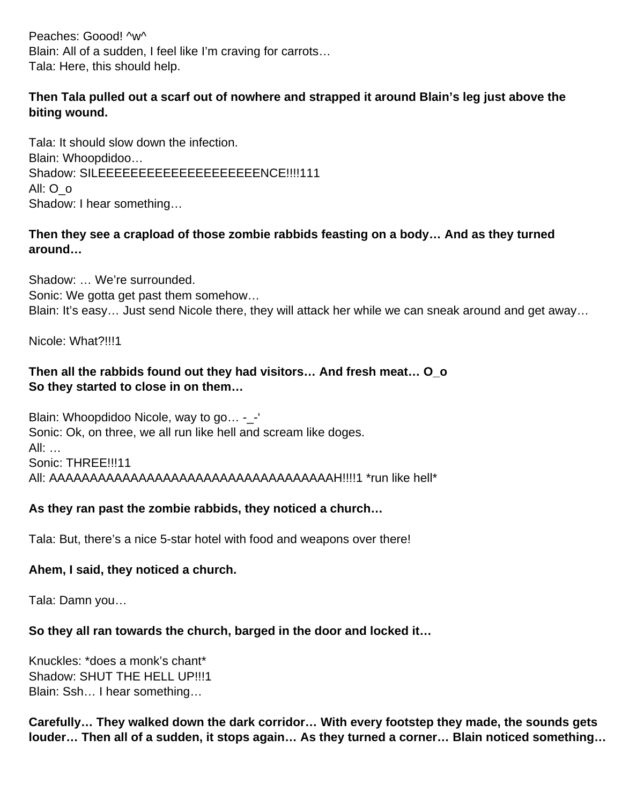Peaches: Goood! ^w^ Blain: All of a sudden, I feel like I'm craving for carrots… Tala: Here, this should help.

## **Then Tala pulled out a scarf out of nowhere and strapped it around Blain's leg just above the biting wound.**

Tala: It should slow down the infection. Blain: Whoopdidoo… Shadow: SILEEEEEEEEEEEEEEEEEEEEEENCE!!!!111 All: O\_o Shadow: I hear something…

## **Then they see a crapload of those zombie rabbids feasting on a body… And as they turned around…**

Shadow: … We're surrounded. Sonic: We gotta get past them somehow… Blain: It's easy… Just send Nicole there, they will attack her while we can sneak around and get away…

Nicole: What?!!!1

## **Then all the rabbids found out they had visitors… And fresh meat… O\_o So they started to close in on them…**

Blain: Whoopdidoo Nicole, way to go… -\_-' Sonic: Ok, on three, we all run like hell and scream like doges. All: … Sonic: THREE!!!11 All: AAAAAAAAAAAAAAAAAAAAAAAAAAAAAAAAAAAH!!!!1 \*run like hell\*

## **As they ran past the zombie rabbids, they noticed a church…**

Tala: But, there's a nice 5-star hotel with food and weapons over there!

#### **Ahem, I said, they noticed a church.**

Tala: Damn you…

#### **So they all ran towards the church, barged in the door and locked it…**

Knuckles: \*does a monk's chant\* Shadow: SHUT THE HELL UP!!!1 Blain: Ssh… I hear something…

**Carefully… They walked down the dark corridor… With every footstep they made, the sounds gets louder… Then all of a sudden, it stops again… As they turned a corner… Blain noticed something…**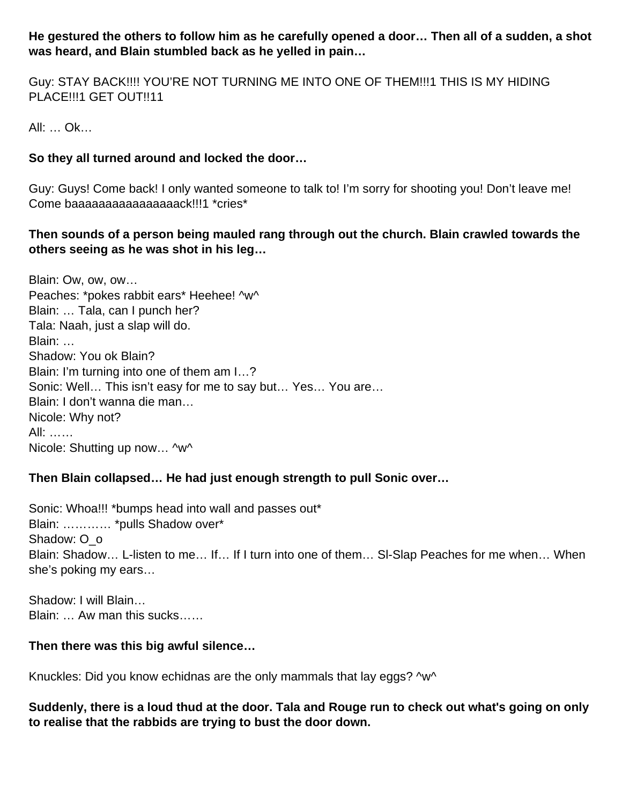**He gestured the others to follow him as he carefully opened a door… Then all of a sudden, a shot was heard, and Blain stumbled back as he yelled in pain…** 

Guy: STAY BACK!!!! YOU'RE NOT TURNING ME INTO ONE OF THEM!!!1 THIS IS MY HIDING PLACE!!!1 GET OUT!!11

All: … Ok…

## **So they all turned around and locked the door…**

Guy: Guys! Come back! I only wanted someone to talk to! I'm sorry for shooting you! Don't leave me! Come baaaaaaaaaaaaaaaack!!!1 \*cries\*

## **Then sounds of a person being mauled rang through out the church. Blain crawled towards the others seeing as he was shot in his leg…**

Blain: Ow, ow, ow… Peaches: \*pokes rabbit ears\* Heehee! ^w^ Blain: … Tala, can I punch her? Tala: Naah, just a slap will do. Blain: … Shadow: You ok Blain? Blain: I'm turning into one of them am I…? Sonic: Well… This isn't easy for me to say but… Yes… You are… Blain: I don't wanna die man… Nicole: Why not? All: …… Nicole: Shutting up now… ^w^

#### **Then Blain collapsed… He had just enough strength to pull Sonic over…**

Sonic: Whoa!!! \*bumps head into wall and passes out\* Blain: ………… \*pulls Shadow over\* Shadow: O\_o Blain: Shadow… L-listen to me… If… If I turn into one of them… Sl-Slap Peaches for me when… When she's poking my ears…

Shadow: I will Blain… Blain: … Aw man this sucks……

#### **Then there was this big awful silence…**

Knuckles: Did you know echidnas are the only mammals that lay eggs? ^w^

**Suddenly, there is a loud thud at the door. Tala and Rouge run to check out what's going on only to realise that the rabbids are trying to bust the door down.**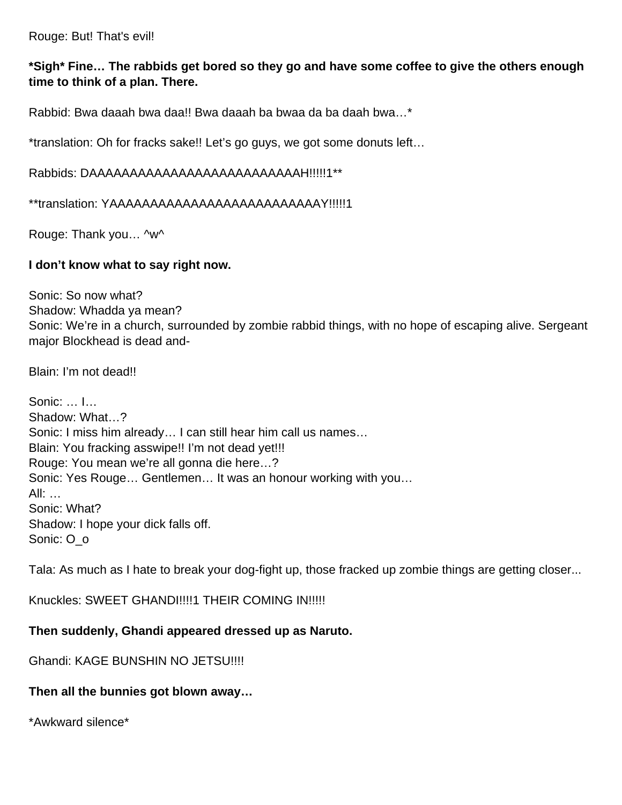Rouge: But! That's evil!

### **\*Sigh\* Fine… The rabbids get bored so they go and have some coffee to give the others enough time to think of a plan. There.**

Rabbid: Bwa daaah bwa daa!! Bwa daaah ba bwaa da ba daah bwa…\*

\*translation: Oh for fracks sake!! Let's go guys, we got some donuts left…

Rabbids: DAAAAAAAAAAAAAAAAAAAAAAAAAAH!!!!!1\*\*

\*\*translation: YAAAAAAAAAAAAAAAAAAAAAAAAAAY!!!!!1

Rouge: Thank you… ^w^

#### **I don't know what to say right now.**

Sonic: So now what? Shadow: Whadda ya mean? Sonic: We're in a church, surrounded by zombie rabbid things, with no hope of escaping alive. Sergeant major Blockhead is dead and-

Blain: I'm not dead!!

Sonic: … I… Shadow: What…? Sonic: I miss him already… I can still hear him call us names… Blain: You fracking asswipe!! I'm not dead yet!!! Rouge: You mean we're all gonna die here…? Sonic: Yes Rouge… Gentlemen… It was an honour working with you… All: … Sonic: What? Shadow: I hope your dick falls off. Sonic: O\_o

Tala: As much as I hate to break your dog-fight up, those fracked up zombie things are getting closer...

Knuckles: SWEET GHANDI!!!!1 THEIR COMING IN!!!!!

#### **Then suddenly, Ghandi appeared dressed up as Naruto.**

Ghandi: KAGE BUNSHIN NO JETSU!!!!

#### **Then all the bunnies got blown away…**

\*Awkward silence\*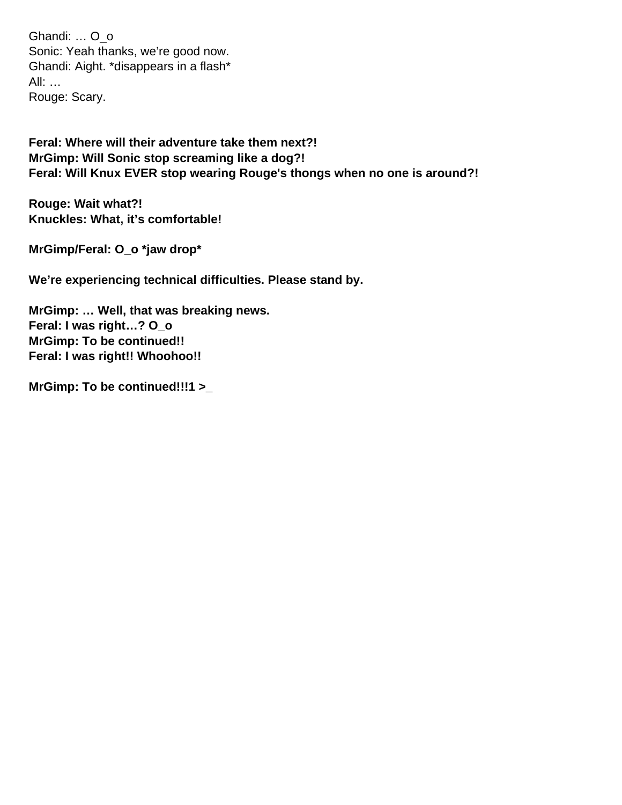Ghandi: … O\_o Sonic: Yeah thanks, we're good now. Ghandi: Aight. \*disappears in a flash\* All: … Rouge: Scary.

**Feral: Where will their adventure take them next?! MrGimp: Will Sonic stop screaming like a dog?! Feral: Will Knux EVER stop wearing Rouge's thongs when no one is around?!**

**Rouge: Wait what?! Knuckles: What, it's comfortable!**

**MrGimp/Feral: O\_o \*jaw drop\***

**We're experiencing technical difficulties. Please stand by.**

**MrGimp: … Well, that was breaking news. Feral: I was right…? O\_o MrGimp: To be continued!! Feral: I was right!! Whoohoo!!**

**MrGimp: To be continued!!!1 >\_**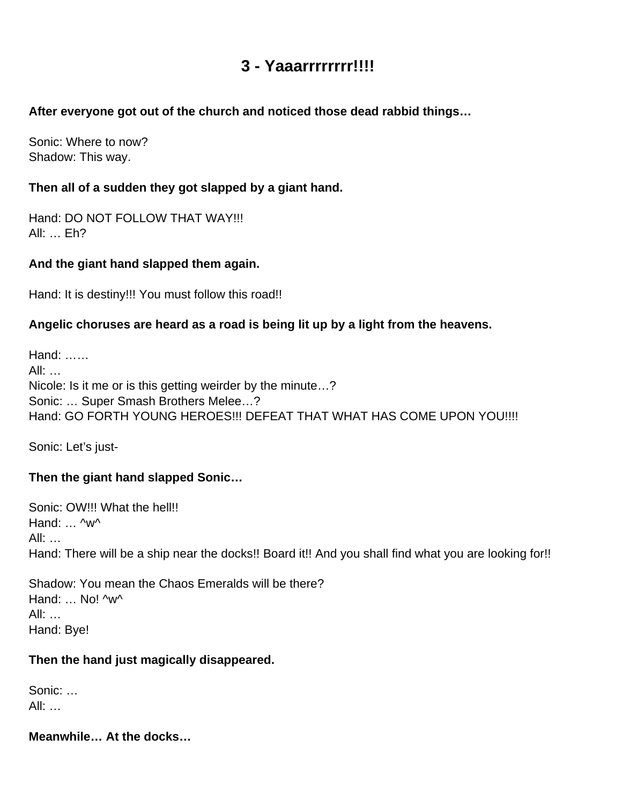## **3 - Yaaarrrrrrrr!!!!**

## <span id="page-16-0"></span>**After everyone got out of the church and noticed those dead rabbid things…**

Sonic: Where to now? Shadow: This way.

## **Then all of a sudden they got slapped by a giant hand.**

Hand: DO NOT FOLLOW THAT WAY!!! All: … Eh?

## **And the giant hand slapped them again.**

Hand: It is destiny!!! You must follow this road!!

## **Angelic choruses are heard as a road is being lit up by a light from the heavens.**

Hand: …… All: … Nicole: Is it me or is this getting weirder by the minute…? Sonic: … Super Smash Brothers Melee…? Hand: GO FORTH YOUNG HEROES!!! DEFEAT THAT WHAT HAS COME UPON YOU!!!!

Sonic: Let's just-

## **Then the giant hand slapped Sonic…**

Sonic: OW!!! What the hell!! Hand: ... ^w^ All: … Hand: There will be a ship near the docks!! Board it!! And you shall find what you are looking for!!

Shadow: You mean the Chaos Emeralds will be there? Hand: ... No! ^w^ All: … Hand: Bye!

#### **Then the hand just magically disappeared.**

Sonic: … All: …

**Meanwhile… At the docks…**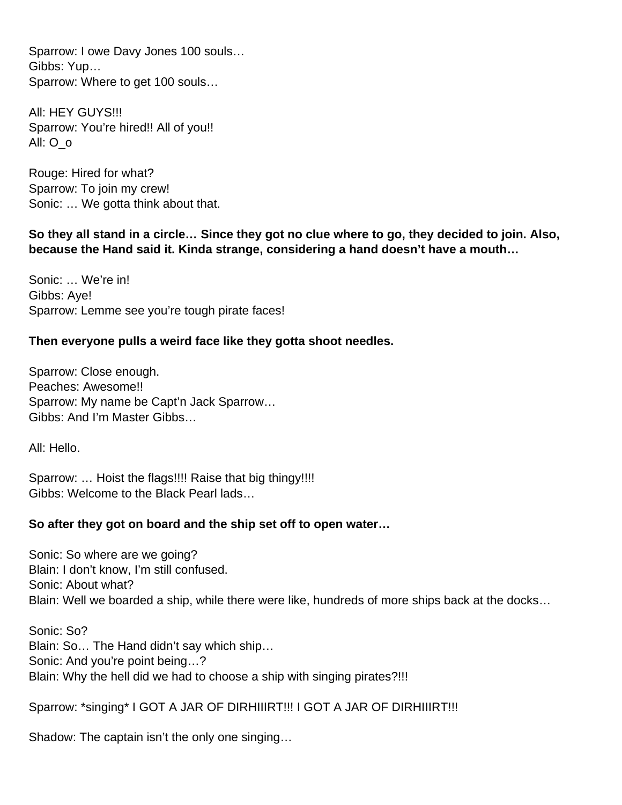Sparrow: I owe Davy Jones 100 souls… Gibbs: Yup… Sparrow: Where to get 100 souls…

All: HEY GUYS!!! Sparrow: You're hired!! All of you!! All: O\_o

Rouge: Hired for what? Sparrow: To join my crew! Sonic: … We gotta think about that.

**So they all stand in a circle… Since they got no clue where to go, they decided to join. Also, because the Hand said it. Kinda strange, considering a hand doesn't have a mouth…** 

Sonic: … We're in! Gibbs: Aye! Sparrow: Lemme see you're tough pirate faces!

#### **Then everyone pulls a weird face like they gotta shoot needles.**

Sparrow: Close enough. Peaches: Awesome!! Sparrow: My name be Capt'n Jack Sparrow… Gibbs: And I'm Master Gibbs…

All: Hello.

Sparrow: ... Hoist the flags!!!! Raise that big thingy!!!! Gibbs: Welcome to the Black Pearl lads…

#### **So after they got on board and the ship set off to open water…**

Sonic: So where are we going? Blain: I don't know, I'm still confused. Sonic: About what? Blain: Well we boarded a ship, while there were like, hundreds of more ships back at the docks…

Sonic: So? Blain: So… The Hand didn't say which ship… Sonic: And you're point being…? Blain: Why the hell did we had to choose a ship with singing pirates?!!!

Sparrow: \*singing\* I GOT A JAR OF DIRHIIIRT!!! I GOT A JAR OF DIRHIIIRT!!!

Shadow: The captain isn't the only one singing…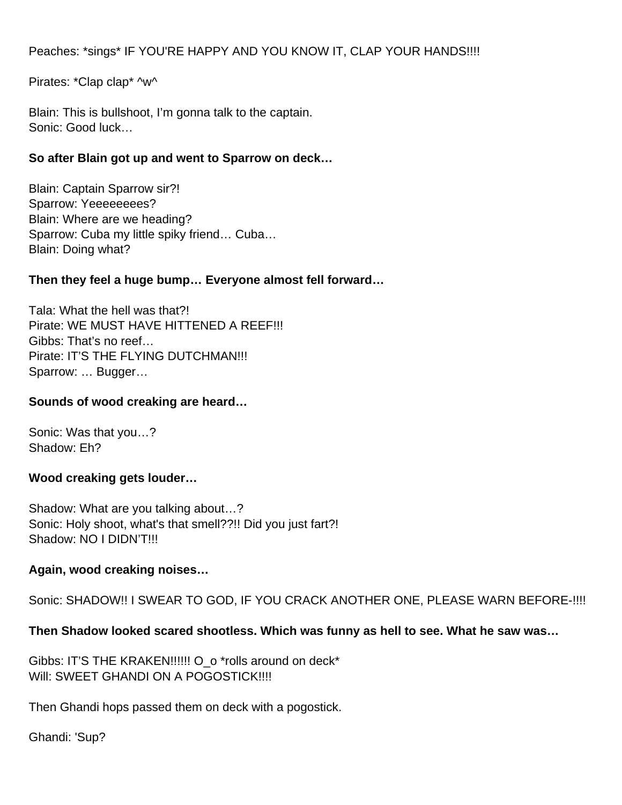Peaches: \*sings\* IF YOU'RE HAPPY AND YOU KNOW IT, CLAP YOUR HANDS!!!!

Pirates: \*Clap clap\* ^w^

Blain: This is bullshoot, I'm gonna talk to the captain. Sonic: Good luck…

## **So after Blain got up and went to Sparrow on deck…**

Blain: Captain Sparrow sir?! Sparrow: Yeeeeeeees? Blain: Where are we heading? Sparrow: Cuba my little spiky friend… Cuba… Blain: Doing what?

#### **Then they feel a huge bump… Everyone almost fell forward…**

Tala: What the hell was that?! Pirate: WE MUST HAVE HITTENED A REEF!!! Gibbs: That's no reef… Pirate: IT'S THE FLYING DUTCHMAN!!! Sparrow: … Bugger…

#### **Sounds of wood creaking are heard…**

Sonic: Was that you…? Shadow: Eh?

#### **Wood creaking gets louder…**

Shadow: What are you talking about…? Sonic: Holy shoot, what's that smell??!! Did you just fart?! Shadow: NO I DIDN'T!!!

#### **Again, wood creaking noises…**

Sonic: SHADOW!! I SWEAR TO GOD, IF YOU CRACK ANOTHER ONE, PLEASE WARN BEFORE-!!!!

## **Then Shadow looked scared shootless. Which was funny as hell to see. What he saw was…**

Gibbs: IT'S THE KRAKEN!!!!!! O\_o \*rolls around on deck\* Will: SWEET GHANDI ON A POGOSTICK!!!!

Then Ghandi hops passed them on deck with a pogostick.

Ghandi: 'Sup?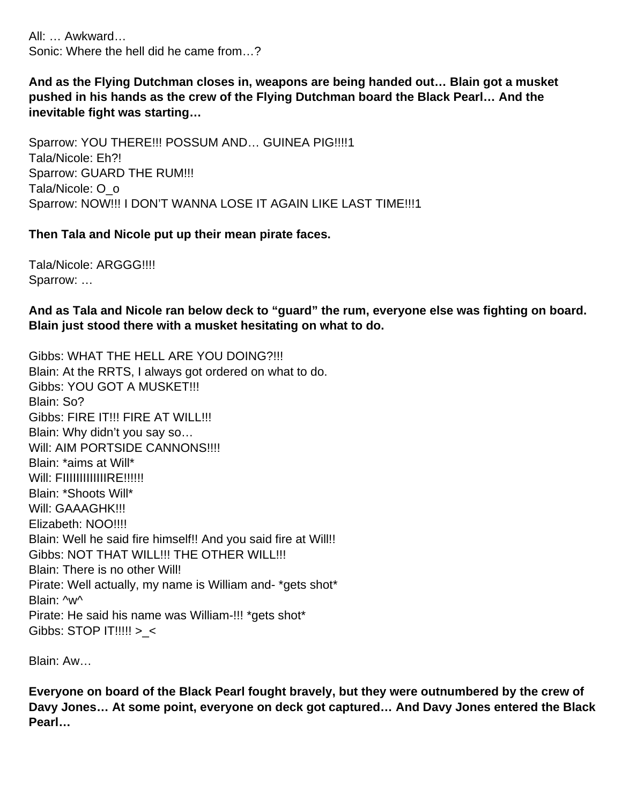All: … Awkward… Sonic: Where the hell did he came from…?

**And as the Flying Dutchman closes in, weapons are being handed out… Blain got a musket pushed in his hands as the crew of the Flying Dutchman board the Black Pearl… And the inevitable fight was starting…** 

Sparrow: YOU THERE!!! POSSUM AND… GUINEA PIG!!!!1 Tala/Nicole: Eh?! Sparrow: GUARD THE RUM!!! Tala/Nicole: O\_o Sparrow: NOW!!! I DON'T WANNA LOSE IT AGAIN LIKE LAST TIME!!!1

#### **Then Tala and Nicole put up their mean pirate faces.**

Tala/Nicole: ARGGG!!!! Sparrow: …

**And as Tala and Nicole ran below deck to "guard" the rum, everyone else was fighting on board. Blain just stood there with a musket hesitating on what to do.** 

Gibbs: WHAT THE HELL ARE YOU DOING?!!! Blain: At the RRTS, I always got ordered on what to do. **Gibbs: YOU GOT A MUSKET!!!** Blain: So? Gibbs: FIRE IT!!! FIRE AT WILL!!! Blain: Why didn't you say so… Will: AIM PORTSIDE CANNONS!!!! Blain: \*aims at Will\* Will: FIIIIIIIIIIIIIIRE!!!!!! Blain: \*Shoots Will\* Will: GAAAGHK!!! Elizabeth: NOO!!!! Blain: Well he said fire himself!! And you said fire at Will!! Gibbs: NOT THAT WILL!!! THE OTHER WILL!!! Blain: There is no other Will! Pirate: Well actually, my name is William and- \*gets shot\* Blain: ^w^ Pirate: He said his name was William-!!! \*gets shot\* Gibbs: STOP IT!!!!! >\_<

Blain: Aw…

**Everyone on board of the Black Pearl fought bravely, but they were outnumbered by the crew of Davy Jones… At some point, everyone on deck got captured… And Davy Jones entered the Black Pearl…**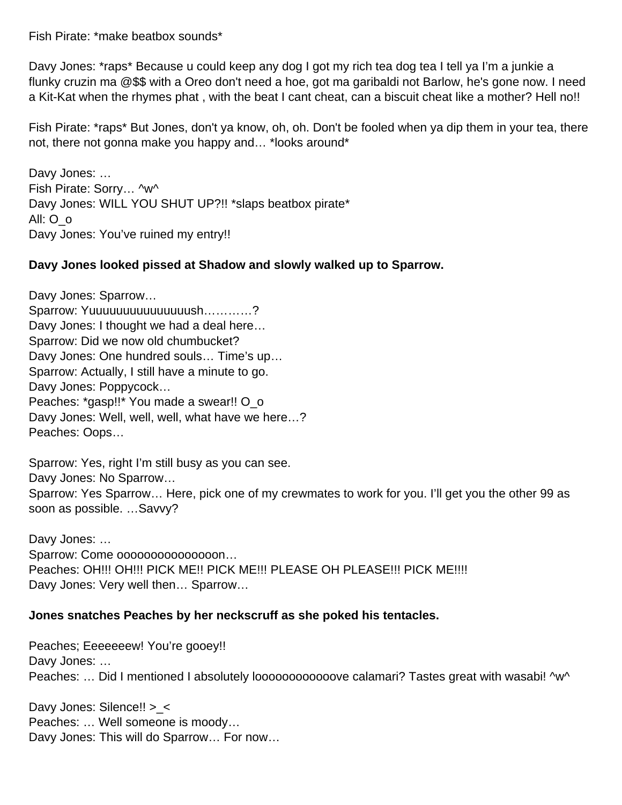Fish Pirate: \*make beatbox sounds\*

Davy Jones: \*raps\* Because u could keep any dog I got my rich tea dog tea I tell ya I'm a junkie a flunky cruzin ma @\$\$ with a Oreo don't need a hoe, got ma garibaldi not Barlow, he's gone now. I need a Kit-Kat when the rhymes phat , with the beat I cant cheat, can a biscuit cheat like a mother? Hell no!!

Fish Pirate: \*raps\* But Jones, don't ya know, oh, oh. Don't be fooled when ya dip them in your tea, there not, there not gonna make you happy and… \*looks around\*

Davy Jones: … Fish Pirate: Sorry… ^w^ Davy Jones: WILL YOU SHUT UP?!! \*slaps beatbox pirate\* All: O\_o Davy Jones: You've ruined my entry!!

#### **Davy Jones looked pissed at Shadow and slowly walked up to Sparrow.**

Davy Jones: Sparrow… Sparrow: Yuuuuuuuuuuuuuuush…………? Davy Jones: I thought we had a deal here… Sparrow: Did we now old chumbucket? Davy Jones: One hundred souls… Time's up… Sparrow: Actually, I still have a minute to go. Davy Jones: Poppycock… Peaches: \*gasp!!\* You made a swear!! O\_o Davy Jones: Well, well, well, what have we here…? Peaches: Oops…

Sparrow: Yes, right I'm still busy as you can see. Davy Jones: No Sparrow… Sparrow: Yes Sparrow… Here, pick one of my crewmates to work for you. I'll get you the other 99 as soon as possible. …Savvy?

Davy Jones: … Sparrow: Come ooooooooooooooon… Peaches: OH!!! OH!!! PICK ME!! PICK ME!!! PLEASE OH PLEASE!!! PICK ME!!!! Davy Jones: Very well then… Sparrow…

#### **Jones snatches Peaches by her neckscruff as she poked his tentacles.**

Peaches; Eeeeeeew! You're gooey!! Davy Jones: … Peaches: ... Did I mentioned I absolutely looooooooooooove calamari? Tastes great with wasabi! ^w^

Davy Jones: Silence!! >\_< Peaches: … Well someone is moody… Davy Jones: This will do Sparrow… For now…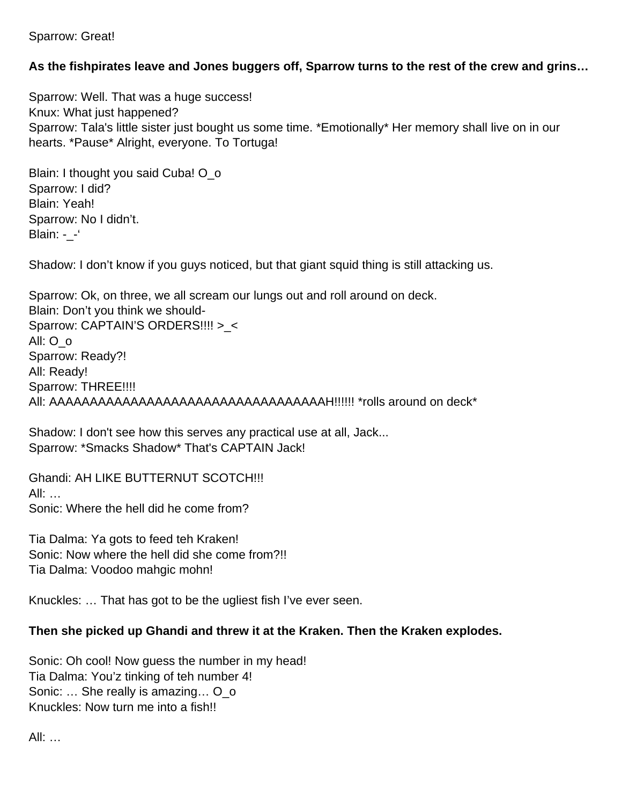Sparrow: Great!

## **As the fishpirates leave and Jones buggers off, Sparrow turns to the rest of the crew and grins…**

Sparrow: Well. That was a huge success! Knux: What just happened? Sparrow: Tala's little sister just bought us some time. \*Emotionally\* Her memory shall live on in our hearts. \*Pause\* Alright, everyone. To Tortuga!

Blain: I thought you said Cuba! O\_o Sparrow: I did? Blain: Yeah! Sparrow: No I didn't. Blain: - -'

Shadow: I don't know if you guys noticed, but that giant squid thing is still attacking us.

Sparrow: Ok, on three, we all scream our lungs out and roll around on deck. Blain: Don't you think we should-Sparrow: CAPTAIN'S ORDERS!!!! > < All: O\_o Sparrow: Ready?! All: Ready! Sparrow: THREE!!!! All: AAAAAAAAAAAAAAAAAAAAAAAAAAAAAAAAAAH!!!!!! \*rolls around on deck\*

Shadow: I don't see how this serves any practical use at all, Jack... Sparrow: \*Smacks Shadow\* That's CAPTAIN Jack!

Ghandi: AH LIKE BUTTERNUT SCOTCH!!! All: … Sonic: Where the hell did he come from?

Tia Dalma: Ya gots to feed teh Kraken! Sonic: Now where the hell did she come from?!! Tia Dalma: Voodoo mahgic mohn!

Knuckles: … That has got to be the ugliest fish I've ever seen.

#### **Then she picked up Ghandi and threw it at the Kraken. Then the Kraken explodes.**

Sonic: Oh cool! Now guess the number in my head! Tia Dalma: You'z tinking of teh number 4! Sonic: … She really is amazing… O\_o Knuckles: Now turn me into a fish!!

All: …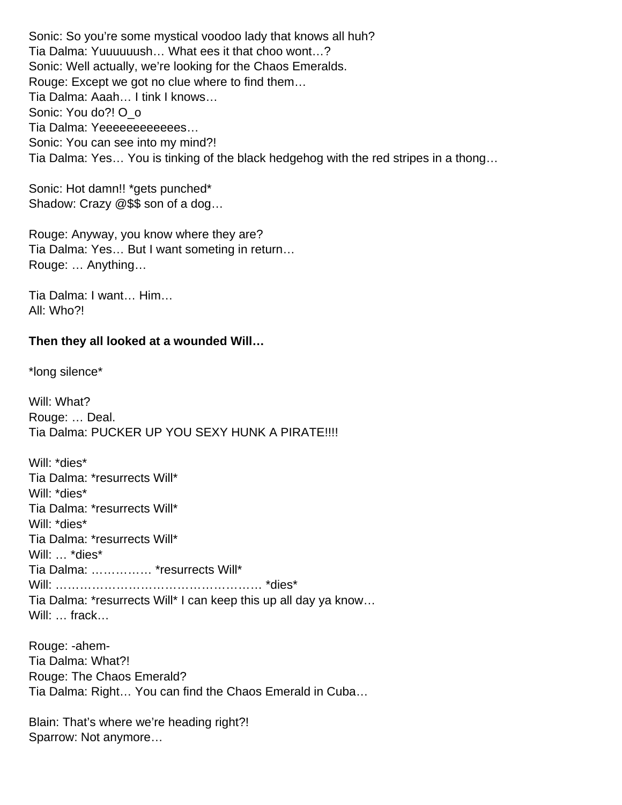Sonic: So you're some mystical voodoo lady that knows all huh? Tia Dalma: Yuuuuuush… What ees it that choo wont…? Sonic: Well actually, we're looking for the Chaos Emeralds. Rouge: Except we got no clue where to find them… Tia Dalma: Aaah… I tink I knows… Sonic: You do?! O\_o Tia Dalma: Yeeeeeeeeeeees… Sonic: You can see into my mind?! Tia Dalma: Yes… You is tinking of the black hedgehog with the red stripes in a thong…

Sonic: Hot damn!! \*gets punched\* Shadow: Crazy @\$\$ son of a dog…

Rouge: Anyway, you know where they are? Tia Dalma: Yes… But I want someting in return… Rouge: … Anything…

Tia Dalma: I want… Him… All: Who?!

#### **Then they all looked at a wounded Will…**

\*long silence\*

Will: What? Rouge: … Deal. Tia Dalma: PUCKER UP YOU SEXY HUNK A PIRATE!!!!

Will: \*dies\* Tia Dalma: \*resurrects Will\* Will: \*dies\* Tia Dalma: \*resurrects Will\* Will: \*dies\* Tia Dalma: \*resurrects Will\* Will: ... \*dies\* Tia Dalma: …………… \*resurrects Will\* Will: …………………………………………… \*dies\* Tia Dalma: \*resurrects Will\* I can keep this up all day ya know… Will: … frack…

Rouge: -ahem-Tia Dalma: What?! Rouge: The Chaos Emerald? Tia Dalma: Right… You can find the Chaos Emerald in Cuba…

Blain: That's where we're heading right?! Sparrow: Not anymore…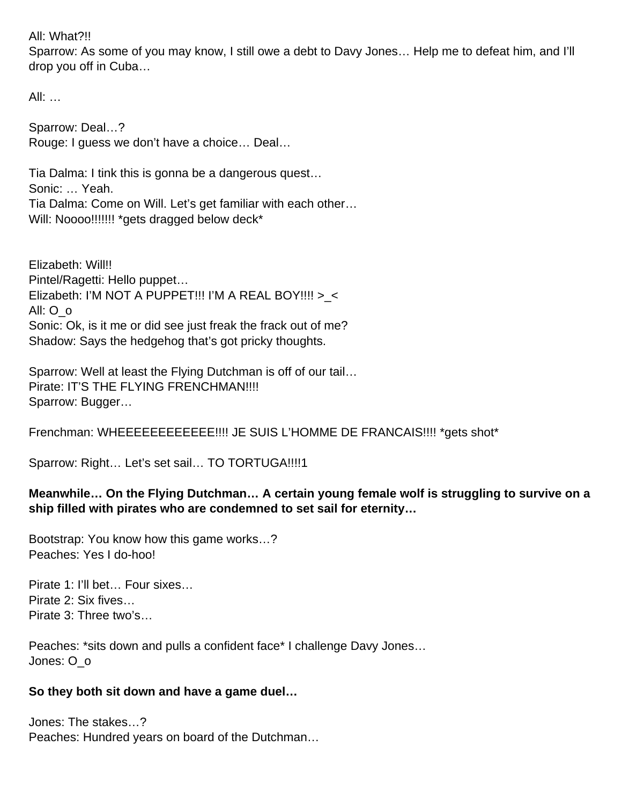#### All: What?!!

Sparrow: As some of you may know, I still owe a debt to Davy Jones… Help me to defeat him, and I'll drop you off in Cuba…

All: …

Sparrow: Deal…? Rouge: I guess we don't have a choice… Deal…

Tia Dalma: I tink this is gonna be a dangerous quest… Sonic: … Yeah. Tia Dalma: Come on Will. Let's get familiar with each other… Will: Noooo!!!!!!!! \* gets dragged below deck\*

Elizabeth: Will!! Pintel/Ragetti: Hello puppet… Elizabeth: I'M NOT A PUPPET!!! I'M A REAL BOY!!!! >\_< All: O\_o Sonic: Ok, is it me or did see just freak the frack out of me? Shadow: Says the hedgehog that's got pricky thoughts.

Sparrow: Well at least the Flying Dutchman is off of our tail... Pirate: IT'S THE FLYING FRENCHMAN!!!! Sparrow: Bugger…

Frenchman: WHEEEEEEEEEEEE!!!! JE SUIS L'HOMME DE FRANCAIS!!!! \*gets shot\*

Sparrow: Right… Let's set sail… TO TORTUGA!!!!1

#### **Meanwhile… On the Flying Dutchman… A certain young female wolf is struggling to survive on a ship filled with pirates who are condemned to set sail for eternity…**

Bootstrap: You know how this game works…? Peaches: Yes I do-hoo!

Pirate 1: I'll bet… Four sixes… Pirate 2: Six fives… Pirate 3: Three two's…

Peaches: \*sits down and pulls a confident face\* I challenge Davy Jones… Jones: O\_o

#### **So they both sit down and have a game duel…**

Jones: The stakes…? Peaches: Hundred years on board of the Dutchman…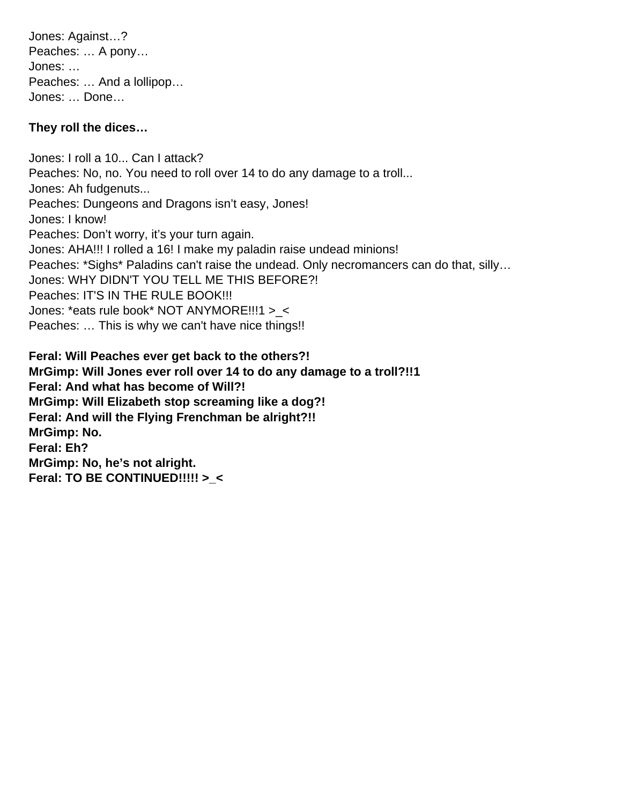Jones: Against…? Peaches: … A pony… Jones: … Peaches: … And a lollipop… Jones: … Done…

#### **They roll the dices…**

Jones: I roll a 10... Can I attack? Peaches: No, no. You need to roll over 14 to do any damage to a troll... Jones: Ah fudgenuts... Peaches: Dungeons and Dragons isn't easy, Jones! Jones: I know! Peaches: Don't worry, it's your turn again. Jones: AHA!!! I rolled a 16! I make my paladin raise undead minions! Peaches: \*Sighs\* Paladins can't raise the undead. Only necromancers can do that, silly… Jones: WHY DIDN'T YOU TELL ME THIS BEFORE?! Peaches: IT'S IN THE RULE BOOK!!! Jones: \*eats rule book\* NOT ANYMORE!!!1 >\_< Peaches: … This is why we can't have nice things!!

**Feral: Will Peaches ever get back to the others?! MrGimp: Will Jones ever roll over 14 to do any damage to a troll?!!1 Feral: And what has become of Will?! MrGimp: Will Elizabeth stop screaming like a dog?! Feral: And will the Flying Frenchman be alright?!! MrGimp: No. Feral: Eh? MrGimp: No, he's not alright. Feral: TO BE CONTINUED!!!!! >\_<**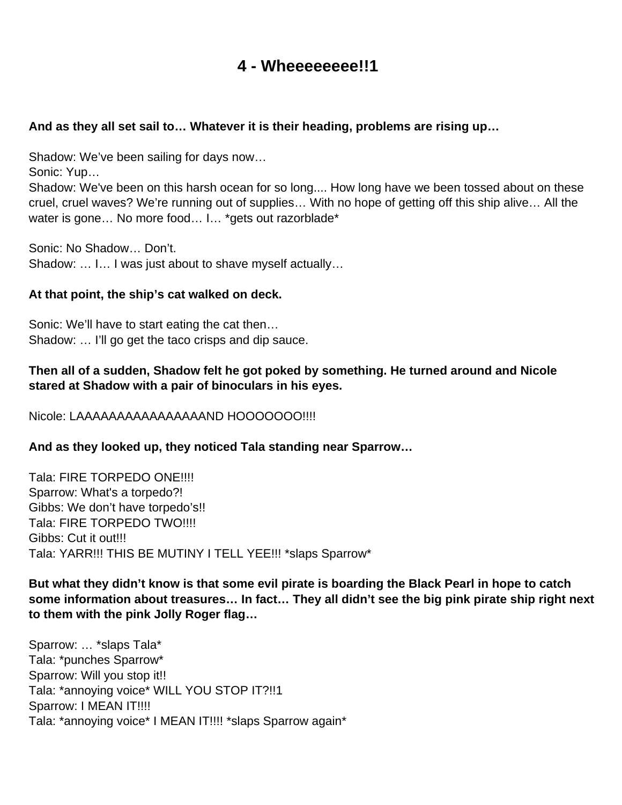## **4 - Wheeeeeeee!!1**

#### <span id="page-25-0"></span>**And as they all set sail to… Whatever it is their heading, problems are rising up…**

Shadow: We've been sailing for days now…

Sonic: Yup…

Shadow: We've been on this harsh ocean for so long.... How long have we been tossed about on these cruel, cruel waves? We're running out of supplies… With no hope of getting off this ship alive… All the water is gone... No more food... I... \* gets out razorblade \*

Sonic: No Shadow… Don't. Shadow: … I… I was just about to shave myself actually…

#### **At that point, the ship's cat walked on deck.**

Sonic: We'll have to start eating the cat then… Shadow: … I'll go get the taco crisps and dip sauce.

#### **Then all of a sudden, Shadow felt he got poked by something. He turned around and Nicole stared at Shadow with a pair of binoculars in his eyes.**

#### Nicole: LAAAAAAAAAAAAAAAAND HOOOOOOO!!!!

#### **And as they looked up, they noticed Tala standing near Sparrow…**

Tala: FIRE TORPEDO ONE!!!! Sparrow: What's a torpedo?! Gibbs: We don't have torpedo's!! Tala: FIRE TORPEDO TWO!!!! Gibbs: Cut it out!!! Tala: YARR!!! THIS BE MUTINY I TELL YEE!!! \*slaps Sparrow\*

**But what they didn't know is that some evil pirate is boarding the Black Pearl in hope to catch some information about treasures… In fact… They all didn't see the big pink pirate ship right next to them with the pink Jolly Roger flag…** 

Sparrow: … \*slaps Tala\* Tala: \*punches Sparrow\* Sparrow: Will you stop it!! Tala: \*annoying voice\* WILL YOU STOP IT?!!1 Sparrow: I MEAN IT!!!! Tala: \*annoying voice\* I MEAN IT!!!! \*slaps Sparrow again\*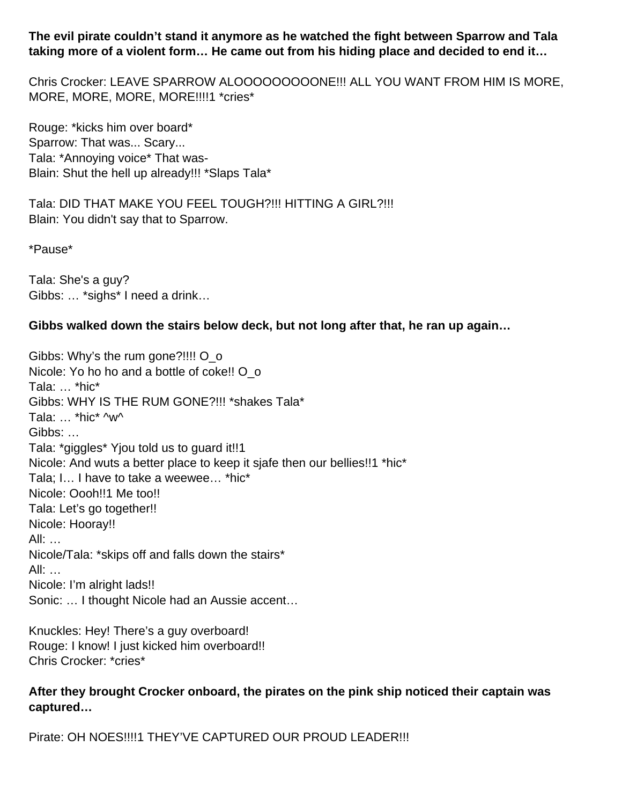**The evil pirate couldn't stand it anymore as he watched the fight between Sparrow and Tala taking more of a violent form… He came out from his hiding place and decided to end it…** 

Chris Crocker: LEAVE SPARROW ALOOOOOOOOONE!!! ALL YOU WANT FROM HIM IS MORE, MORE, MORE, MORE, MORE!!!!1 \*cries\*

Rouge: \*kicks him over board\* Sparrow: That was... Scary... Tala: \*Annoying voice\* That was-Blain: Shut the hell up already!!! \*Slaps Tala\*

Tala: DID THAT MAKE YOU FEEL TOUGH?!!! HITTING A GIRL?!!! Blain: You didn't say that to Sparrow.

\*Pause\*

Tala: She's a guy? Gibbs: … \*sighs\* I need a drink…

#### **Gibbs walked down the stairs below deck, but not long after that, he ran up again…**

Gibbs: Why's the rum gone?!!!! O\_o Nicole: Yo ho ho and a bottle of coke!! O o Tala: … \*hic\* Gibbs: WHY IS THE RUM GONE?!!! \*shakes Tala\* Tala: … \*hic\* ^w^ Gibbs: … Tala: \*giggles\* Yjou told us to guard it!!1 Nicole: And wuts a better place to keep it sjafe then our bellies!!1 \*hic\* Tala; I… I have to take a weewee… \*hic\* Nicole: Oooh!!1 Me too!! Tala: Let's go together!! Nicole: Hooray!! All: … Nicole/Tala: \*skips off and falls down the stairs\* All: … Nicole: I'm alright lads!! Sonic: … I thought Nicole had an Aussie accent…

Knuckles: Hey! There's a guy overboard! Rouge: I know! I just kicked him overboard!! Chris Crocker: \*cries\*

#### **After they brought Crocker onboard, the pirates on the pink ship noticed their captain was captured…**

Pirate: OH NOES!!!!1 THEY'VE CAPTURED OUR PROUD LEADER!!!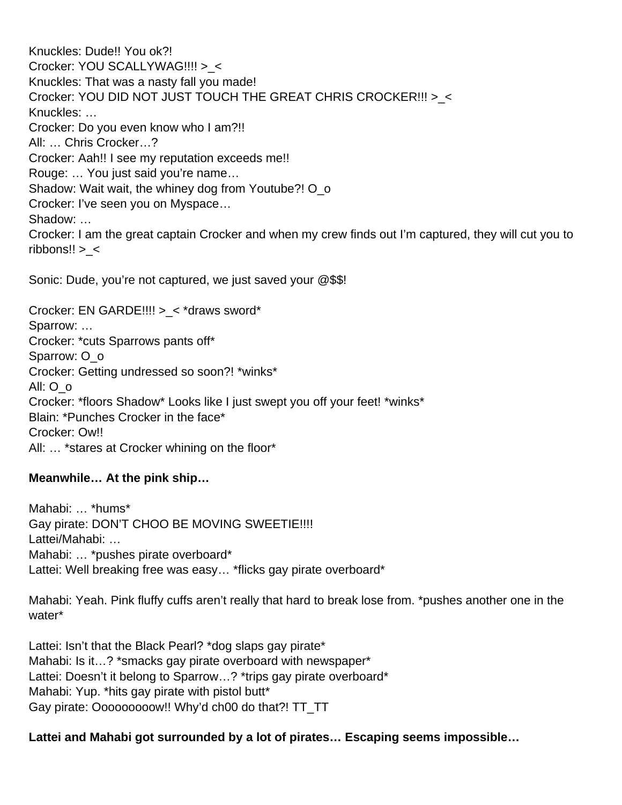Knuckles: Dude!! You ok?! Crocker: YOU SCALLYWAG!!!! >\_< Knuckles: That was a nasty fall you made! Crocker: YOU DID NOT JUST TOUCH THE GREAT CHRIS CROCKER!!! >\_< Knuckles: … Crocker: Do you even know who I am?!! All: … Chris Crocker…? Crocker: Aah!! I see my reputation exceeds me!! Rouge: … You just said you're name… Shadow: Wait wait, the whiney dog from Youtube?! O\_o Crocker: I've seen you on Myspace… Shadow: … Crocker: I am the great captain Crocker and when my crew finds out I'm captured, they will cut you to ribbons!! >\_<

Sonic: Dude, you're not captured, we just saved your @\$\$!

Crocker: EN GARDE!!!! >\_< \*draws sword\* Sparrow: … Crocker: \*cuts Sparrows pants off\* Sparrow: O\_o Crocker: Getting undressed so soon?! \*winks\* All: O\_o Crocker: \*floors Shadow\* Looks like I just swept you off your feet! \*winks\* Blain: \*Punches Crocker in the face\* Crocker: Owll All: … \*stares at Crocker whining on the floor\*

#### **Meanwhile… At the pink ship…**

Mahabi: … \*hums\* Gay pirate: DON'T CHOO BE MOVING SWEETIE!!!! Lattei/Mahabi: … Mahabi: ... \*pushes pirate overboard\* Lattei: Well breaking free was easy... \*flicks gay pirate overboard\*

Mahabi: Yeah. Pink fluffy cuffs aren't really that hard to break lose from. \*pushes another one in the water\*

Lattei: Isn't that the Black Pearl? \*dog slaps gay pirate\* Mahabi: Is it...? \*smacks gay pirate overboard with newspaper\* Lattei: Doesn't it belong to Sparrow...? \*trips gay pirate overboard\* Mahabi: Yup. \*hits gay pirate with pistol butt\* Gay pirate: Ooooooooow!! Why'd ch00 do that?! TT\_TT

#### **Lattei and Mahabi got surrounded by a lot of pirates… Escaping seems impossible…**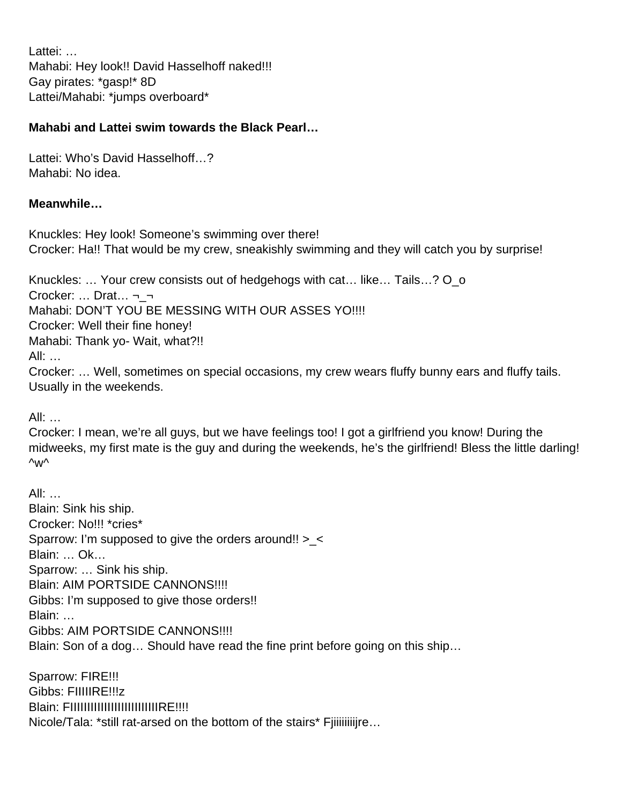Lattei: … Mahabi: Hey look!! David Hasselhoff naked!!! Gay pirates: \*gasp!\* 8D Lattei/Mahabi: \*jumps overboard\*

#### **Mahabi and Lattei swim towards the Black Pearl…**

Lattei: Who's David Hasselhoff…? Mahabi: No idea.

#### **Meanwhile…**

Knuckles: Hey look! Someone's swimming over there! Crocker: Ha!! That would be my crew, sneakishly swimming and they will catch you by surprise!

Knuckles: ... Your crew consists out of hedgehogs with cat... like... Tails...? O o

Crocker: … Drat… ¬\_¬

Mahabi: DON'T YOU BE MESSING WITH OUR ASSES YO!!!!

Crocker: Well their fine honey!

Mahabi: Thank yo- Wait, what?!!

All: …

Crocker: … Well, sometimes on special occasions, my crew wears fluffy bunny ears and fluffy tails. Usually in the weekends.

All: …

Crocker: I mean, we're all guys, but we have feelings too! I got a girlfriend you know! During the midweeks, my first mate is the guy and during the weekends, he's the girlfriend! Bless the little darling! ^w^

All: … Blain: Sink his ship. Crocker: No!!! \*cries\* Sparrow: I'm supposed to give the orders around!! >\_< Blain: … Ok… Sparrow: … Sink his ship. Blain: AIM PORTSIDE CANNONS!!!! Gibbs: I'm supposed to give those orders!! Blain: … Gibbs: AIM PORTSIDE CANNONS!!!! Blain: Son of a dog… Should have read the fine print before going on this ship…

Sparrow: FIRE!!! Gibbs: FIIIIIRE!!!z Blain: FIIIIIIIIIIIIIIIIIIIIIIIIIIIIIIIEE!!!! Nicole/Tala: \*still rat-arsed on the bottom of the stairs\* Fjiiiiiiijire...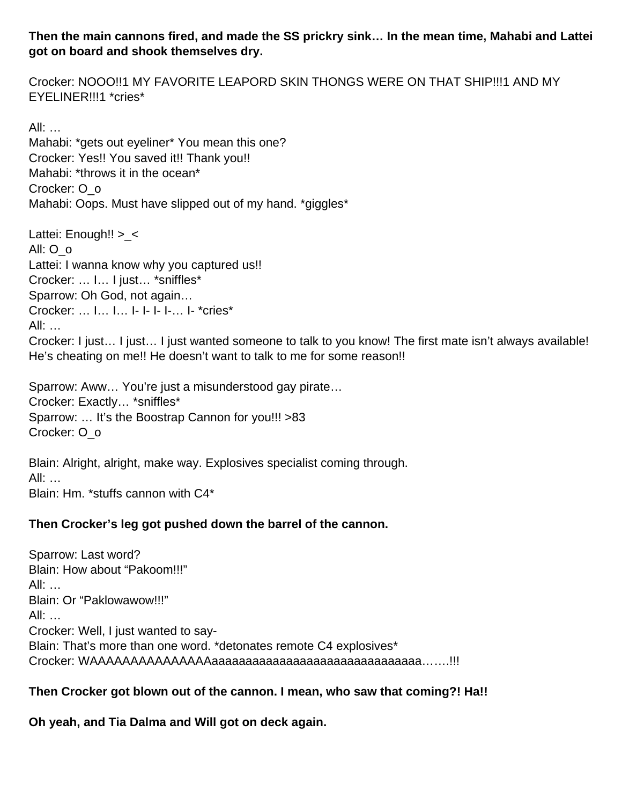#### **Then the main cannons fired, and made the SS prickry sink… In the mean time, Mahabi and Lattei got on board and shook themselves dry.**

Crocker: NOOO!!1 MY FAVORITE LEAPORD SKIN THONGS WERE ON THAT SHIP!!!1 AND MY EYELINER!!!1 \*cries\*

All: … Mahabi: \*gets out eyeliner\* You mean this one? Crocker: Yes!! You saved it!! Thank you!! Mahabi: \*throws it in the ocean\* Crocker: O\_o Mahabi: Oops. Must have slipped out of my hand. \*giggles\*

Lattei: Enough!! >\_< All: O\_o Lattei: I wanna know why you captured us!! Crocker: … I… I just… \*sniffles\* Sparrow: Oh God, not again… Crocker: … I… I… I- I- I- I-… I- \*cries\* All: … Crocker: I just… I just… I just wanted someone to talk to you know! The first mate isn't always available! He's cheating on me!! He doesn't want to talk to me for some reason!!

Sparrow: Aww… You're just a misunderstood gay pirate… Crocker: Exactly… \*sniffles\* Sparrow: … It's the Boostrap Cannon for you!!! >83 Crocker: O\_o

Blain: Alright, alright, make way. Explosives specialist coming through. All: … Blain: Hm. \*stuffs cannon with C4\*

#### **Then Crocker's leg got pushed down the barrel of the cannon.**

Sparrow: Last word? Blain: How about "Pakoom!!!" All: … Blain: Or "Paklowawow!!!" All: … Crocker: Well, I just wanted to say-Blain: That's more than one word. \*detonates remote C4 explosives\* Crocker: WAAAAAAAAAAAAAAAaaaaaaaaaaaaaaaaaaaaaaaaaaaaaaa…….!!!

#### **Then Crocker got blown out of the cannon. I mean, who saw that coming?! Ha!!**

**Oh yeah, and Tia Dalma and Will got on deck again.**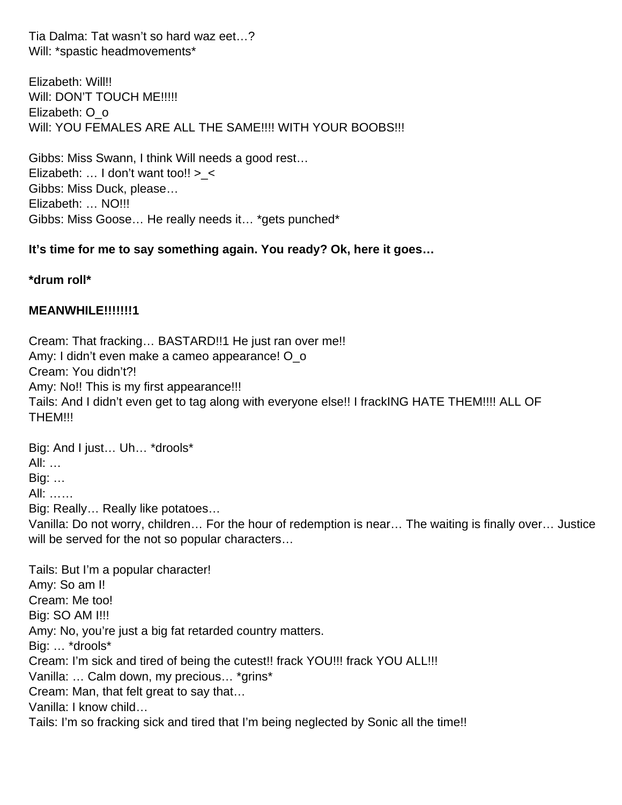Tia Dalma: Tat wasn't so hard waz eet…? Will: \*spastic headmovements\*

Elizabeth: Will!! Will: DON'T TOUCH ME!!!!! Elizabeth: O\_o WIII: YOU FEMALES ARE ALL THE SAME!!!! WITH YOUR BOOBS!!!

Gibbs: Miss Swann, I think Will needs a good rest… Elizabeth:  $\ldots$  I don't want too!! > < Gibbs: Miss Duck, please… Elizabeth: … NO!!! Gibbs: Miss Goose… He really needs it… \*gets punched\*

#### **It's time for me to say something again. You ready? Ok, here it goes…**

**\*drum roll\***

#### **MEANWHILE!!!!!!!1**

Cream: That fracking… BASTARD!!1 He just ran over me!! Amy: I didn't even make a cameo appearance! O\_o Cream: You didn't?! Amy: No!! This is my first appearance!!! Tails: And I didn't even get to tag along with everyone else!! I frackING HATE THEM!!!! ALL OF THEM!!!

Big: And I just… Uh… \*drools\*

All: …

Big: …

All: ……

Big: Really… Really like potatoes…

Vanilla: Do not worry, children… For the hour of redemption is near… The waiting is finally over… Justice will be served for the not so popular characters...

Tails: But I'm a popular character! Amy: So am I! Cream: Me too! Big: SO AM I!!! Amy: No, you're just a big fat retarded country matters. Big: … \*drools\* Cream: I'm sick and tired of being the cutest!! frack YOU!!! frack YOU ALL!!! Vanilla: … Calm down, my precious… \*grins\* Cream: Man, that felt great to say that… Vanilla: I know child…

Tails: I'm so fracking sick and tired that I'm being neglected by Sonic all the time!!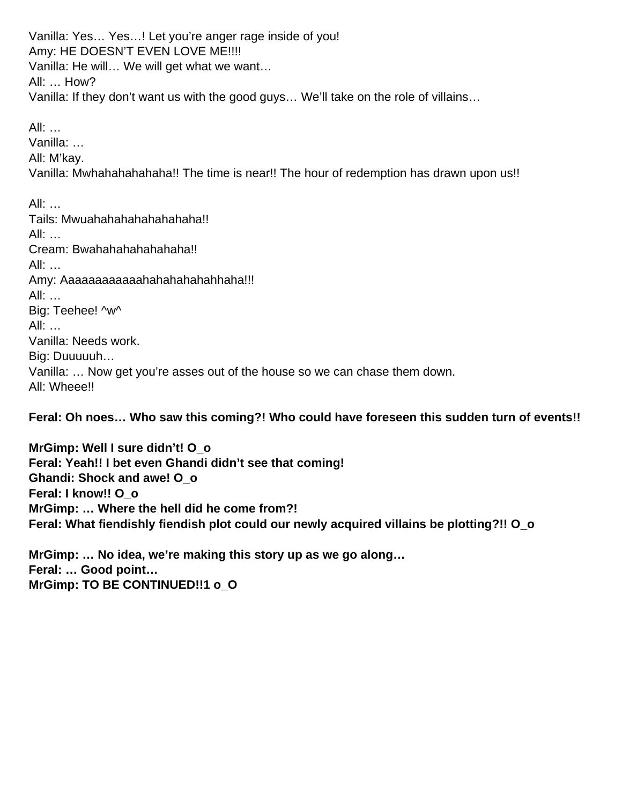Vanilla: Yes… Yes…! Let you're anger rage inside of you! Amy: HE DOESN'T EVEN LOVE ME!!!! Vanilla: He will… We will get what we want… All: … How? Vanilla: If they don't want us with the good guys… We'll take on the role of villains…

All: … Vanilla: … All: M'kay. Vanilla: Mwhahahahahaha!! The time is near!! The hour of redemption has drawn upon us!!

All:  $\ldots$ Tails: Mwuahahahahahahahaha!! All: … Cream: Bwahahahahahahaha!! All: … Amy: Aaaaaaaaaaaaahahahahahahaha!!! All: … Big: Teehee! ^w^ All: … Vanilla: Needs work. Big: Duuuuuh… Vanilla: … Now get you're asses out of the house so we can chase them down. All: Wheee!!

**Feral: Oh noes… Who saw this coming?! Who could have foreseen this sudden turn of events!!**

**MrGimp: Well I sure didn't! O\_o Feral: Yeah!! I bet even Ghandi didn't see that coming! Ghandi: Shock and awe! O\_o Feral: I know!! O\_o MrGimp: … Where the hell did he come from?! Feral: What fiendishly fiendish plot could our newly acquired villains be plotting?!! O\_o**

**MrGimp: … No idea, we're making this story up as we go along… Feral: … Good point… MrGimp: TO BE CONTINUED!!1 o\_O**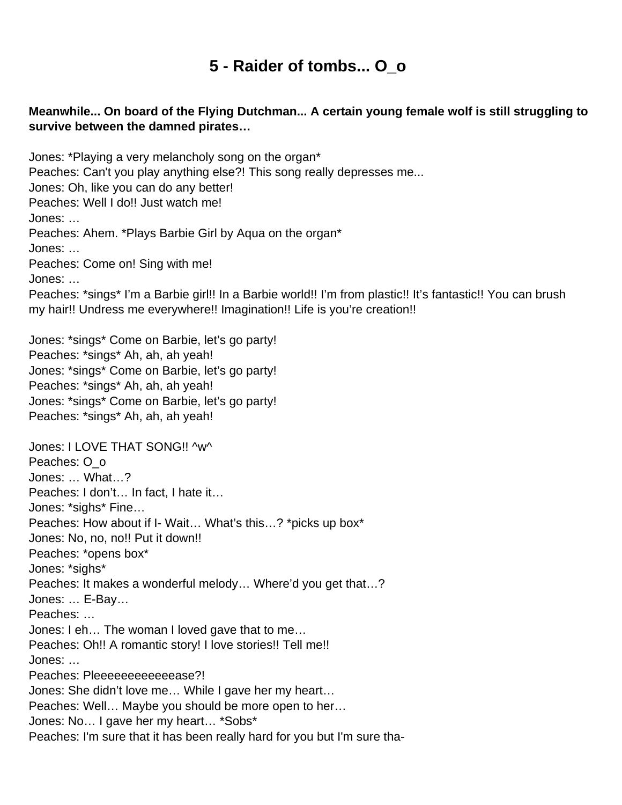## **5 - Raider of tombs... O\_o**

## <span id="page-32-0"></span>**Meanwhile... On board of the Flying Dutchman... A certain young female wolf is still struggling to survive between the damned pirates…**

Jones: \*Playing a very melancholy song on the organ\* Peaches: Can't you play anything else?! This song really depresses me... Jones: Oh, like you can do any better! Peaches: Well I do!! Just watch me! Jones: … Peaches: Ahem. \*Plays Barbie Girl by Aqua on the organ\* Jones: … Peaches: Come on! Sing with me! Jones: … Peaches: \*sings\* I'm a Barbie girl!! In a Barbie world!! I'm from plastic!! It's fantastic!! You can brush my hair!! Undress me everywhere!! Imagination!! Life is you're creation!! Jones: \*sings\* Come on Barbie, let's go party! Peaches: \*sings\* Ah, ah, ah yeah! Jones: \*sings\* Come on Barbie, let's go party! Peaches: \*sings\* Ah, ah, ah yeah! Jones: \*sings\* Come on Barbie, let's go party! Peaches: \*sings\* Ah, ah, ah yeah! Jones: I LOVE THAT SONG!! ^w^ Peaches: O o Jones: … What…? Peaches: I don't… In fact, I hate it… Jones: \*sighs\* Fine… Peaches: How about if I- Wait… What's this…? \*picks up box\* Jones: No, no, no!! Put it down!! Peaches: \*opens box\* Jones: \*sighs\* Peaches: It makes a wonderful melody… Where'd you get that…? Jones: … E-Bay… Peaches: … Jones: I eh… The woman I loved gave that to me… Peaches: Oh!! A romantic story! I love stories!! Tell me!! Jones: … Peaches: Pleeeeeeeeeeease?! Jones: She didn't love me… While I gave her my heart… Peaches: Well… Maybe you should be more open to her… Jones: No… I gave her my heart… \*Sobs\* Peaches: I'm sure that it has been really hard for you but I'm sure tha-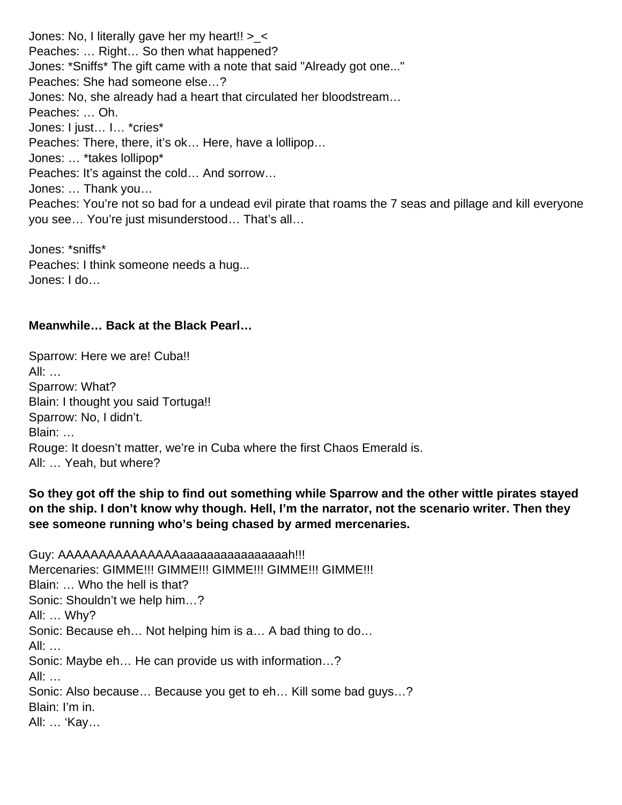Jones: No, I literally gave her my heart!!  $>$  < Peaches: … Right… So then what happened? Jones: \*Sniffs\* The gift came with a note that said "Already got one..." Peaches: She had someone else…? Jones: No, she already had a heart that circulated her bloodstream… Peaches: … Oh. Jones: I just… I… \*cries\* Peaches: There, there, it's ok… Here, have a lollipop… Jones: … \*takes lollipop\* Peaches: It's against the cold… And sorrow… Jones: … Thank you… Peaches: You're not so bad for a undead evil pirate that roams the 7 seas and pillage and kill everyone you see… You're just misunderstood… That's all…

Jones: \*sniffs\* Peaches: I think someone needs a hug... Jones: I do…

#### **Meanwhile… Back at the Black Pearl…**

Sparrow: Here we are! Cuba!! All: … Sparrow: What? Blain: I thought you said Tortuga!! Sparrow: No, I didn't. Blain: … Rouge: It doesn't matter, we're in Cuba where the first Chaos Emerald is. All: … Yeah, but where?

#### **So they got off the ship to find out something while Sparrow and the other wittle pirates stayed on the ship. I don't know why though. Hell, I'm the narrator, not the scenario writer. Then they see someone running who's being chased by armed mercenaries.**

Guy: AAAAAAAAAAAAAAAAaaaaaaaaaaaaaaaaaah!!! Mercenaries: GIMME!!! GIMME!!! GIMME!!! GIMME!!! GIMME!!! Blain: … Who the hell is that? Sonic: Shouldn't we help him…? All: … Why? Sonic: Because eh… Not helping him is a… A bad thing to do… All: … Sonic: Maybe eh… He can provide us with information…? All: … Sonic: Also because… Because you get to eh… Kill some bad guys…? Blain: I'm in. All: … 'Kay…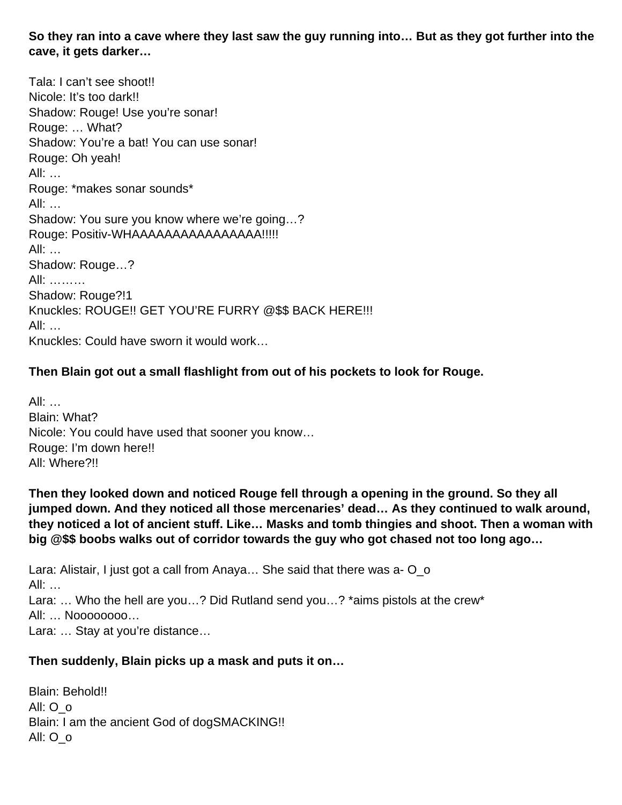**So they ran into a cave where they last saw the guy running into… But as they got further into the cave, it gets darker…** 

Tala: I can't see shoot!! Nicole: It's too dark!! Shadow: Rouge! Use you're sonar! Rouge: … What? Shadow: You're a bat! You can use sonar! Rouge: Oh yeah! All: … Rouge: \*makes sonar sounds\* All: … Shadow: You sure you know where we're going…? Rouge: Positiv-WHAAAAAAAAAAAAAAAA!!!!! All: … Shadow: Rouge…? All: ……… Shadow: Rouge?!1 Knuckles: ROUGE!! GET YOU'RE FURRY @\$\$ BACK HERE!!! All: … Knuckles: Could have sworn it would work…

## **Then Blain got out a small flashlight from out of his pockets to look for Rouge.**

All: … Blain: What? Nicole: You could have used that sooner you know… Rouge: I'm down here!! All: Where?!!

**Then they looked down and noticed Rouge fell through a opening in the ground. So they all jumped down. And they noticed all those mercenaries' dead… As they continued to walk around, they noticed a lot of ancient stuff. Like… Masks and tomb thingies and shoot. Then a woman with big @\$\$ boobs walks out of corridor towards the guy who got chased not too long ago…** 

Lara: Alistair, I just got a call from Anaya… She said that there was a- O\_o All: … Lara: ... Who the hell are you...? Did Rutland send you...? \*aims pistols at the crew\* All: … Noooooooo… Lara: … Stay at you're distance…

#### **Then suddenly, Blain picks up a mask and puts it on…**

Blain: Behold!! All: O\_o Blain: I am the ancient God of dogSMACKING!! All: O\_o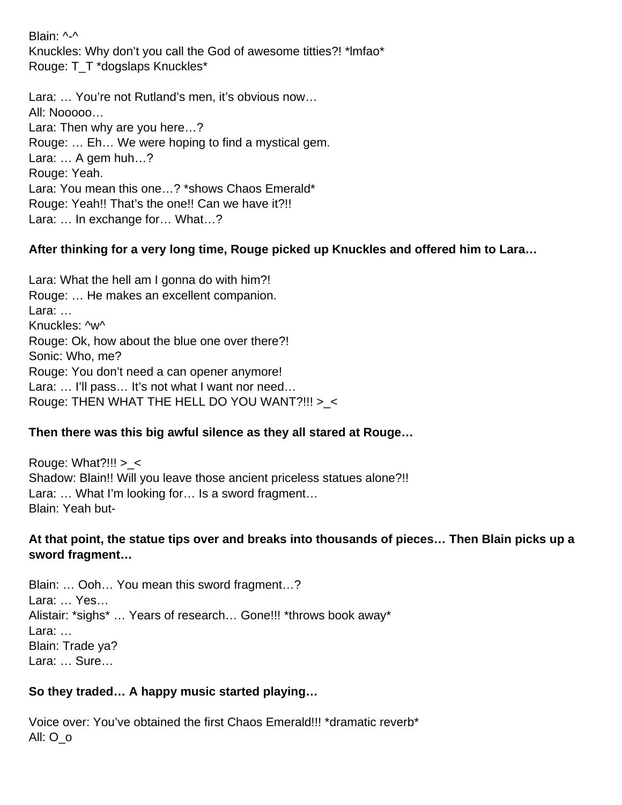Blain: ^-^ Knuckles: Why don't you call the God of awesome titties?! \*lmfao\* Rouge: T\_T \*dogslaps Knuckles\*

Lara: … You're not Rutland's men, it's obvious now… All: Nooooo… Lara: Then why are you here…? Rouge: … Eh… We were hoping to find a mystical gem. Lara: … A gem huh…? Rouge: Yeah. Lara: You mean this one…? \*shows Chaos Emerald\* Rouge: Yeah!! That's the one!! Can we have it?!! Lara: … In exchange for… What…?

## **After thinking for a very long time, Rouge picked up Knuckles and offered him to Lara…**

Lara: What the hell am I gonna do with him?! Rouge: … He makes an excellent companion. Lara: … Knuckles: ^w^ Rouge: Ok, how about the blue one over there?! Sonic: Who, me? Rouge: You don't need a can opener anymore! Lara: … I'll pass… It's not what I want nor need… Rouge: THEN WHAT THE HELL DO YOU WANT?!!! >\_<

#### **Then there was this big awful silence as they all stared at Rouge…**

Rouge: What?!!!  $>$  < Shadow: Blain!! Will you leave those ancient priceless statues alone?!! Lara: … What I'm looking for… Is a sword fragment… Blain: Yeah but-

#### **At that point, the statue tips over and breaks into thousands of pieces… Then Blain picks up a sword fragment…**

Blain: … Ooh… You mean this sword fragment…? Lara: … Yes… Alistair: \*sighs\* … Years of research… Gone!!! \*throws book away\* Lara: … Blain: Trade ya? Lara: … Sure…

#### **So they traded… A happy music started playing…**

Voice over: You've obtained the first Chaos Emerald!!! \*dramatic reverb\* All: O\_o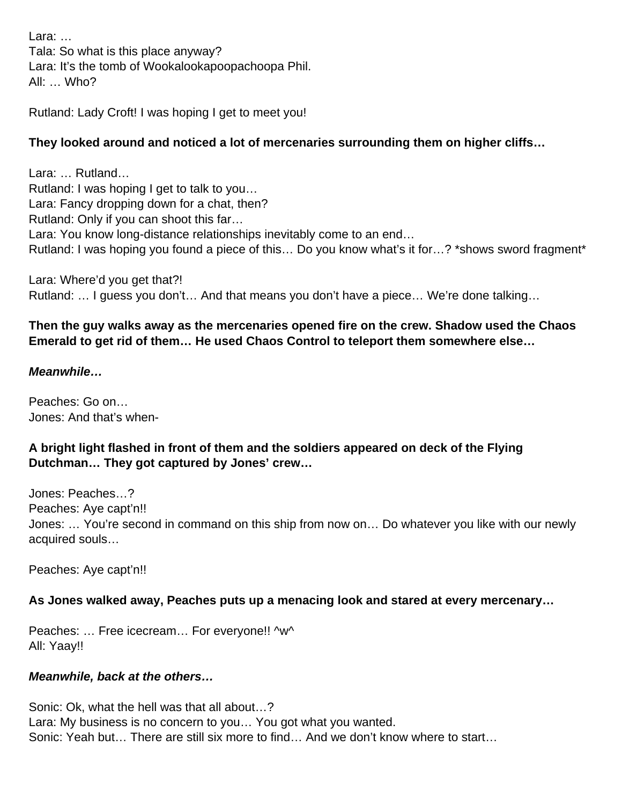Lara: … Tala: So what is this place anyway? Lara: It's the tomb of Wookalookapoopachoopa Phil. All: … Who?

Rutland: Lady Croft! I was hoping I get to meet you!

# **They looked around and noticed a lot of mercenaries surrounding them on higher cliffs…**

Lara: … Rutland… Rutland: I was hoping I get to talk to you… Lara: Fancy dropping down for a chat, then? Rutland: Only if you can shoot this far… Lara: You know long-distance relationships inevitably come to an end… Rutland: I was hoping you found a piece of this... Do you know what's it for...? \*shows sword fragment\*

Lara: Where'd you get that?! Rutland: … I guess you don't… And that means you don't have a piece… We're done talking…

## **Then the guy walks away as the mercenaries opened fire on the crew. Shadow used the Chaos Emerald to get rid of them… He used Chaos Control to teleport them somewhere else…**

#### **Meanwhile…**

Peaches: Go on… Jones: And that's when-

#### **A bright light flashed in front of them and the soldiers appeared on deck of the Flying Dutchman… They got captured by Jones' crew…**

Jones: Peaches…? Peaches: Aye capt'n!! Jones: … You're second in command on this ship from now on… Do whatever you like with our newly acquired souls…

Peaches: Aye capt'n!!

#### **As Jones walked away, Peaches puts up a menacing look and stared at every mercenary…**

Peaches: ... Free icecream... For everyone!! ^w^ All: Yaay!!

#### **Meanwhile, back at the others…**

Sonic: Ok, what the hell was that all about…? Lara: My business is no concern to you… You got what you wanted. Sonic: Yeah but… There are still six more to find… And we don't know where to start…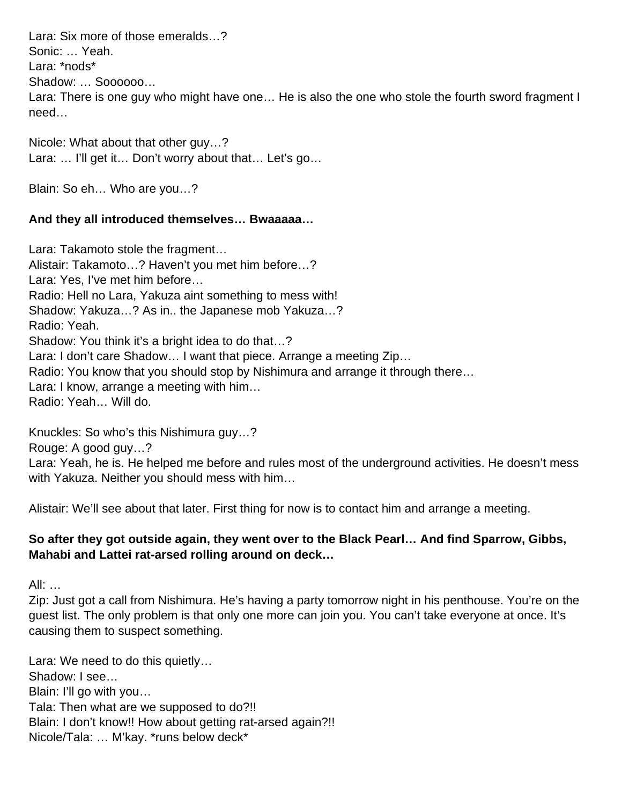Lara: Six more of those emeralds…? Sonic: … Yeah. Lara: \*nods\* Shadow: … Soooooo… Lara: There is one guy who might have one... He is also the one who stole the fourth sword fragment I need…

Nicole: What about that other guy…? Lara: … I'll get it… Don't worry about that… Let's go…

Blain: So eh… Who are you…?

#### **And they all introduced themselves… Bwaaaaa…**

Lara: Takamoto stole the fragment… Alistair: Takamoto…? Haven't you met him before…? Lara: Yes, I've met him before… Radio: Hell no Lara, Yakuza aint something to mess with! Shadow: Yakuza…? As in.. the Japanese mob Yakuza…? Radio: Yeah. Shadow: You think it's a bright idea to do that…? Lara: I don't care Shadow… I want that piece. Arrange a meeting Zip… Radio: You know that you should stop by Nishimura and arrange it through there… Lara: I know, arrange a meeting with him… Radio: Yeah… Will do.

Knuckles: So who's this Nishimura guy…?

Rouge: A good guy…?

Lara: Yeah, he is. He helped me before and rules most of the underground activities. He doesn't mess with Yakuza. Neither you should mess with him…

Alistair: We'll see about that later. First thing for now is to contact him and arrange a meeting.

## **So after they got outside again, they went over to the Black Pearl… And find Sparrow, Gibbs, Mahabi and Lattei rat-arsed rolling around on deck…**

All: …

Zip: Just got a call from Nishimura. He's having a party tomorrow night in his penthouse. You're on the guest list. The only problem is that only one more can join you. You can't take everyone at once. It's causing them to suspect something.

Lara: We need to do this quietly… Shadow: I see… Blain: I'll go with you… Tala: Then what are we supposed to do?!! Blain: I don't know!! How about getting rat-arsed again?!! Nicole/Tala: … M'kay. \*runs below deck\*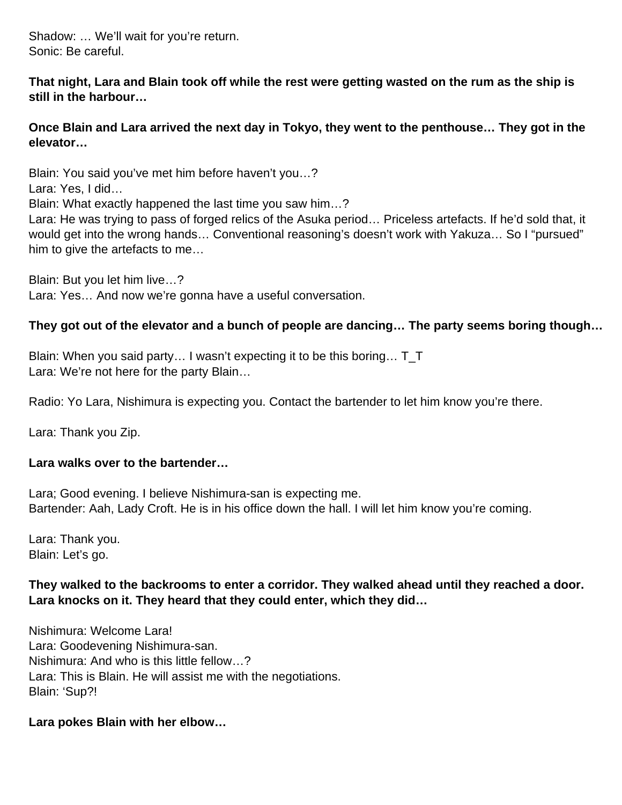Shadow: … We'll wait for you're return. Sonic: Be careful.

**That night, Lara and Blain took off while the rest were getting wasted on the rum as the ship is still in the harbour…**

**Once Blain and Lara arrived the next day in Tokyo, they went to the penthouse… They got in the elevator…** 

Blain: You said you've met him before haven't you…? Lara: Yes, I did… Blain: What exactly happened the last time you saw him…? Lara: He was trying to pass of forged relics of the Asuka period… Priceless artefacts. If he'd sold that, it would get into the wrong hands… Conventional reasoning's doesn't work with Yakuza… So I "pursued" him to give the artefacts to me…

Blain: But you let him live…? Lara: Yes… And now we're gonna have a useful conversation.

## **They got out of the elevator and a bunch of people are dancing… The party seems boring though…**

Blain: When you said party… I wasn't expecting it to be this boring… T\_T Lara: We're not here for the party Blain…

Radio: Yo Lara, Nishimura is expecting you. Contact the bartender to let him know you're there.

Lara: Thank you Zip.

#### **Lara walks over to the bartender…**

Lara; Good evening. I believe Nishimura-san is expecting me. Bartender: Aah, Lady Croft. He is in his office down the hall. I will let him know you're coming.

Lara: Thank you. Blain: Let's go.

## **They walked to the backrooms to enter a corridor. They walked ahead until they reached a door. Lara knocks on it. They heard that they could enter, which they did…**

Nishimura: Welcome Lara! Lara: Goodevening Nishimura-san. Nishimura: And who is this little fellow…? Lara: This is Blain. He will assist me with the negotiations. Blain: 'Sup?!

#### **Lara pokes Blain with her elbow…**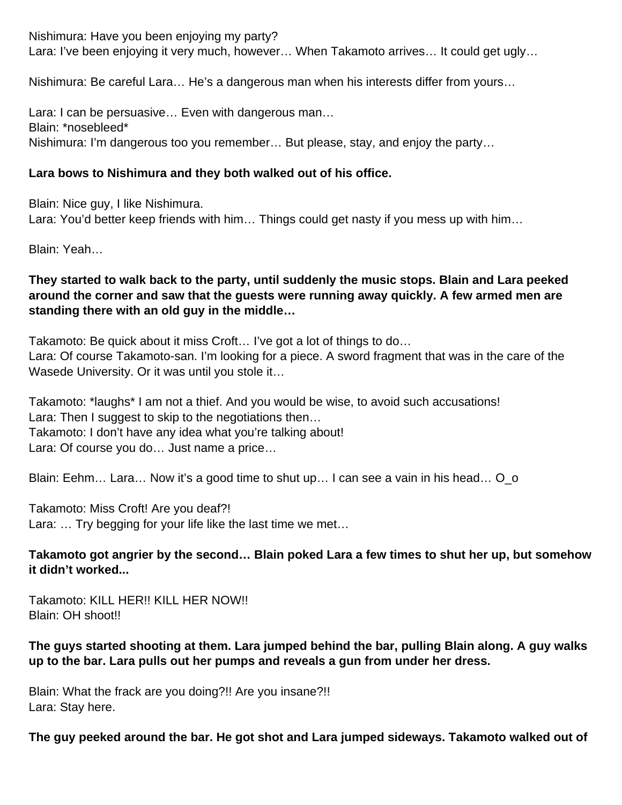Nishimura: Have you been enjoying my party? Lara: I've been enjoying it very much, however… When Takamoto arrives… It could get ugly…

Nishimura: Be careful Lara… He's a dangerous man when his interests differ from yours…

Lara: I can be persuasive… Even with dangerous man… Blain: \*nosebleed\* Nishimura: I'm dangerous too you remember… But please, stay, and enjoy the party…

## **Lara bows to Nishimura and they both walked out of his office.**

Blain: Nice guy, I like Nishimura. Lara: You'd better keep friends with him... Things could get nasty if you mess up with him...

Blain: Yeah…

## **They started to walk back to the party, until suddenly the music stops. Blain and Lara peeked around the corner and saw that the guests were running away quickly. A few armed men are standing there with an old guy in the middle…**

Takamoto: Be quick about it miss Croft… I've got a lot of things to do… Lara: Of course Takamoto-san. I'm looking for a piece. A sword fragment that was in the care of the Wasede University. Or it was until you stole it…

Takamoto: \*laughs\* I am not a thief. And you would be wise, to avoid such accusations! Lara: Then I suggest to skip to the negotiations then… Takamoto: I don't have any idea what you're talking about! Lara: Of course you do… Just name a price…

Blain: Eehm… Lara… Now it's a good time to shut up… I can see a vain in his head… O\_o

Takamoto: Miss Croft! Are you deaf?! Lara: … Try begging for your life like the last time we met…

#### **Takamoto got angrier by the second… Blain poked Lara a few times to shut her up, but somehow it didn't worked...**

Takamoto: KILL HER!! KILL HER NOW!! Blain: OH shoot!!

# **The guys started shooting at them. Lara jumped behind the bar, pulling Blain along. A guy walks up to the bar. Lara pulls out her pumps and reveals a gun from under her dress.**

Blain: What the frack are you doing?!! Are you insane?!! Lara: Stay here.

# **The guy peeked around the bar. He got shot and Lara jumped sideways. Takamoto walked out of**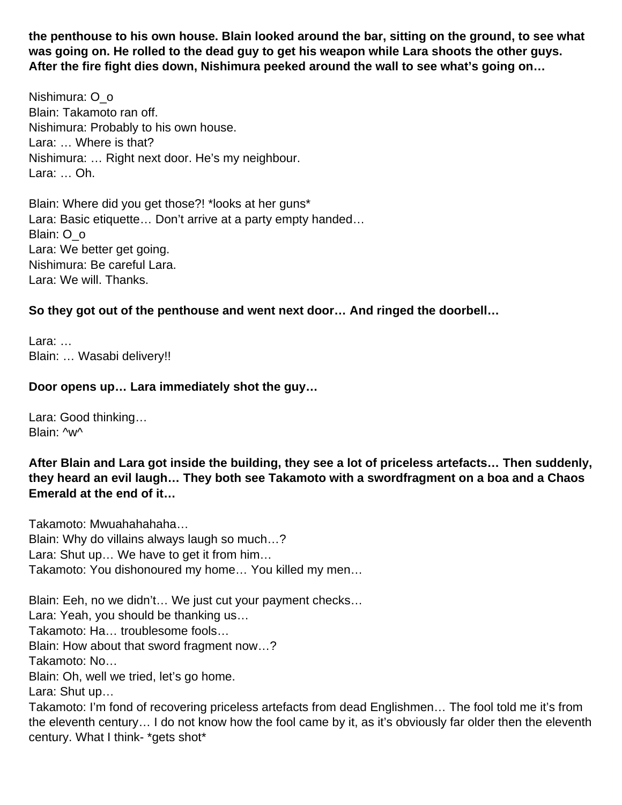**the penthouse to his own house. Blain looked around the bar, sitting on the ground, to see what was going on. He rolled to the dead guy to get his weapon while Lara shoots the other guys. After the fire fight dies down, Nishimura peeked around the wall to see what's going on…** 

Nishimura: O\_o Blain: Takamoto ran off. Nishimura: Probably to his own house. Lara: … Where is that? Nishimura: … Right next door. He's my neighbour. Lara: … Oh.

Blain: Where did you get those?! \*looks at her guns\* Lara: Basic etiquette… Don't arrive at a party empty handed… Blain: O\_o Lara: We better get going. Nishimura: Be careful Lara. Lara: We will. Thanks.

#### **So they got out of the penthouse and went next door… And ringed the doorbell…**

Lara: … Blain: … Wasabi delivery!!

#### **Door opens up… Lara immediately shot the guy…**

Lara: Good thinking… Blain: ^w^

century. What I think- \*gets shot\*

**After Blain and Lara got inside the building, they see a lot of priceless artefacts… Then suddenly, they heard an evil laugh… They both see Takamoto with a swordfragment on a boa and a Chaos Emerald at the end of it…**

Takamoto: Mwuahahahaha… Blain: Why do villains always laugh so much…? Lara: Shut up… We have to get it from him… Takamoto: You dishonoured my home… You killed my men…

Blain: Eeh, no we didn't… We just cut your payment checks… Lara: Yeah, you should be thanking us… Takamoto: Ha… troublesome fools… Blain: How about that sword fragment now…? Takamoto: No… Blain: Oh, well we tried, let's go home. Lara: Shut up… Takamoto: I'm fond of recovering priceless artefacts from dead Englishmen… The fool told me it's from the eleventh century… I do not know how the fool came by it, as it's obviously far older then the eleventh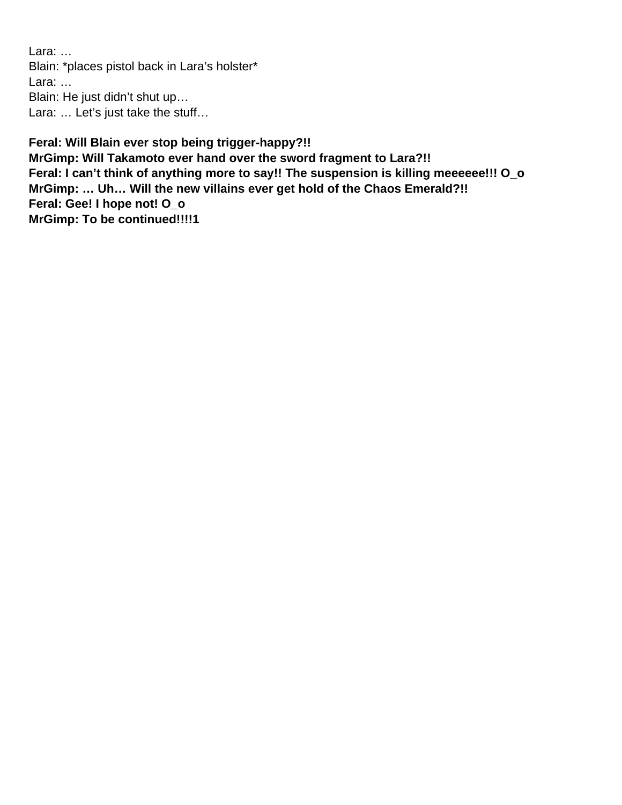Lara: … Blain: \*places pistol back in Lara's holster\* Lara: … Blain: He just didn't shut up… Lara: … Let's just take the stuff…

**Feral: Will Blain ever stop being trigger-happy?!! MrGimp: Will Takamoto ever hand over the sword fragment to Lara?!! Feral: I can't think of anything more to say!! The suspension is killing meeeeee!!! O\_o MrGimp: … Uh… Will the new villains ever get hold of the Chaos Emerald?!! Feral: Gee! I hope not! O\_o MrGimp: To be continued!!!!1**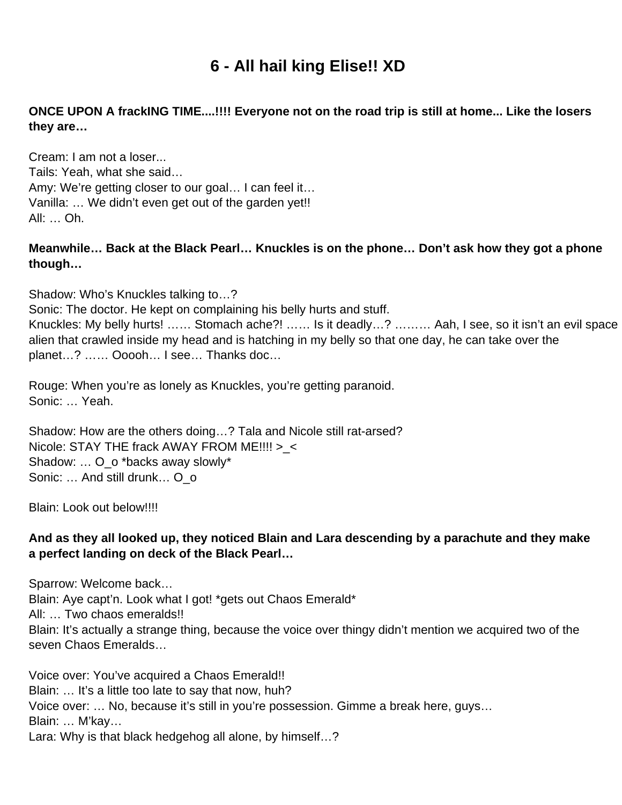# **6 - All hail king Elise!! XD**

## **ONCE UPON A frackING TIME....!!!! Everyone not on the road trip is still at home... Like the losers they are…**

Cream: I am not a loser... Tails: Yeah, what she said… Amy: We're getting closer to our goal… I can feel it… Vanilla: … We didn't even get out of the garden yet!! All: … Oh.

#### **Meanwhile… Back at the Black Pearl… Knuckles is on the phone… Don't ask how they got a phone though…**

Shadow: Who's Knuckles talking to…?

Sonic: The doctor. He kept on complaining his belly hurts and stuff.

Knuckles: My belly hurts! …… Stomach ache?! …… Is it deadly…? ……… Aah, I see, so it isn't an evil space alien that crawled inside my head and is hatching in my belly so that one day, he can take over the planet…? …… Ooooh… I see… Thanks doc…

Rouge: When you're as lonely as Knuckles, you're getting paranoid. Sonic: … Yeah.

Shadow: How are the others doing…? Tala and Nicole still rat-arsed? Nicole: STAY THE frack AWAY FROM ME!!!! >\_< Shadow: … O\_o \*backs away slowly\* Sonic: ... And still drunk... O o

Blain: Look out below!!!!

#### **And as they all looked up, they noticed Blain and Lara descending by a parachute and they make a perfect landing on deck of the Black Pearl…**

Sparrow: Welcome back… Blain: Aye capt'n. Look what I got! \*gets out Chaos Emerald\* All: … Two chaos emeralds!! Blain: It's actually a strange thing, because the voice over thingy didn't mention we acquired two of the seven Chaos Emeralds…

Voice over: You've acquired a Chaos Emerald!! Blain: ... It's a little too late to say that now, huh? Voice over: … No, because it's still in you're possession. Gimme a break here, guys… Blain: … M'kay… Lara: Why is that black hedgehog all alone, by himself…?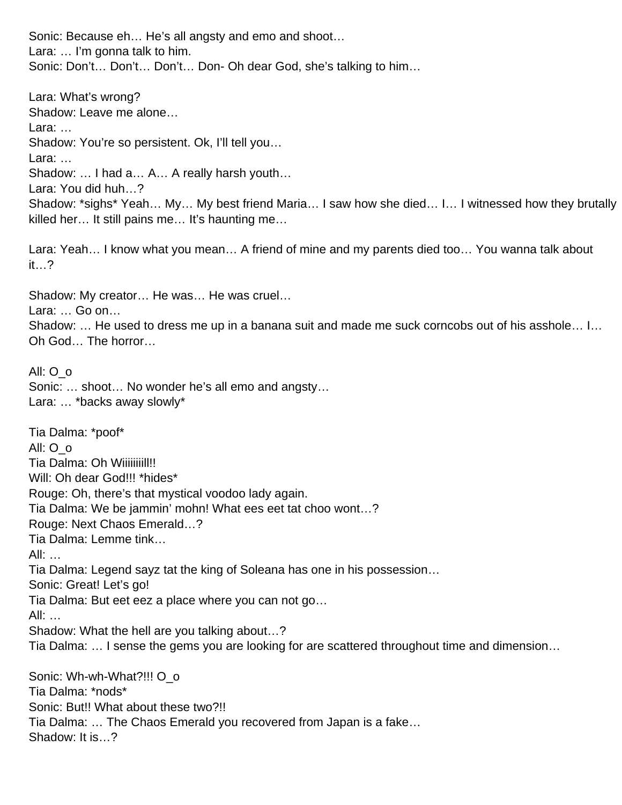Sonic: Because eh… He's all angsty and emo and shoot… Lara: … I'm gonna talk to him. Sonic: Don't… Don't… Don't… Don- Oh dear God, she's talking to him…

Lara: What's wrong? Shadow: Leave me alone… Lara: … Shadow: You're so persistent. Ok, I'll tell you… Lara: … Shadow: … I had a… A… A really harsh youth… Lara: You did huh…? Shadow: \*sighs\* Yeah… My… My best friend Maria… I saw how she died… I… I witnessed how they brutally killed her… It still pains me… It's haunting me… Lara: Yeah… I know what you mean… A friend of mine and my parents died too… You wanna talk about it…? Shadow: My creator… He was… He was cruel… Lara: … Go on… Shadow: … He used to dress me up in a banana suit and made me suck corncobs out of his asshole… I… Oh God… The horror… All: O\_o Sonic: … shoot… No wonder he's all emo and angsty… Lara: … \*backs away slowly\* Tia Dalma: \*poof\* All: O\_o Tia Dalma: Oh Wiiiiiiiiil!!! Will: Oh dear God!!! \*hides\* Rouge: Oh, there's that mystical voodoo lady again. Tia Dalma: We be jammin' mohn! What ees eet tat choo wont…? Rouge: Next Chaos Emerald…? Tia Dalma: Lemme tink… All: … Tia Dalma: Legend sayz tat the king of Soleana has one in his possession… Sonic: Great! Let's go! Tia Dalma: But eet eez a place where you can not go… All: … Shadow: What the hell are you talking about…? Tia Dalma: … I sense the gems you are looking for are scattered throughout time and dimension… Sonic: Wh-wh-What?!!! O\_o Tia Dalma: \*nods\* Sonic: But!! What about these two?!!

Tia Dalma: … The Chaos Emerald you recovered from Japan is a fake…

Shadow: It is…?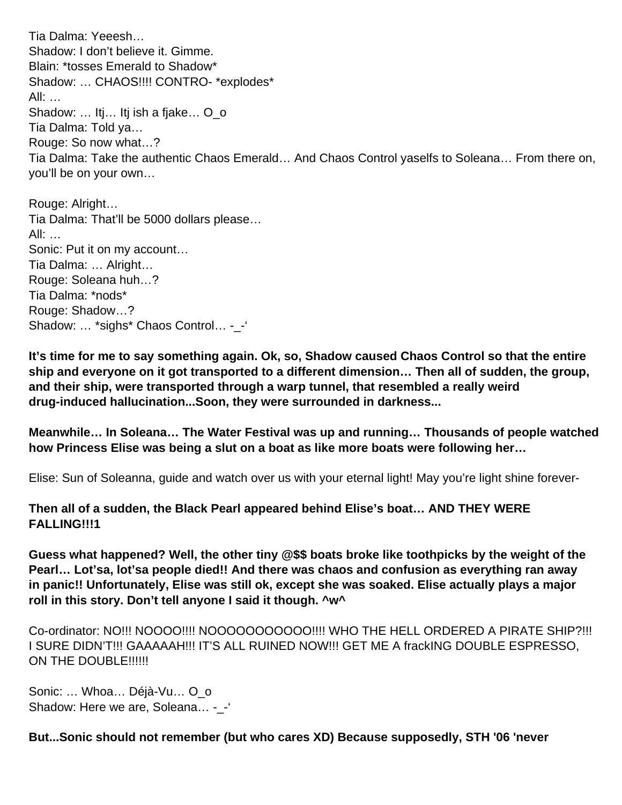Tia Dalma: Yeeesh… Shadow: I don't believe it. Gimme. Blain: \*tosses Emerald to Shadow\* Shadow: … CHAOS!!!! CONTRO- \*explodes\* All: … Shadow: ... Itj... Itj ish a fjake... O o Tia Dalma: Told ya… Rouge: So now what…? Tia Dalma: Take the authentic Chaos Emerald… And Chaos Control yaselfs to Soleana… From there on, you'll be on your own…

Rouge: Alright… Tia Dalma: That'll be 5000 dollars please… All: … Sonic: Put it on my account… Tia Dalma: … Alright… Rouge: Soleana huh…? Tia Dalma: \*nods\* Rouge: Shadow…? Shadow: … \*sighs\* Chaos Control… -\_-'

**It's time for me to say something again. Ok, so, Shadow caused Chaos Control so that the entire ship and everyone on it got transported to a different dimension… Then all of sudden, the group, and their ship, were transported through a warp tunnel, that resembled a really weird drug-induced hallucination...Soon, they were surrounded in darkness...**

**Meanwhile… In Soleana… The Water Festival was up and running… Thousands of people watched how Princess Elise was being a slut on a boat as like more boats were following her…** 

Elise: Sun of Soleanna, guide and watch over us with your eternal light! May you're light shine forever-

**Then all of a sudden, the Black Pearl appeared behind Elise's boat… AND THEY WERE FALLING!!!1**

**Guess what happened? Well, the other tiny @\$\$ boats broke like toothpicks by the weight of the Pearl… Lot'sa, lot'sa people died!! And there was chaos and confusion as everything ran away in panic!! Unfortunately, Elise was still ok, except she was soaked. Elise actually plays a major roll in this story. Don't tell anyone I said it though. ^w^**

Co-ordinator: NO!!! NOOOO!!!! NOOOOOOOOOOO!!!! WHO THE HELL ORDERED A PIRATE SHIP?!!! I SURE DIDN'T!!! GAAAAAH!!! IT'S ALL RUINED NOW!!! GET ME A frackING DOUBLE ESPRESSO, ON THE DOUBLE!!!!!!

Sonic: … Whoa… Déjà-Vu… O\_o Shadow: Here we are, Soleana... - -'

**But...Sonic should not remember (but who cares XD) Because supposedly, STH '06 'never**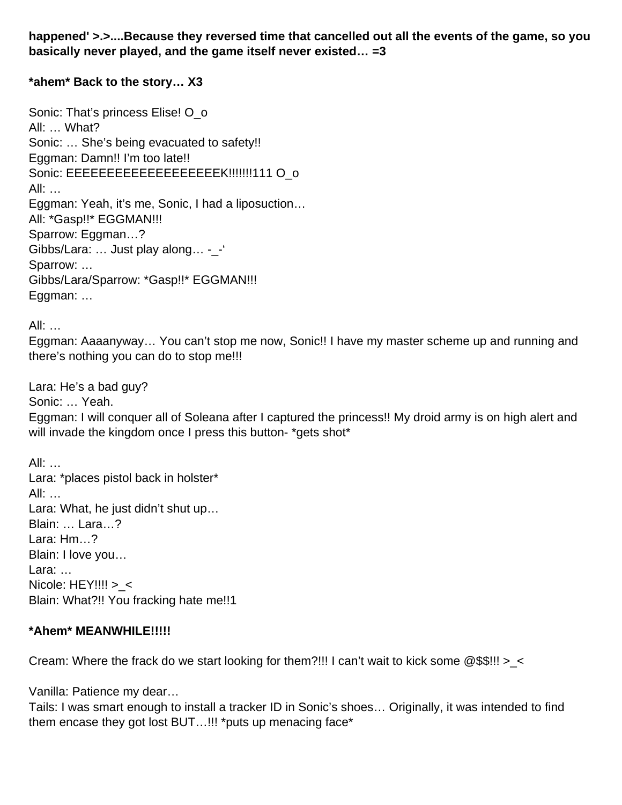**happened' >.>....Because they reversed time that cancelled out all the events of the game, so you basically never played, and the game itself never existed… =3**

#### **\*ahem\* Back to the story… X3**

Sonic: That's princess Elise! O o All: … What? Sonic: … She's being evacuated to safety!! Eggman: Damn!! I'm too late!! Sonic: EEEEEEEEEEEEEEEEEEEK!!!!!!!111 O\_o All: … Eggman: Yeah, it's me, Sonic, I had a liposuction… All: \*Gasp!!\* EGGMAN!!! Sparrow: Eggman…? Gibbs/Lara: … Just play along… -\_-' Sparrow: … Gibbs/Lara/Sparrow: \*Gasp!!\* EGGMAN!!! Eggman: …

All: …

Eggman: Aaaanyway… You can't stop me now, Sonic!! I have my master scheme up and running and there's nothing you can do to stop me!!!

Lara: He's a bad guy? Sonic: … Yeah. Eggman: I will conquer all of Soleana after I captured the princess!! My droid army is on high alert and will invade the kingdom once I press this button- \*gets shot\*

All: … Lara: \*places pistol back in holster\* All: … Lara: What, he just didn't shut up… Blain: … Lara…? Lara: Hm...? Blain: I love you… Lara: … Nicole: HEY!!!! > < Blain: What?!! You fracking hate me!!1

#### **\*Ahem\* MEANWHILE!!!!!**

Cream: Where the frack do we start looking for them?!!! I can't wait to kick some  $@$$!!' > <$ 

Vanilla: Patience my dear…

Tails: I was smart enough to install a tracker ID in Sonic's shoes… Originally, it was intended to find them encase they got lost BUT…!!! \*puts up menacing face\*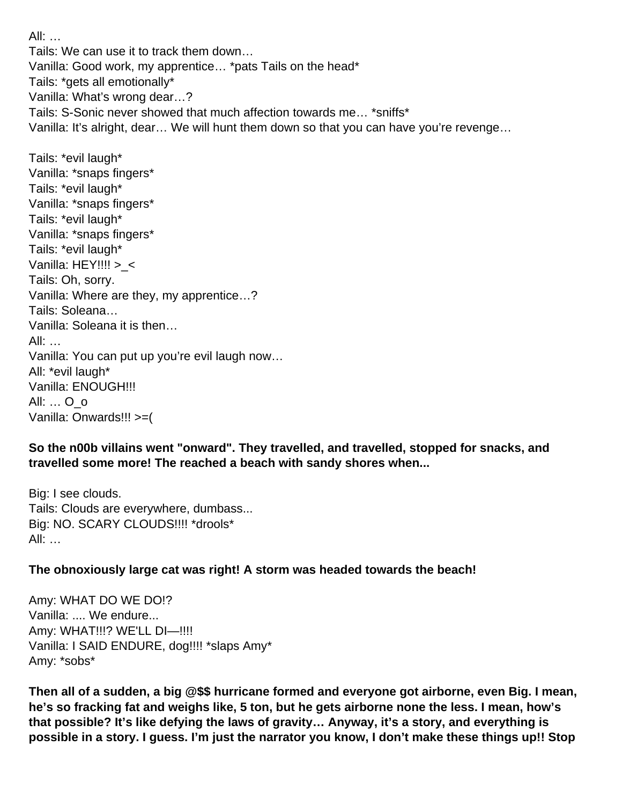All: … Tails: We can use it to track them down… Vanilla: Good work, my apprentice… \*pats Tails on the head\* Tails: \*gets all emotionally\* Vanilla: What's wrong dear…? Tails: S-Sonic never showed that much affection towards me… \*sniffs\* Vanilla: It's alright, dear… We will hunt them down so that you can have you're revenge… Tails: \*evil laugh\* Vanilla: \*snaps fingers\* Tails: \*evil laugh\* Vanilla: \*snaps fingers\* Tails: \*evil laugh\* Vanilla: \*snaps fingers\* Tails: \*evil laugh\* Vanilla: HEY!!!! > < Tails: Oh, sorry. Vanilla: Where are they, my apprentice…? Tails: Soleana… Vanilla: Soleana it is then… All: … Vanilla: You can put up you're evil laugh now… All: \*evil laugh\* Vanilla: ENOUGH!!! All: … O\_o Vanilla: Onwards!!! >=(

**So the n00b villains went "onward". They travelled, and travelled, stopped for snacks, and travelled some more! The reached a beach with sandy shores when...**

Big: I see clouds. Tails: Clouds are everywhere, dumbass... Big: NO. SCARY CLOUDS!!!! \*drools\* All: …

#### **The obnoxiously large cat was right! A storm was headed towards the beach!**

Amy: WHAT DO WE DO!? Vanilla: .... We endure... Amy: WHAT!!!? WE'LL DI—!!!! Vanilla: I SAID ENDURE, dog!!!! \*slaps Amy\* Amy: \*sobs\*

**Then all of a sudden, a big @\$\$ hurricane formed and everyone got airborne, even Big. I mean, he's so fracking fat and weighs like, 5 ton, but he gets airborne none the less. I mean, how's that possible? It's like defying the laws of gravity… Anyway, it's a story, and everything is possible in a story. I guess. I'm just the narrator you know, I don't make these things up!! Stop**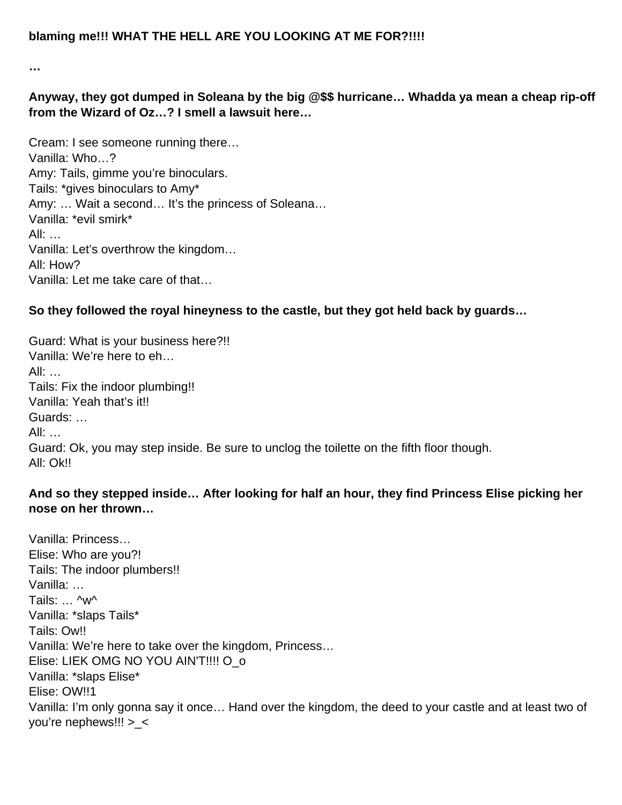**…**

**Anyway, they got dumped in Soleana by the big @\$\$ hurricane… Whadda ya mean a cheap rip-off from the Wizard of Oz…? I smell a lawsuit here…** 

Cream: I see someone running there… Vanilla: Who…? Amy: Tails, gimme you're binoculars. Tails: \*gives binoculars to Amy\* Amy: … Wait a second… It's the princess of Soleana… Vanilla: \*evil smirk\* All: … Vanilla: Let's overthrow the kingdom… All: How? Vanilla: Let me take care of that…

## **So they followed the royal hineyness to the castle, but they got held back by guards…**

Guard: What is your business here?!! Vanilla: We're here to eh…  $All:$ Tails: Fix the indoor plumbing!! Vanilla: Yeah that's it!! Guards: … All: … Guard: Ok, you may step inside. Be sure to unclog the toilette on the fifth floor though. All: Ok!!

## **And so they stepped inside… After looking for half an hour, they find Princess Elise picking her nose on her thrown…**

Vanilla: Princess… Elise: Who are you?! Tails: The indoor plumbers!! Vanilla: … Tails: … ^w^ Vanilla: \*slaps Tails\* Tails: Ow!! Vanilla: We're here to take over the kingdom, Princess… Elise: LIEK OMG NO YOU AIN'T!!!! O\_o Vanilla: \*slaps Elise\* Elise: OW!!1 Vanilla: I'm only gonna say it once… Hand over the kingdom, the deed to your castle and at least two of you're nephews!!! >\_<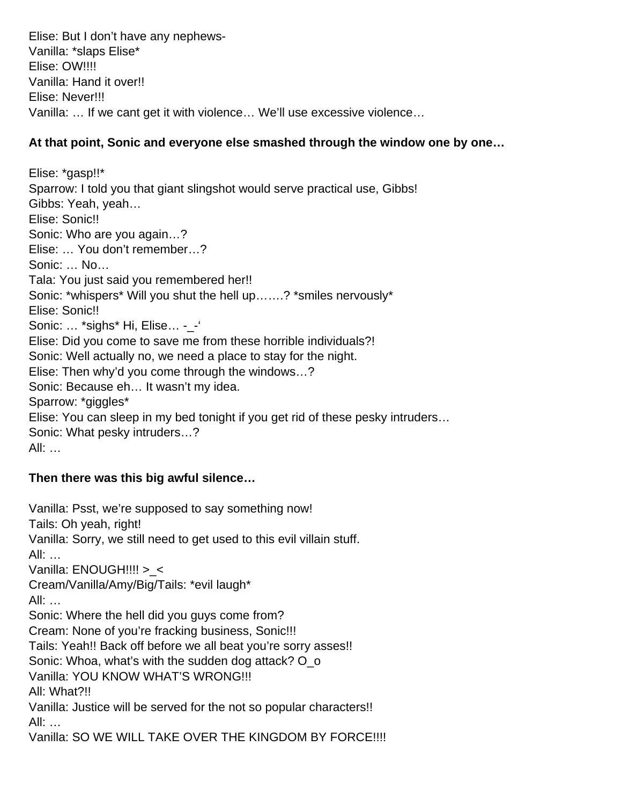Elise: But I don't have any nephews-Vanilla: \*slaps Elise\* Elise: OW!!!! Vanilla: Hand it over!! Elise: Never!!! Vanilla: … If we cant get it with violence… We'll use excessive violence…

## **At that point, Sonic and everyone else smashed through the window one by one…**

Elise: \*gasp!!\* Sparrow: I told you that giant slingshot would serve practical use, Gibbs! Gibbs: Yeah, yeah… Elise: Sonic!! Sonic: Who are you again…? Elise: … You don't remember…? Sonic: … No… Tala: You just said you remembered her!! Sonic: \*whispers\* Will you shut the hell up…….? \*smiles nervously\* Elise: Sonic!! Sonic: … \*sighs\* Hi, Elise… -\_-' Elise: Did you come to save me from these horrible individuals?! Sonic: Well actually no, we need a place to stay for the night. Elise: Then why'd you come through the windows…? Sonic: Because eh… It wasn't my idea. Sparrow: \*giggles\* Elise: You can sleep in my bed tonight if you get rid of these pesky intruders… Sonic: What pesky intruders…? All: …

# **Then there was this big awful silence…**

Vanilla: Psst, we're supposed to say something now! Tails: Oh yeah, right! Vanilla: Sorry, we still need to get used to this evil villain stuff. All: … Vanilla: ENOUGH!!!! > < Cream/Vanilla/Amy/Big/Tails: \*evil laugh\* All: … Sonic: Where the hell did you guys come from? Cream: None of you're fracking business, Sonic!!! Tails: Yeah!! Back off before we all beat you're sorry asses!! Sonic: Whoa, what's with the sudden dog attack? O o Vanilla: YOU KNOW WHAT'S WRONG!!! All: What?!! Vanilla: Justice will be served for the not so popular characters!! All: … Vanilla: SO WE WILL TAKE OVER THE KINGDOM BY FORCE!!!!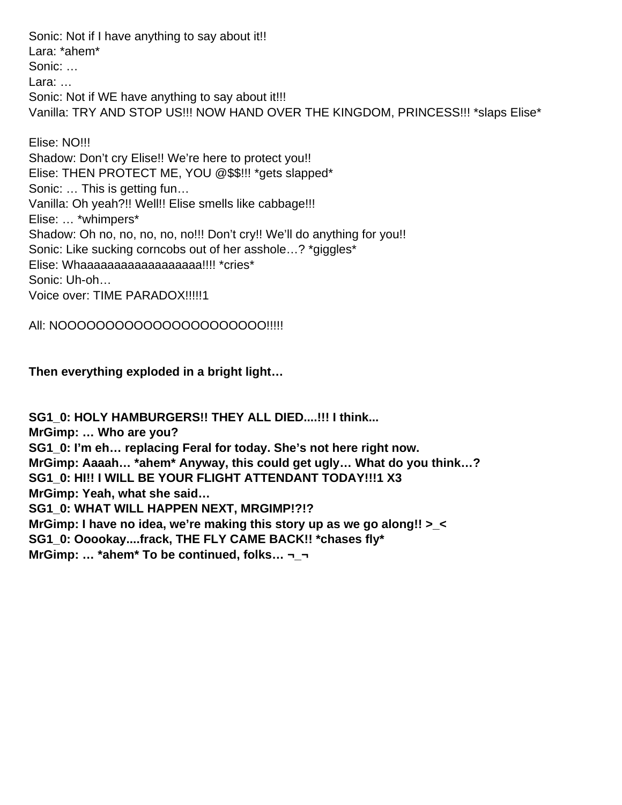Sonic: Not if I have anything to say about it!! Lara: \*ahem\* Sonic: … Lara: … Sonic: Not if WE have anything to say about it!!! Vanilla: TRY AND STOP US!!! NOW HAND OVER THE KINGDOM, PRINCESS!!! \*slaps Elise\*

Elise: NO!!! Shadow: Don't cry Elise!! We're here to protect you!! Elise: THEN PROTECT ME, YOU @\$\$!!! \*gets slapped\* Sonic: … This is getting fun… Vanilla: Oh yeah?!! Well!! Elise smells like cabbage!!! Elise: … \*whimpers\* Shadow: Oh no, no, no, no, no!!! Don't cry!! We'll do anything for you!! Sonic: Like sucking corncobs out of her asshole…? \*giggles\* Elise: Whaaaaaaaaaaaaaaaaaa!!!! \*cries\* Sonic: Uh-oh… Voice over: TIME PARADOX!!!!!1

All: NOOOOOOOOOOOOOOOOOOOO!!!!!

**Then everything exploded in a bright light…**

**SG1\_0: HOLY HAMBURGERS!! THEY ALL DIED....!!! I think... MrGimp: … Who are you? SG1\_0: I'm eh… replacing Feral for today. She's not here right now. MrGimp: Aaaah… \*ahem\* Anyway, this could get ugly… What do you think…? SG1\_0: HI!! I WILL BE YOUR FLIGHT ATTENDANT TODAY!!!1 X3 MrGimp: Yeah, what she said… SG1\_0: WHAT WILL HAPPEN NEXT, MRGIMP!?!? MrGimp: I have no idea, we're making this story up as we go along!! >\_< SG1\_0: Ooookay....frack, THE FLY CAME BACK!! \*chases fly\* MrGimp: … \*ahem\* To be continued, folks… ¬\_¬**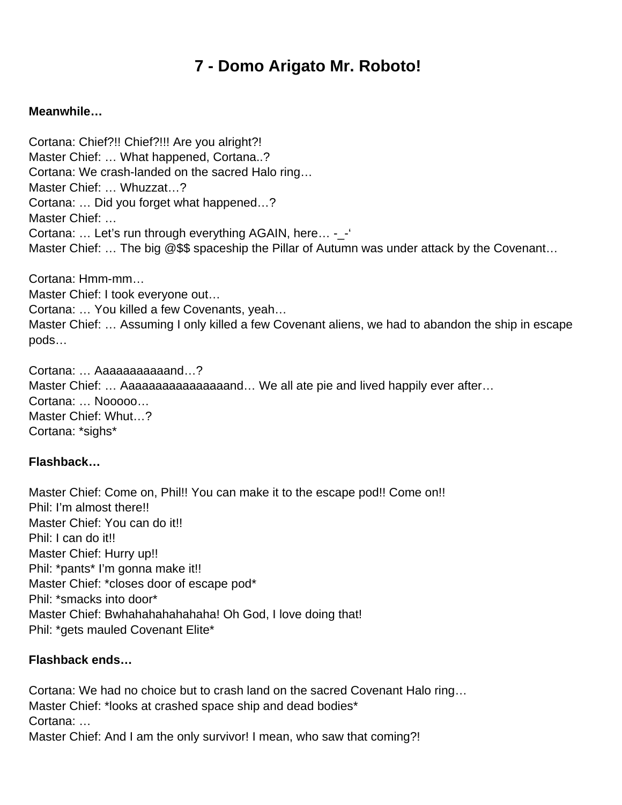# **7 - Domo Arigato Mr. Roboto!**

#### **Meanwhile…**

Cortana: Chief?!! Chief?!!! Are you alright?! Master Chief: … What happened, Cortana..? Cortana: We crash-landed on the sacred Halo ring… Master Chief: … Whuzzat…? Cortana: … Did you forget what happened…? Master Chief: … Cortana: … Let's run through everything AGAIN, here… -\_-' Master Chief: ... The big @\$\$ spaceship the Pillar of Autumn was under attack by the Covenant...

Cortana: Hmm-mm… Master Chief: I took everyone out… Cortana: … You killed a few Covenants, yeah… Master Chief: … Assuming I only killed a few Covenant aliens, we had to abandon the ship in escape pods…

Cortana: … Aaaaaaaaaaand…? Master Chief: ... Aaaaaaaaaaaaaaaaand... We all ate pie and lived happily ever after... Cortana: … Nooooo… Master Chief: Whut…? Cortana: \*sighs\*

#### **Flashback…**

Master Chief: Come on, Phil!! You can make it to the escape pod!! Come on!! Phil: I'm almost there!! Master Chief: You can do it!! Phil: I can do it!! Master Chief: Hurry up!! Phil: \*pants\* I'm gonna make it!! Master Chief: \*closes door of escape pod\* Phil: \*smacks into door\* Master Chief: Bwhahahahahahaha! Oh God, I love doing that! Phil: \*gets mauled Covenant Elite\*

#### **Flashback ends…**

Cortana: We had no choice but to crash land on the sacred Covenant Halo ring… Master Chief: \*looks at crashed space ship and dead bodies\* Cortana: … Master Chief: And I am the only survivor! I mean, who saw that coming?!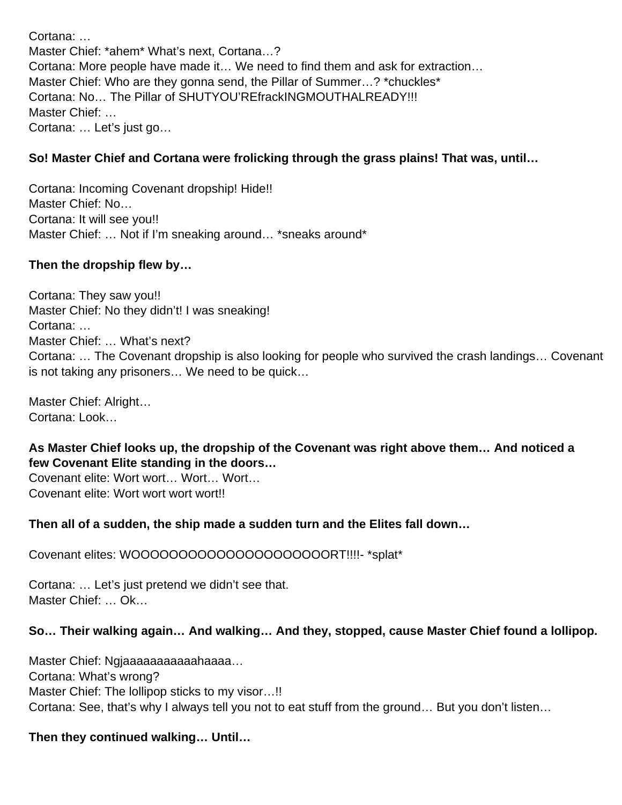Cortana: … Master Chief: \*ahem\* What's next, Cortana…? Cortana: More people have made it… We need to find them and ask for extraction… Master Chief: Who are they gonna send, the Pillar of Summer…? \*chuckles\* Cortana: No… The Pillar of SHUTYOU'REfrackINGMOUTHALREADY!!! Master Chief: … Cortana: … Let's just go…

#### **So! Master Chief and Cortana were frolicking through the grass plains! That was, until…**

Cortana: Incoming Covenant dropship! Hide!! Master Chief: No… Cortana: It will see you!! Master Chief: … Not if I'm sneaking around… \*sneaks around\*

#### **Then the dropship flew by…**

Cortana: They saw you!! Master Chief: No they didn't! I was sneaking! Cortana: … Master Chief: … What's next? Cortana: … The Covenant dropship is also looking for people who survived the crash landings… Covenant is not taking any prisoners… We need to be quick…

Master Chief: Alright… Cortana: Look…

**As Master Chief looks up, the dropship of the Covenant was right above them… And noticed a few Covenant Elite standing in the doors…** 

Covenant elite: Wort wort… Wort… Wort… Covenant elite: Wort wort wort wort!!

#### **Then all of a sudden, the ship made a sudden turn and the Elites fall down…**

Covenant elites: WOOOOOOOOOOOOOOOOOOOOORT!!!!- \*splat\*

Cortana: … Let's just pretend we didn't see that. Master Chief: … Ok…

#### **So… Their walking again… And walking… And they, stopped, cause Master Chief found a lollipop.**

Master Chief: Ngjaaaaaaaaaaahaaaa… Cortana: What's wrong? Master Chief: The lollipop sticks to my visor…!! Cortana: See, that's why I always tell you not to eat stuff from the ground… But you don't listen…

#### **Then they continued walking… Until…**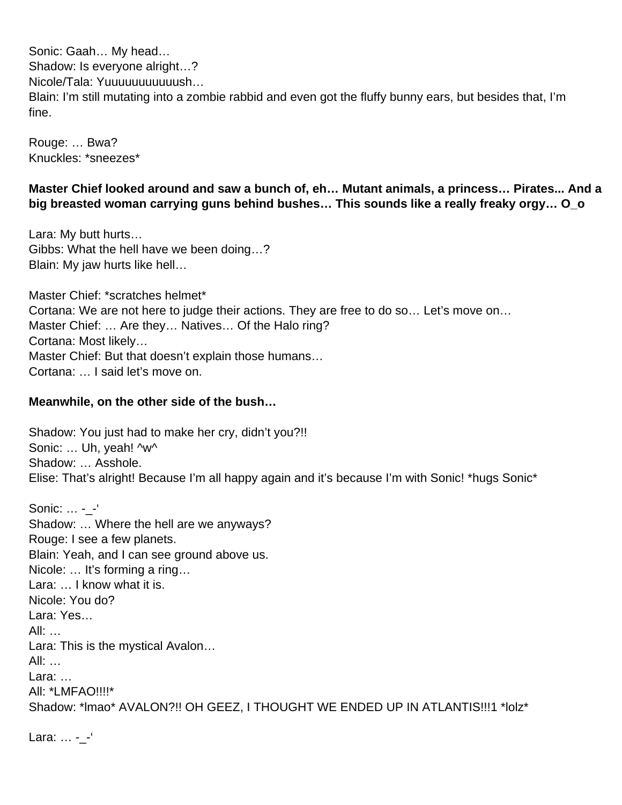Sonic: Gaah… My head… Shadow: Is everyone alright…? Nicole/Tala: Yuuuuuuuuuuush… Blain: I'm still mutating into a zombie rabbid and even got the fluffy bunny ears, but besides that, I'm fine.

Rouge: … Bwa? Knuckles: \*sneezes\*

#### **Master Chief looked around and saw a bunch of, eh… Mutant animals, a princess… Pirates... And a big breasted woman carrying guns behind bushes… This sounds like a really freaky orgy… O\_o**

Lara: My butt hurts… Gibbs: What the hell have we been doing…? Blain: My jaw hurts like hell…

Master Chief: \*scratches helmet\* Cortana: We are not here to judge their actions. They are free to do so… Let's move on… Master Chief: … Are they… Natives… Of the Halo ring? Cortana: Most likely… Master Chief: But that doesn't explain those humans… Cortana: … I said let's move on.

#### **Meanwhile, on the other side of the bush…**

Shadow: You just had to make her cry, didn't you?!! Sonic: ... Uh. veah! ^w^ Shadow: … Asshole. Elise: That's alright! Because I'm all happy again and it's because I'm with Sonic! \*hugs Sonic\*

Sonic: ... - -' Shadow: … Where the hell are we anyways? Rouge: I see a few planets. Blain: Yeah, and I can see ground above us. Nicole: … It's forming a ring… Lara: ... I know what it is. Nicole: You do? Lara: Yes… All: … Lara: This is the mystical Avalon… All: … Lara: … All: \*LMFAO!!!!\* Shadow: \*lmao\* AVALON?!! OH GEEZ, I THOUGHT WE ENDED UP IN ATLANTIS!!!1 \*lolz\*

Lara: ... - -'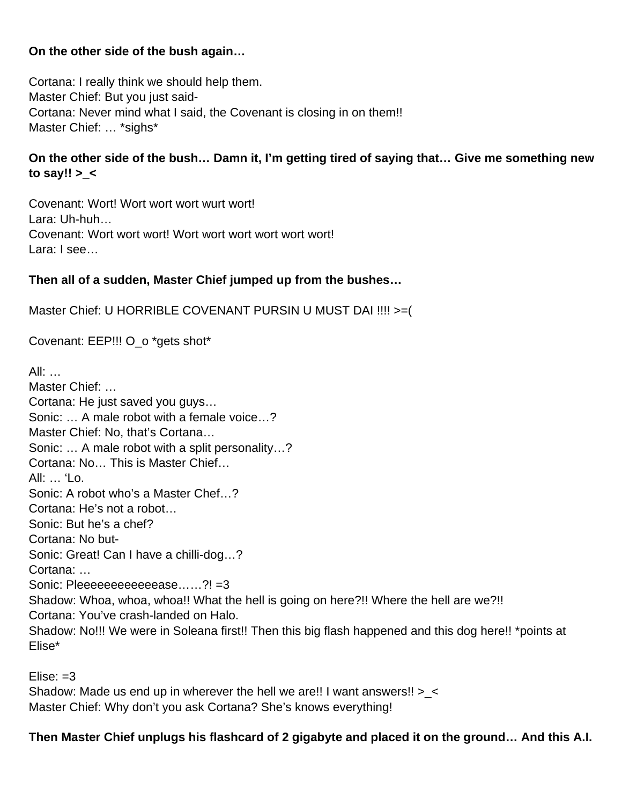#### **On the other side of the bush again…**

Cortana: I really think we should help them. Master Chief: But you just said-Cortana: Never mind what I said, the Covenant is closing in on them!! Master Chief: … \*sighs\*

## **On the other side of the bush… Damn it, I'm getting tired of saying that… Give me something new to say!! >\_<**

Covenant: Wort! Wort wort wort wurt wort! Lara: Uh-huh… Covenant: Wort wort wort! Wort wort wort wort wort wort! Lara: I see…

# **Then all of a sudden, Master Chief jumped up from the bushes…**

Master Chief: U HORRIBLE COVENANT PURSIN U MUST DAI !!!! >=(

Covenant: EEP!!! O\_o \*gets shot\*

 $All:$ Master Chief: … Cortana: He just saved you guys… Sonic: … A male robot with a female voice…? Master Chief: No, that's Cortana… Sonic: … A male robot with a split personality…? Cortana: No… This is Master Chief… All:  $\mathcal{L}$   $\mathcal{L}$ Sonic: A robot who's a Master Chef…? Cortana: He's not a robot… Sonic: But he's a chef? Cortana: No but-Sonic: Great! Can I have a chilli-dog…? Cortana: … Sonic: Pleeeeeeeeeeeease……?! =3 Shadow: Whoa, whoa, whoa!! What the hell is going on here?!! Where the hell are we?!! Cortana: You've crash-landed on Halo. Shadow: No!!! We were in Soleana first!! Then this big flash happened and this dog here!! \*points at Elise\*

 $E$ lise:  $=3$ 

Shadow: Made us end up in wherever the hell we are!! I want answers!! >\_< Master Chief: Why don't you ask Cortana? She's knows everything!

# **Then Master Chief unplugs his flashcard of 2 gigabyte and placed it on the ground… And this A.I.**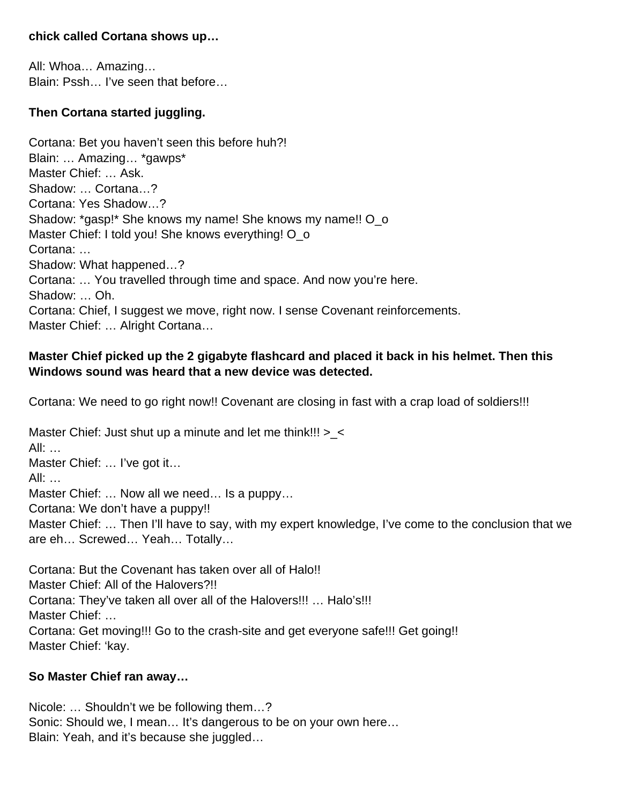#### **chick called Cortana shows up…**

All: Whoa… Amazing… Blain: Pssh… I've seen that before…

## **Then Cortana started juggling.**

Cortana: Bet you haven't seen this before huh?! Blain: … Amazing… \*gawps\* Master Chief: … Ask. Shadow: … Cortana…? Cortana: Yes Shadow…? Shadow: \*gasp!\* She knows my name! She knows my name!! O o Master Chief: I told you! She knows everything! O\_o Cortana: … Shadow: What happened…? Cortana: … You travelled through time and space. And now you're here. Shadow: … Oh. Cortana: Chief, I suggest we move, right now. I sense Covenant reinforcements. Master Chief: … Alright Cortana…

#### **Master Chief picked up the 2 gigabyte flashcard and placed it back in his helmet. Then this Windows sound was heard that a new device was detected.**

Cortana: We need to go right now!! Covenant are closing in fast with a crap load of soldiers!!!

Master Chief: Just shut up a minute and let me think!!!  $>$  < All: … Master Chief: … I've got it… All: … Master Chief: … Now all we need… Is a puppy… Cortana: We don't have a puppy!! Master Chief: … Then I'll have to say, with my expert knowledge, I've come to the conclusion that we are eh… Screwed… Yeah… Totally…

Cortana: But the Covenant has taken over all of Halo!! Master Chief: All of the Halovers?!! Cortana: They've taken all over all of the Halovers!!! … Halo's!!! Master Chief: … Cortana: Get moving!!! Go to the crash-site and get everyone safe!!! Get going!! Master Chief: 'kay.

#### **So Master Chief ran away…**

Nicole: … Shouldn't we be following them…? Sonic: Should we, I mean... It's dangerous to be on your own here... Blain: Yeah, and it's because she juggled…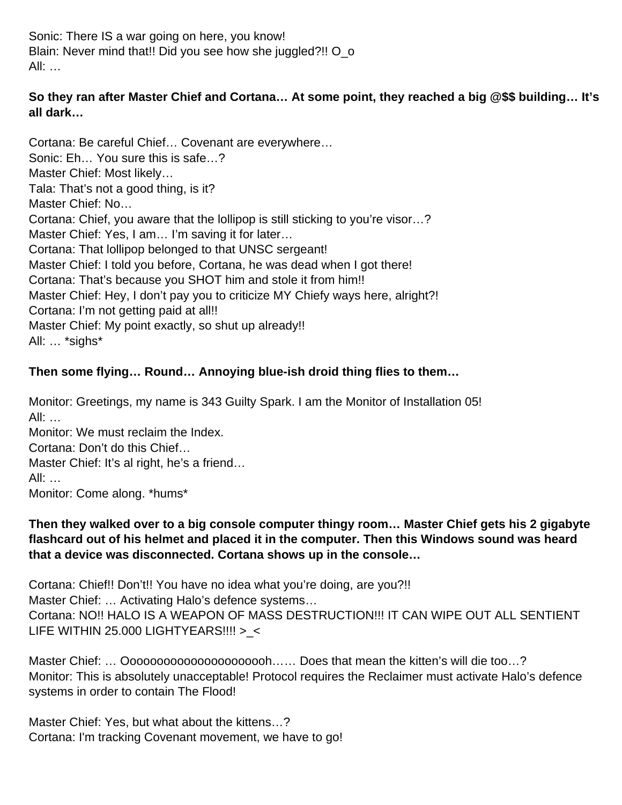Sonic: There IS a war going on here, you know! Blain: Never mind that!! Did you see how she juggled?!! O o All: …

## **So they ran after Master Chief and Cortana… At some point, they reached a big @\$\$ building… It's all dark…**

Cortana: Be careful Chief… Covenant are everywhere… Sonic: Eh… You sure this is safe…? Master Chief: Most likely… Tala: That's not a good thing, is it? Master Chief: No… Cortana: Chief, you aware that the lollipop is still sticking to you're visor…? Master Chief: Yes, I am… I'm saving it for later… Cortana: That lollipop belonged to that UNSC sergeant! Master Chief: I told you before, Cortana, he was dead when I got there! Cortana: That's because you SHOT him and stole it from him!! Master Chief: Hey, I don't pay you to criticize MY Chiefy ways here, alright?! Cortana: I'm not getting paid at all!! Master Chief: My point exactly, so shut up already!! All: … \*sighs\*

## **Then some flying… Round… Annoying blue-ish droid thing flies to them…**

Monitor: Greetings, my name is 343 Guilty Spark. I am the Monitor of Installation 05! All: … Monitor: We must reclaim the Index. Cortana: Don't do this Chief… Master Chief: It's al right, he's a friend…

All: …

Monitor: Come along. \*hums\*

#### **Then they walked over to a big console computer thingy room… Master Chief gets his 2 gigabyte flashcard out of his helmet and placed it in the computer. Then this Windows sound was heard that a device was disconnected. Cortana shows up in the console…**

Cortana: Chief!! Don't!! You have no idea what you're doing, are you?!! Master Chief: … Activating Halo's defence systems… Cortana: NO!! HALO IS A WEAPON OF MASS DESTRUCTION!!! IT CAN WIPE OUT ALL SENTIENT LIFE WITHIN 25.000 LIGHTYEARS!!!! > <

Master Chief: ... Ooooooooooooooooooooooh...... Does that mean the kitten's will die too...? Monitor: This is absolutely unacceptable! Protocol requires the Reclaimer must activate Halo's defence systems in order to contain The Flood!

Master Chief: Yes, but what about the kittens…? Cortana: I'm tracking Covenant movement, we have to go!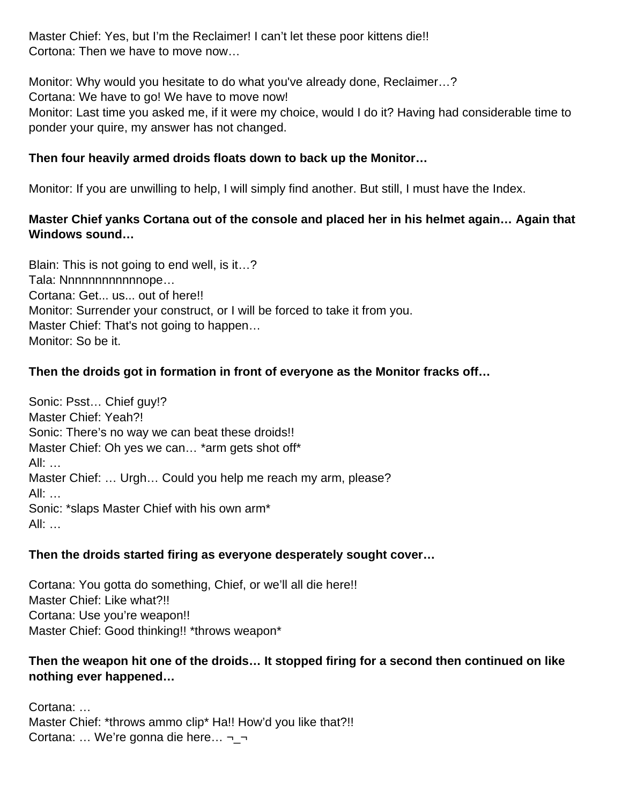Master Chief: Yes, but I'm the Reclaimer! I can't let these poor kittens die!! Cortona: Then we have to move now…

Monitor: Why would you hesitate to do what you've already done, Reclaimer…? Cortana: We have to go! We have to move now! Monitor: Last time you asked me, if it were my choice, would I do it? Having had considerable time to ponder your quire, my answer has not changed.

#### **Then four heavily armed droids floats down to back up the Monitor…**

Monitor: If you are unwilling to help, I will simply find another. But still, I must have the Index.

## **Master Chief yanks Cortana out of the console and placed her in his helmet again… Again that Windows sound…**

Blain: This is not going to end well, is it…? Tala: Nnnnnnnnnnnnope… Cortana: Get... us... out of here!! Monitor: Surrender your construct, or I will be forced to take it from you. Master Chief: That's not going to happen… Monitor: So be it.

## **Then the droids got in formation in front of everyone as the Monitor fracks off…**

Sonic: Psst… Chief guy!? Master Chief: Yeah?! Sonic: There's no way we can beat these droids!! Master Chief: Oh yes we can… \*arm gets shot off\* All: … Master Chief: … Urgh… Could you help me reach my arm, please? All: … Sonic: \*slaps Master Chief with his own arm\* All: …

#### **Then the droids started firing as everyone desperately sought cover…**

Cortana: You gotta do something, Chief, or we'll all die here!! Master Chief: Like what?!! Cortana: Use you're weapon!! Master Chief: Good thinking!! \*throws weapon\*

#### **Then the weapon hit one of the droids… It stopped firing for a second then continued on like nothing ever happened…**

Cortana: … Master Chief: \*throws ammo clip\* Ha!! How'd you like that?!! Cortana: … We're gonna die here… ¬\_¬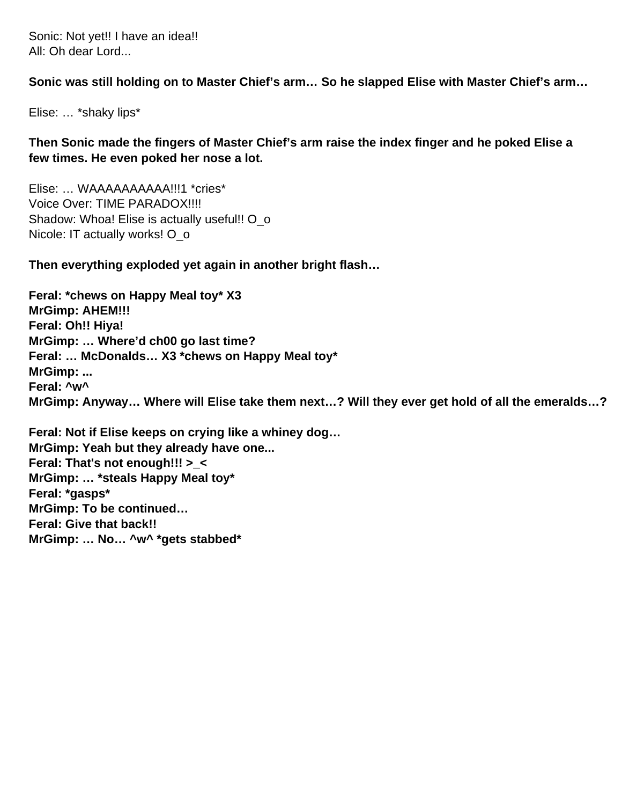Sonic: Not yet!! I have an idea!! All: Oh dear Lord...

**Sonic was still holding on to Master Chief's arm… So he slapped Elise with Master Chief's arm…** 

Elise: … \*shaky lips\*

**Then Sonic made the fingers of Master Chief's arm raise the index finger and he poked Elise a few times. He even poked her nose a lot.** 

Elise: … WAAAAAAAAAA!!!1 \*cries\* Voice Over: TIME PARADOX!!!! Shadow: Whoa! Elise is actually useful!! O o Nicole: IT actually works! O\_o

**Then everything exploded yet again in another bright flash…**

**Feral: \*chews on Happy Meal toy\* X3 MrGimp: AHEM!!! Feral: Oh!! Hiya! MrGimp: … Where'd ch00 go last time? Feral: … McDonalds… X3 \*chews on Happy Meal toy\* MrGimp: ... Feral: ^w^ MrGimp: Anyway… Where will Elise take them next…? Will they ever get hold of all the emeralds…?**

**Feral: Not if Elise keeps on crying like a whiney dog… MrGimp: Yeah but they already have one... Feral: That's not enough!!! >\_< MrGimp: … \*steals Happy Meal toy\* Feral: \*gasps\* MrGimp: To be continued… Feral: Give that back!! MrGimp: … No… ^w^ \*gets stabbed\***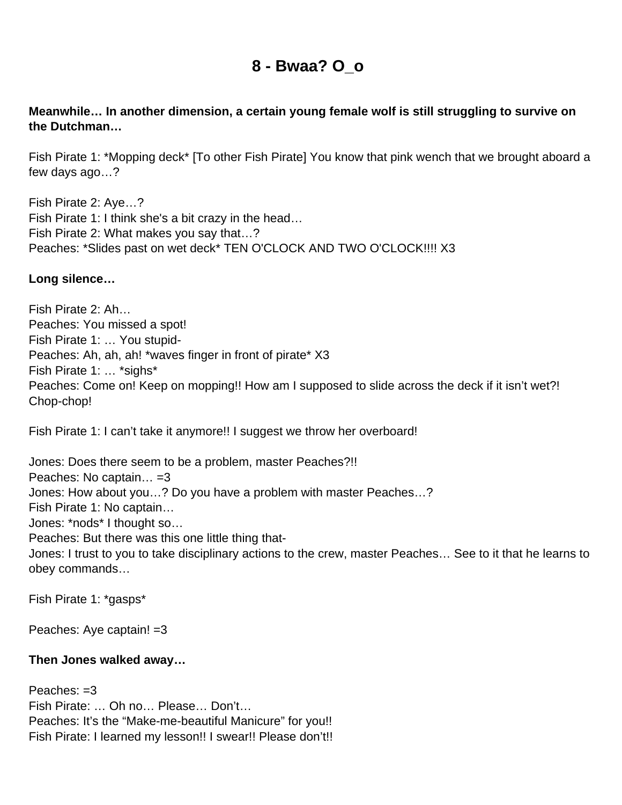# **8 - Bwaa? O\_o**

#### **Meanwhile… In another dimension, a certain young female wolf is still struggling to survive on the Dutchman…**

Fish Pirate 1: \*Mopping deck\* [To other Fish Pirate] You know that pink wench that we brought aboard a few days ago…?

Fish Pirate 2: Aye…? Fish Pirate 1: I think she's a bit crazy in the head… Fish Pirate 2: What makes you say that…? Peaches: \*Slides past on wet deck\* TEN O'CLOCK AND TWO O'CLOCK!!!! X3

#### **Long silence…**

Fish Pirate 2: Ah… Peaches: You missed a spot! Fish Pirate 1: … You stupid-Peaches: Ah, ah, ah! \*waves finger in front of pirate\* X3 Fish Pirate 1: … \*sighs\* Peaches: Come on! Keep on mopping!! How am I supposed to slide across the deck if it isn't wet?! Chop-chop!

Fish Pirate 1: I can't take it anymore!! I suggest we throw her overboard!

Jones: Does there seem to be a problem, master Peaches?!! Peaches: No captain… =3 Jones: How about you…? Do you have a problem with master Peaches…? Fish Pirate 1: No captain… Jones: \*nods\* I thought so… Peaches: But there was this one little thing that-Jones: I trust to you to take disciplinary actions to the crew, master Peaches… See to it that he learns to obey commands…

Fish Pirate 1: \*gasps\*

Peaches: Aye captain! =3

#### **Then Jones walked away…**

Peaches:  $=3$ Fish Pirate: … Oh no… Please… Don't… Peaches: It's the "Make-me-beautiful Manicure" for you!! Fish Pirate: I learned my lesson!! I swear!! Please don't!!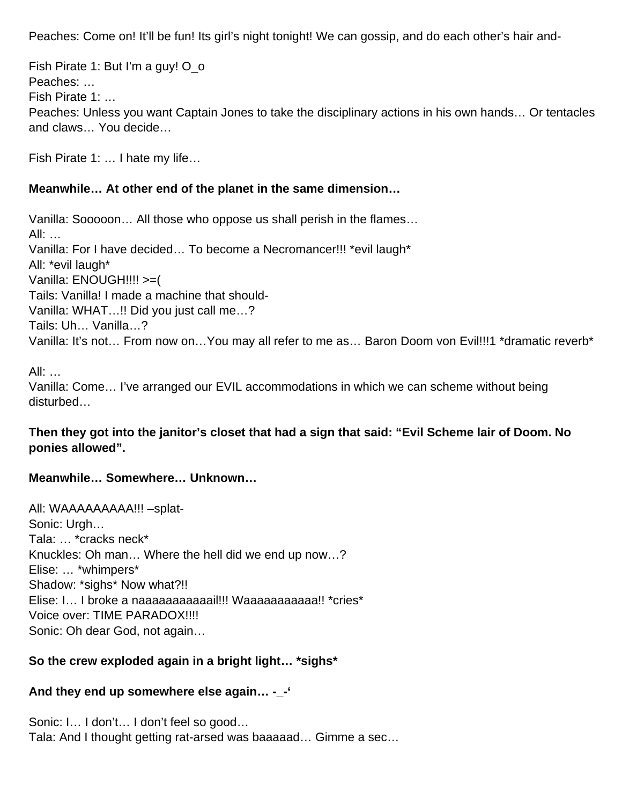Peaches: Come on! It'll be fun! Its girl's night tonight! We can gossip, and do each other's hair and-

Fish Pirate 1: But I'm a guy! O\_o Peaches: … Fish Pirate 1: … Peaches: Unless you want Captain Jones to take the disciplinary actions in his own hands… Or tentacles and claws… You decide…

Fish Pirate 1: … I hate my life…

#### **Meanwhile… At other end of the planet in the same dimension…**

Vanilla: Sooooon… All those who oppose us shall perish in the flames… All: … Vanilla: For I have decided… To become a Necromancer!!! \*evil laugh\* All: \*evil laugh\* Vanilla: ENOUGH!!!! >=( Tails: Vanilla! I made a machine that should-Vanilla: WHAT…!! Did you just call me…? Tails: Uh… Vanilla…? Vanilla: It's not… From now on…You may all refer to me as… Baron Doom von Evil!!!1 \*dramatic reverb\*

All: …

Vanilla: Come… I've arranged our EVIL accommodations in which we can scheme without being disturbed…

#### **Then they got into the janitor's closet that had a sign that said: "Evil Scheme lair of Doom. No ponies allowed".**

#### **Meanwhile… Somewhere… Unknown…**

All: WAAAAAAAAA!!! –splat-Sonic: Urgh… Tala: … \*cracks neck\* Knuckles: Oh man… Where the hell did we end up now…? Elise: … \*whimpers\* Shadow: \*sighs\* Now what?!! Elise: I… I broke a naaaaaaaaaaail!!! Waaaaaaaaaaa!! \*cries\* Voice over: TIME PARADOX!!!! Sonic: Oh dear God, not again…

# **So the crew exploded again in a bright light… \*sighs\***

# **And they end up somewhere else again… -\_-'**

Sonic: I… I don't… I don't feel so good… Tala: And I thought getting rat-arsed was baaaaad… Gimme a sec…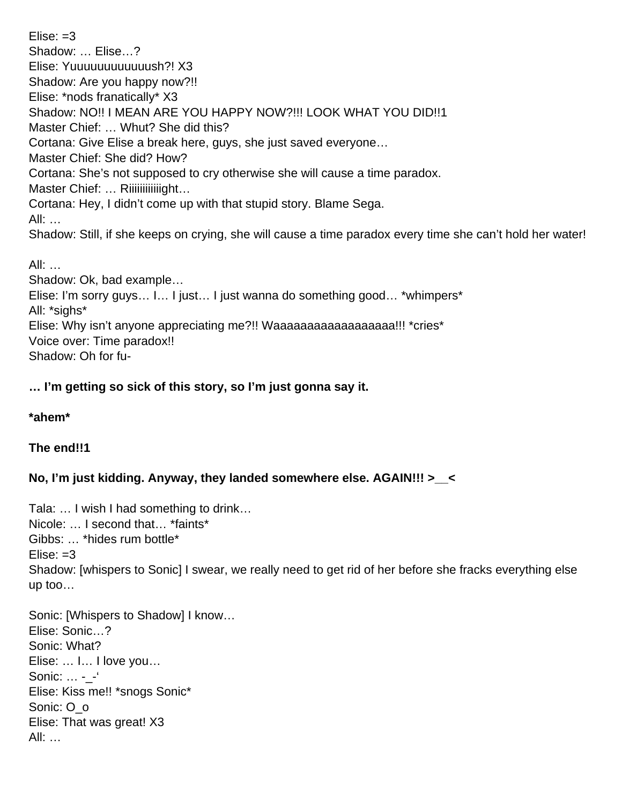$E$ lise:  $=3$ Shadow: … Elise…? Elise: Yuuuuuuuuuuuush?! X3 Shadow: Are you happy now?!! Elise: \*nods franatically\* X3 Shadow: NO!! I MEAN ARE YOU HAPPY NOW?!!! LOOK WHAT YOU DID!!1 Master Chief: … Whut? She did this? Cortana: Give Elise a break here, guys, she just saved everyone… Master Chief: She did? How? Cortana: She's not supposed to cry otherwise she will cause a time paradox. Master Chief: ... Riiiiiiiiiiiiight... Cortana: Hey, I didn't come up with that stupid story. Blame Sega. All: … Shadow: Still, if she keeps on crying, she will cause a time paradox every time she can't hold her water! All: … Shadow: Ok, bad example…

Elise: I'm sorry guys… I… I just… I just wanna do something good… \*whimpers\* All: \*sighs\*

Elise: Why isn't anyone appreciating me?!! Waaaaaaaaaaaaaaaaaa!!! \*cries\*

Voice over: Time paradox!!

Shadow: Oh for fu-

# **… I'm getting so sick of this story, so I'm just gonna say it.**

#### **\*ahem\***

# **The end!!1**

# **No, I'm just kidding. Anyway, they landed somewhere else. AGAIN!!! >\_\_<**

Tala: … I wish I had something to drink… Nicole: … I second that… \*faints\* Gibbs: … \*hides rum bottle\*  $E$ lise:  $=3$ Shadow: [whispers to Sonic] I swear, we really need to get rid of her before she fracks everything else up too…

Sonic: [Whispers to Shadow] I know… Elise: Sonic…? Sonic: What? Elise: … I… I love you… Sonic: ... - -' Elise: Kiss me!! \*snogs Sonic\* Sonic: O\_o Elise: That was great! X3 All: …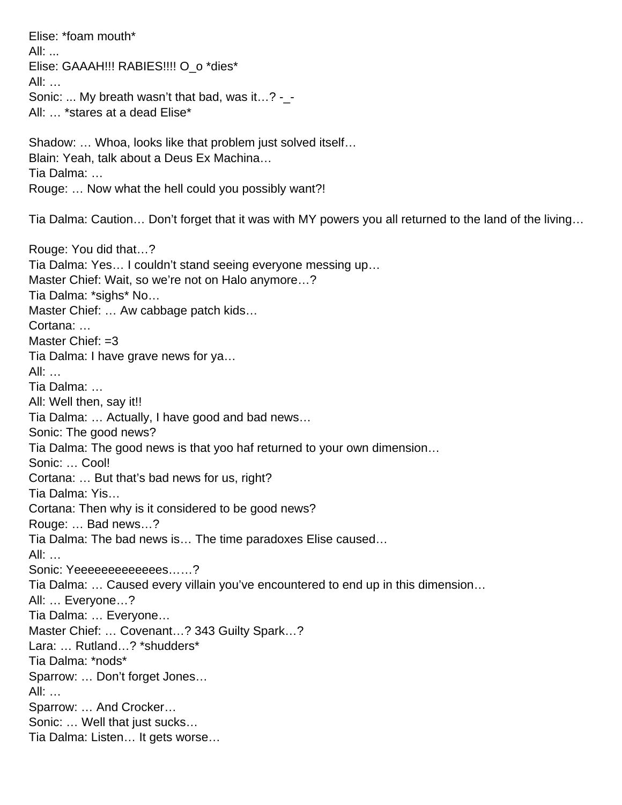Elise: \*foam mouth\* All: ... Elise: GAAAH!!! RABIES!!!! O\_o \*dies\* All: … Sonic: ... My breath wasn't that bad, was it...? - -All: … \*stares at a dead Elise\* Shadow: … Whoa, looks like that problem just solved itself… Blain: Yeah, talk about a Deus Ex Machina… Tia Dalma: … Rouge: … Now what the hell could you possibly want?! Tia Dalma: Caution… Don't forget that it was with MY powers you all returned to the land of the living…

Rouge: You did that…? Tia Dalma: Yes… I couldn't stand seeing everyone messing up… Master Chief: Wait, so we're not on Halo anymore…? Tia Dalma: \*sighs\* No… Master Chief: … Aw cabbage patch kids… Cortana: … Master Chief: =3 Tia Dalma: I have grave news for ya… All: … Tia Dalma: … All: Well then, say it!! Tia Dalma: … Actually, I have good and bad news… Sonic: The good news? Tia Dalma: The good news is that yoo haf returned to your own dimension… Sonic: … Cool! Cortana: … But that's bad news for us, right? Tia Dalma: Yis… Cortana: Then why is it considered to be good news? Rouge: … Bad news…? Tia Dalma: The bad news is… The time paradoxes Elise caused… All: … Sonic: Yeeeeeeeeeeeees......? Tia Dalma: … Caused every villain you've encountered to end up in this dimension… All: … Everyone…? Tia Dalma: … Everyone… Master Chief: … Covenant…? 343 Guilty Spark…? Lara: … Rutland…? \*shudders\* Tia Dalma: \*nods\* Sparrow: … Don't forget Jones… All: … Sparrow: … And Crocker… Sonic: … Well that just sucks… Tia Dalma: Listen… It gets worse…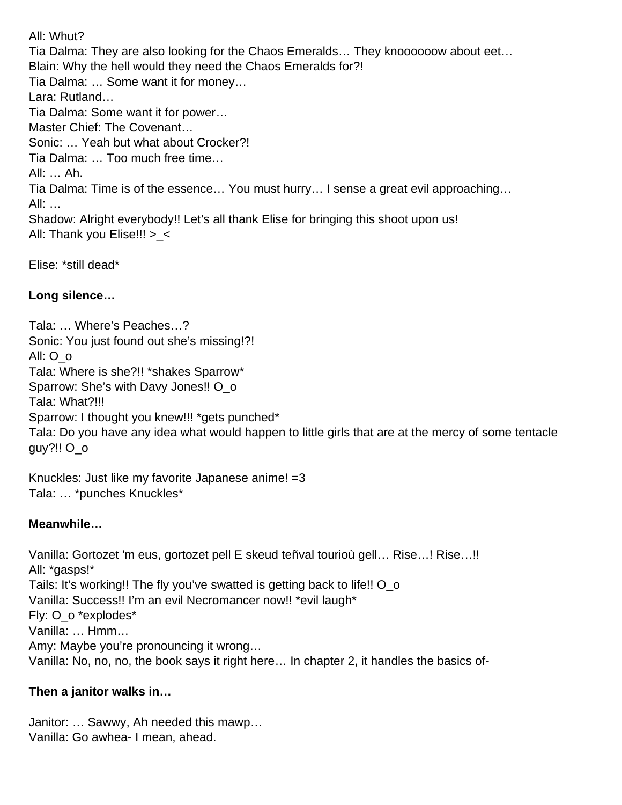All: Whut? Tia Dalma: They are also looking for the Chaos Emeralds… They knoooooow about eet… Blain: Why the hell would they need the Chaos Emeralds for?! Tia Dalma: … Some want it for money… Lara: Rutland… Tia Dalma: Some want it for power… Master Chief: The Covenant… Sonic: … Yeah but what about Crocker?! Tia Dalma: … Too much free time… All: … Ah. Tia Dalma: Time is of the essence… You must hurry… I sense a great evil approaching… All: … Shadow: Alright everybody!! Let's all thank Elise for bringing this shoot upon us! All: Thank you Elise!!! >\_<

Elise: \*still dead\*

# **Long silence…**

Tala: … Where's Peaches…? Sonic: You just found out she's missing!?! All: O\_o Tala: Where is she?!! \*shakes Sparrow\* Sparrow: She's with Davy Jones!! O o Tala: What?!!! Sparrow: I thought you knew!!! \*gets punched\* Tala: Do you have any idea what would happen to little girls that are at the mercy of some tentacle guy?!! O\_o

Knuckles: Just like my favorite Japanese anime! =3 Tala: … \*punches Knuckles\*

# **Meanwhile…**

Vanilla: Gortozet 'm eus, gortozet pell E skeud teñval tourioù gell… Rise…! Rise…!! All: \*gasps!\* Tails: It's working!! The fly you've swatted is getting back to life!! O\_o Vanilla: Success!! I'm an evil Necromancer now!! \*evil laugh\* Fly: O\_o \*explodes\* Vanilla: … Hmm… Amy: Maybe you're pronouncing it wrong… Vanilla: No, no, no, the book says it right here… In chapter 2, it handles the basics of-

# **Then a janitor walks in…**

Janitor: … Sawwy, Ah needed this mawp… Vanilla: Go awhea- I mean, ahead.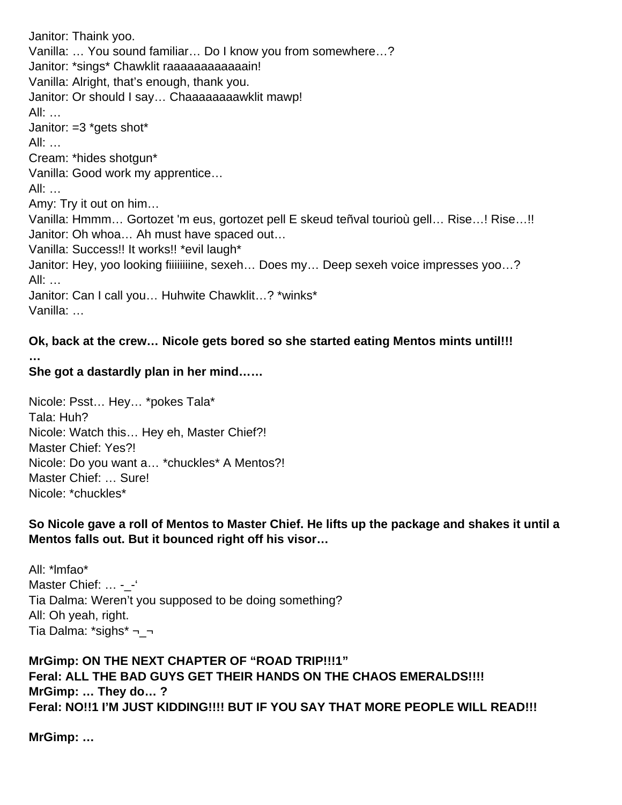Janitor: Thaink yoo. Vanilla: … You sound familiar… Do I know you from somewhere…? Janitor: \*sings\* Chawklit raaaaaaaaaaaaaain! Vanilla: Alright, that's enough, thank you. Janitor: Or should I say... Chaaaaaaaawklit mawp! All: … Janitor: =3 \*gets shot\* All: … Cream: \*hides shotgun\* Vanilla: Good work my apprentice… All: … Amy: Try it out on him… Vanilla: Hmmm… Gortozet 'm eus, gortozet pell E skeud teñval tourioù gell… Rise…! Rise…!! Janitor: Oh whoa… Ah must have spaced out… Vanilla: Success!! It works!! \*evil laugh\* Janitor: Hey, yoo looking fiiiiiiiine, sexeh... Does my... Deep sexeh voice impresses yoo...? All: … Janitor: Can I call you… Huhwite Chawklit…? \*winks\* Vanilla: …

**Ok, back at the crew… Nicole gets bored so she started eating Mentos mints until!!! …**

## **She got a dastardly plan in her mind……**

Nicole: Psst… Hey… \*pokes Tala\* Tala: Huh? Nicole: Watch this… Hey eh, Master Chief?! Master Chief: Yes?! Nicole: Do you want a… \*chuckles\* A Mentos?! Master Chief: … Sure! Nicole: \*chuckles\*

**So Nicole gave a roll of Mentos to Master Chief. He lifts up the package and shakes it until a Mentos falls out. But it bounced right off his visor…**

All: \*lmfao\* Master Chief: ... - -Tia Dalma: Weren't you supposed to be doing something? All: Oh yeah, right. Tia Dalma: \*sighs\* ¬\_¬

**MrGimp: ON THE NEXT CHAPTER OF "ROAD TRIP!!!1" Feral: ALL THE BAD GUYS GET THEIR HANDS ON THE CHAOS EMERALDS!!!! MrGimp: … They do… ? Feral: NO!!1 I'M JUST KIDDING!!!! BUT IF YOU SAY THAT MORE PEOPLE WILL READ!!!**

**MrGimp: …**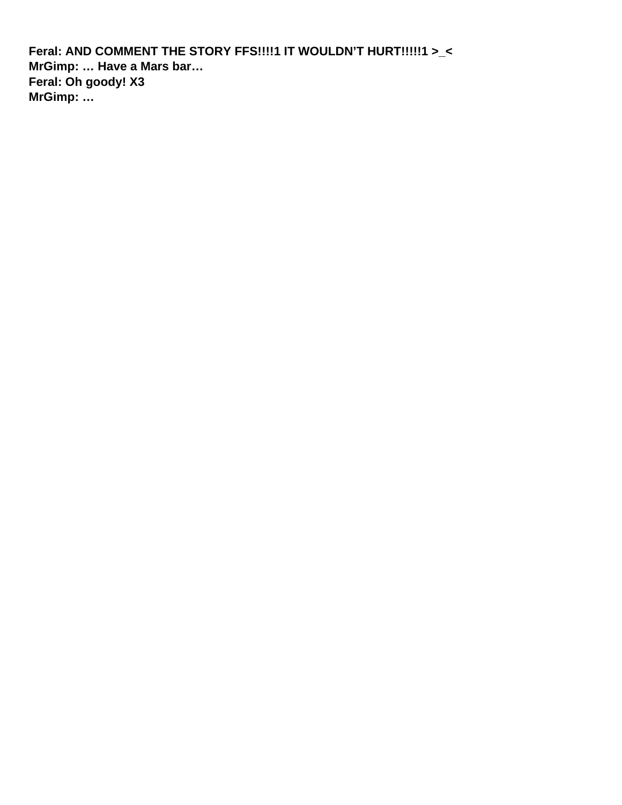**Feral: AND COMMENT THE STORY FFS!!!!1 IT WOULDN'T HURT!!!!!1 >\_< MrGimp: … Have a Mars bar… Feral: Oh goody! X3 MrGimp: …**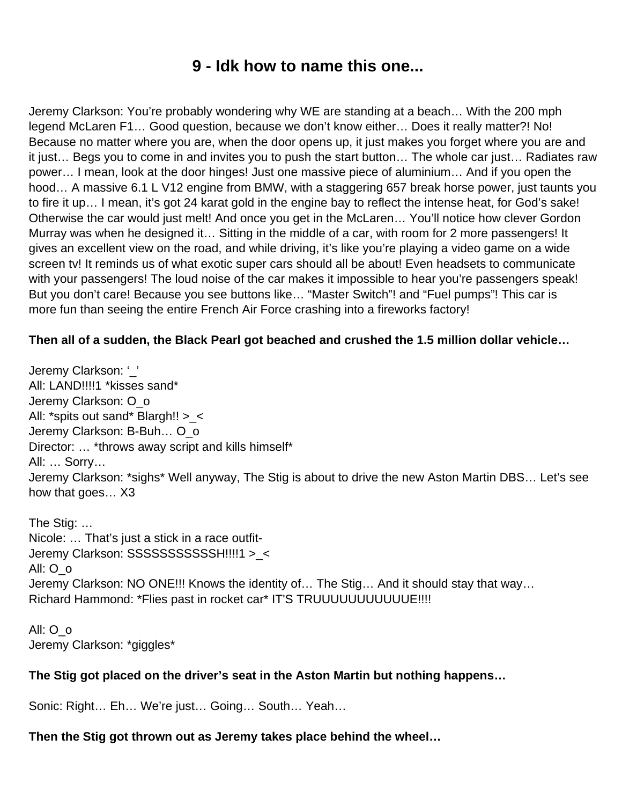# **9 - Idk how to name this one...**

Jeremy Clarkson: You're probably wondering why WE are standing at a beach… With the 200 mph legend McLaren F1… Good question, because we don't know either… Does it really matter?! No! Because no matter where you are, when the door opens up, it just makes you forget where you are and it just… Begs you to come in and invites you to push the start button… The whole car just… Radiates raw power… I mean, look at the door hinges! Just one massive piece of aluminium… And if you open the hood… A massive 6.1 L V12 engine from BMW, with a staggering 657 break horse power, just taunts you to fire it up… I mean, it's got 24 karat gold in the engine bay to reflect the intense heat, for God's sake! Otherwise the car would just melt! And once you get in the McLaren… You'll notice how clever Gordon Murray was when he designed it… Sitting in the middle of a car, with room for 2 more passengers! It gives an excellent view on the road, and while driving, it's like you're playing a video game on a wide screen tv! It reminds us of what exotic super cars should all be about! Even headsets to communicate with your passengers! The loud noise of the car makes it impossible to hear you're passengers speak! But you don't care! Because you see buttons like… "Master Switch"! and "Fuel pumps"! This car is more fun than seeing the entire French Air Force crashing into a fireworks factory!

#### **Then all of a sudden, the Black Pearl got beached and crushed the 1.5 million dollar vehicle…**

Jeremy Clarkson: '\_' All: LAND!!!!1 \*kisses sand\* Jeremy Clarkson: O\_o All: \*spits out sand\* Blargh!! >\_< Jeremy Clarkson: B-Buh… O\_o Director: … \*throws away script and kills himself\* All: … Sorry… Jeremy Clarkson: \*sighs\* Well anyway, The Stig is about to drive the new Aston Martin DBS… Let's see how that goes… X3

The Stig: … Nicole: … That's just a stick in a race outfit-Jeremy Clarkson: SSSSSSSSSSSH!!!!1 >\_< All: O\_o Jeremy Clarkson: NO ONE!!! Knows the identity of… The Stig… And it should stay that way… Richard Hammond: \*Flies past in rocket car\* IT'S TRUUUUUUUUUUUE!!!!

All: O\_o Jeremy Clarkson: \*giggles\*

# **The Stig got placed on the driver's seat in the Aston Martin but nothing happens…**

Sonic: Right… Eh… We're just… Going… South… Yeah…

#### **Then the Stig got thrown out as Jeremy takes place behind the wheel…**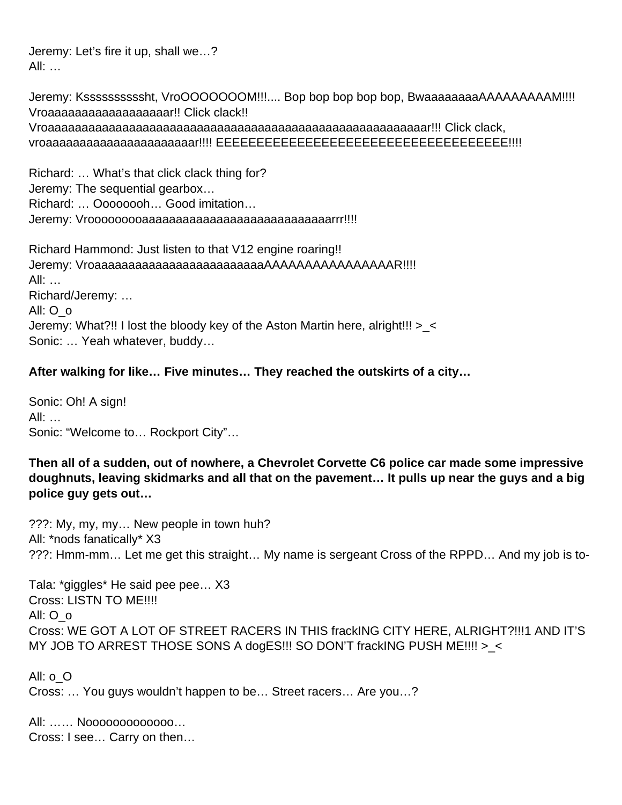Jeremy: Let's fire it up, shall we…? All: …

Jeremy: Kssssssssssht, VroOOOOOOOM!!!.... Bop bop bop bop bop, BwaaaaaaaaAAAAAAAAAM!!!! Vroaaaaaaaaaaaaaaaaaar!! Click clack!! Vroaaaaaaaaaaaaaaaaaaaaaaaaaaaaaaaaaaaaaaaaaaaaaaaaaaaaaaaar!!! Click clack, vroaaaaaaaaaaaaaaaaaaaaaar!!!! EEEEEEEEEEEEEEEEEEEEEEEEEEEEEEEEEEEE!!!!

Richard: … What's that click clack thing for? Jeremy: The sequential gearbox… Richard: … Oooooooh… Good imitation… Jeremy: Vrooooooooaaaaaaaaaaaaaaaaaaaaaaaaaaaarrr!!!!

Richard Hammond: Just listen to that V12 engine roaring!! Jeremy: VroaaaaaaaaaaaaaaaaaaaaaaaaaAAAAAAAAAAAAAAAAR!!!! All: … Richard/Jeremy: … All: O\_o Jeremy: What?!! I lost the bloody key of the Aston Martin here, alright!!! >\_< Sonic: … Yeah whatever, buddy…

#### **After walking for like… Five minutes… They reached the outskirts of a city…**

Sonic: Oh! A sign! All: … Sonic: "Welcome to… Rockport City"…

#### **Then all of a sudden, out of nowhere, a Chevrolet Corvette C6 police car made some impressive doughnuts, leaving skidmarks and all that on the pavement… It pulls up near the guys and a big police guy gets out…**

???: My, my, my… New people in town huh? All: \*nods fanatically\* X3 ???: Hmm-mm… Let me get this straight… My name is sergeant Cross of the RPPD… And my job is to-

Tala: \*giggles\* He said pee pee… X3 Cross: LISTN TO ME!!!! All: O\_o Cross: WE GOT A LOT OF STREET RACERS IN THIS frackING CITY HERE, ALRIGHT?!!!1 AND IT'S MY JOB TO ARREST THOSE SONS A dogES!!! SO DON'T frackING PUSH ME!!!! >\_<

All: o\_O Cross: … You guys wouldn't happen to be… Street racers… Are you…?

All: …… Nooooooooooooo… Cross: I see… Carry on then…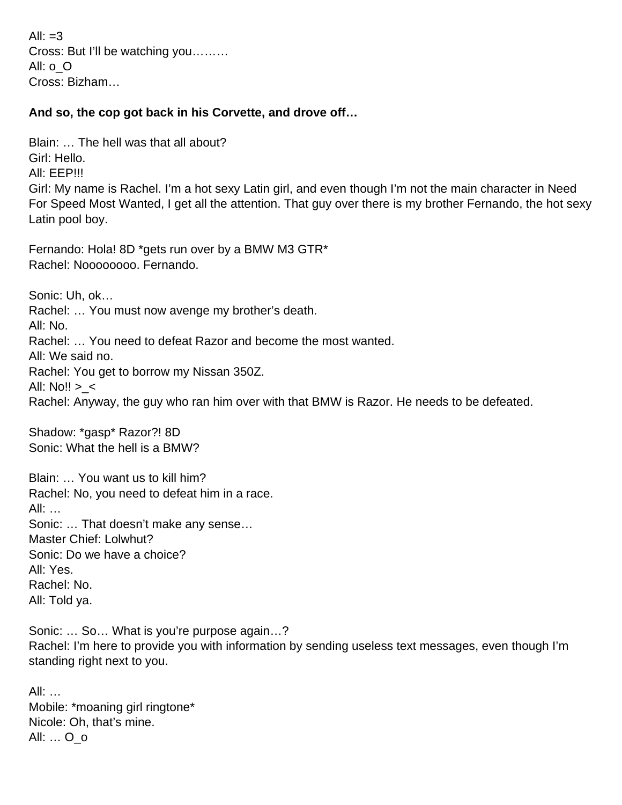All:  $=3$ Cross: But I'll be watching you……… All: o\_O Cross: Bizham…

#### **And so, the cop got back in his Corvette, and drove off…**

Blain: … The hell was that all about? Girl: Hello. All: EEP!!! Girl: My name is Rachel. I'm a hot sexy Latin girl, and even though I'm not the main character in Need For Speed Most Wanted, I get all the attention. That guy over there is my brother Fernando, the hot sexy Latin pool boy.

Fernando: Hola! 8D \*gets run over by a BMW M3 GTR\* Rachel: Noooooooo. Fernando.

Sonic: Uh, ok… Rachel: … You must now avenge my brother's death. All: No. Rachel: … You need to defeat Razor and become the most wanted. All: We said no. Rachel: You get to borrow my Nissan 350Z. All:  $No!! > <$ Rachel: Anyway, the guy who ran him over with that BMW is Razor. He needs to be defeated.

Shadow: \*gasp\* Razor?! 8D Sonic: What the hell is a BMW?

Blain: … You want us to kill him? Rachel: No, you need to defeat him in a race. All: … Sonic: … That doesn't make any sense… Master Chief: Lolwhut? Sonic: Do we have a choice? All: Yes. Rachel: No. All: Told ya.

Sonic: … So… What is you're purpose again…? Rachel: I'm here to provide you with information by sending useless text messages, even though I'm standing right next to you.

All: … Mobile: \*moaning girl ringtone\* Nicole: Oh, that's mine. All: … O\_o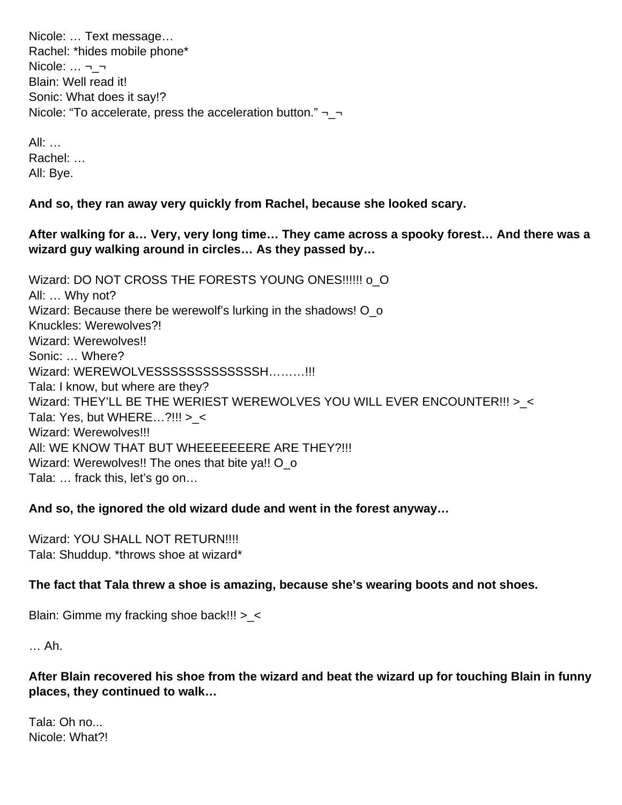Nicole: … Text message… Rachel: \*hides mobile phone\*  $Nicole: ... \rightarrow -$ Blain: Well read it! Sonic: What does it say!? Nicole: "To accelerate, press the acceleration button."  $\neg$ 

All: … Rachel: … All: Bye.

**And so, they ran away very quickly from Rachel, because she looked scary.**

**After walking for a… Very, very long time… They came across a spooky forest… And there was a wizard guy walking around in circles… As they passed by…** 

Wizard: DO NOT CROSS THE FORESTS YOUNG ONES!!!!!! o\_O All: … Why not? Wizard: Because there be werewolf's lurking in the shadows! O\_o Knuckles: Werewolves?! Wizard: Werewolves!! Sonic: … Where? Wizard: WEREWOLVESSSSSSSSSSSSSSSH.........!!! Tala: I know, but where are they? Wizard: THEY'LL BE THE WERIEST WEREWOLVES YOU WILL EVER ENCOUNTER!!! >\_< Tala: Yes, but WHERE $...$ ?!!! > < Wizard: Werewolves!!! AII: WE KNOW THAT BUT WHEEEEEEERE ARE THEY?!!! Wizard: Werewolves!! The ones that bite ya!! O o Tala: … frack this, let's go on…

#### **And so, the ignored the old wizard dude and went in the forest anyway…**

Wizard: YOU SHALL NOT RETURN!!!! Tala: Shuddup. \*throws shoe at wizard\*

# **The fact that Tala threw a shoe is amazing, because she's wearing boots and not shoes.**

Blain: Gimme my fracking shoe back!!! > <

… Ah.

**After Blain recovered his shoe from the wizard and beat the wizard up for touching Blain in funny places, they continued to walk…** 

Tala: Oh no... Nicole: What?!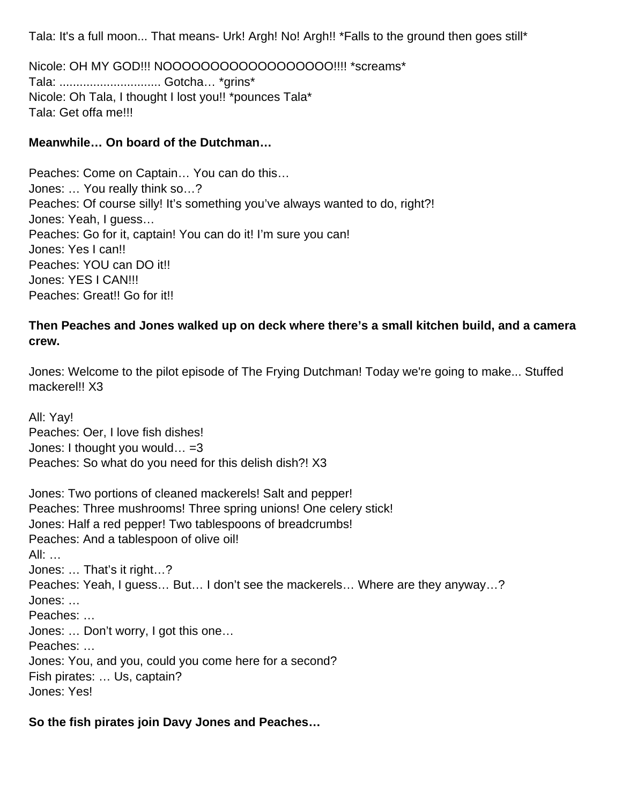Tala: It's a full moon... That means- Urk! Argh! No! Argh!! \*Falls to the ground then goes still\*

Nicole: OH MY GOD!!! NOOOOOOOOOOOOOOOOOO!!!! \*screams\* Tala: .............................. Gotcha… \*grins\* Nicole: Oh Tala, I thought I lost you!! \* pounces Tala\* Tala: Get offa me!!!

#### **Meanwhile… On board of the Dutchman…**

Peaches: Come on Captain… You can do this… Jones: … You really think so…? Peaches: Of course silly! It's something you've always wanted to do, right?! Jones: Yeah, I guess… Peaches: Go for it, captain! You can do it! I'm sure you can! Jones: Yes I can!! Peaches: YOU can DO it!! Jones: YES I CAN!!! Peaches: Great!! Go for it!!

## **Then Peaches and Jones walked up on deck where there's a small kitchen build, and a camera crew.**

Jones: Welcome to the pilot episode of The Frying Dutchman! Today we're going to make... Stuffed mackerel!! X3

All: Yay! Peaches: Oer, I love fish dishes! Jones: I thought you would...  $=3$ Peaches: So what do you need for this delish dish?! X3

Jones: Two portions of cleaned mackerels! Salt and pepper! Peaches: Three mushrooms! Three spring unions! One celery stick! Jones: Half a red pepper! Two tablespoons of breadcrumbs! Peaches: And a tablespoon of olive oil! All: … Jones: … That's it right…? Peaches: Yeah, I guess… But… I don't see the mackerels… Where are they anyway…? Jones: … Peaches: … Jones: … Don't worry, I got this one… Peaches: … Jones: You, and you, could you come here for a second? Fish pirates: … Us, captain? Jones: Yes!

#### **So the fish pirates join Davy Jones and Peaches…**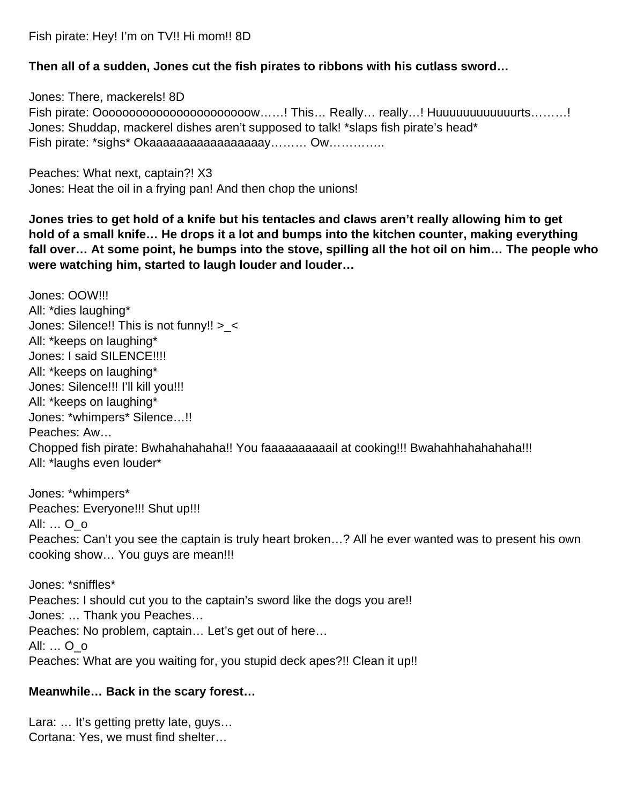Fish pirate: Hey! I'm on TV!! Hi mom!! 8D

#### **Then all of a sudden, Jones cut the fish pirates to ribbons with his cutlass sword…**

Jones: There, mackerels! 8D Fish pirate: Ooooooooooooooooooooooow……! This… Really… really…! Huuuuuuuuuuuurts………! Jones: Shuddap, mackerel dishes aren't supposed to talk! \*slaps fish pirate's head\* Fish pirate: \*sighs\* Okaaaaaaaaaaaaaaaaaay......... Ow...............

Peaches: What next, captain?! X3 Jones: Heat the oil in a frying pan! And then chop the unions!

**Jones tries to get hold of a knife but his tentacles and claws aren't really allowing him to get hold of a small knife… He drops it a lot and bumps into the kitchen counter, making everything fall over… At some point, he bumps into the stove, spilling all the hot oil on him… The people who were watching him, started to laugh louder and louder…**

Jones: OOW!!! All: \*dies laughing\* Jones: Silence!! This is not funny!! > < All: \*keeps on laughing\* Jones: I said SILENCE!!!! All: \*keeps on laughing\* Jones: Silence!!! I'll kill you!!! All: \*keeps on laughing\* Jones: \*whimpers\* Silence…!! Peaches: Aw… Chopped fish pirate: Bwhahahahaha!! You faaaaaaaaaail at cooking!!! Bwahahhahahahaha!!! All: \*laughs even louder\*

Jones: \*whimpers\* Peaches: Everyone!!! Shut up!!! All: … O\_o Peaches: Can't you see the captain is truly heart broken…? All he ever wanted was to present his own cooking show… You guys are mean!!!

Jones: \*sniffles\* Peaches: I should cut you to the captain's sword like the dogs you are!! Jones: … Thank you Peaches… Peaches: No problem, captain… Let's get out of here… All: … O\_o Peaches: What are you waiting for, you stupid deck apes?!! Clean it up!!

#### **Meanwhile… Back in the scary forest…**

Lara: ... It's getting pretty late, guys... Cortana: Yes, we must find shelter…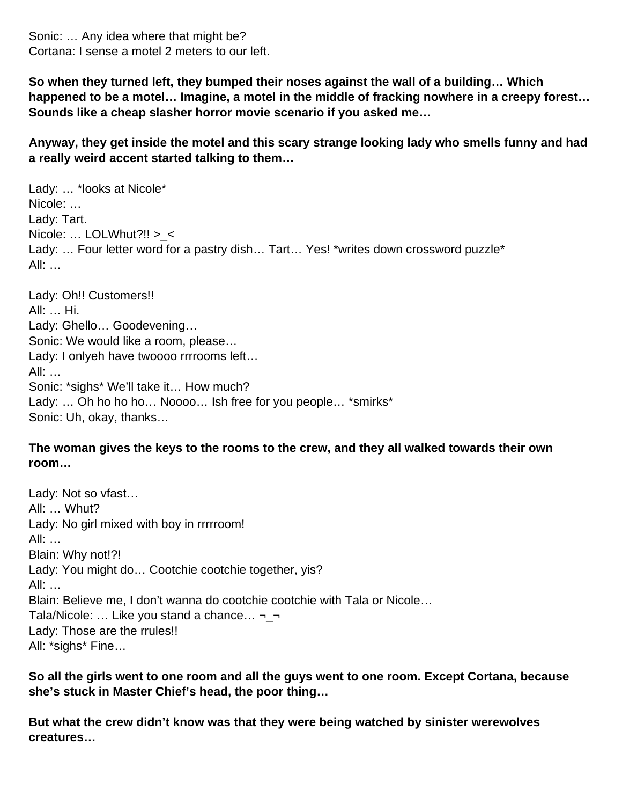Sonic: … Any idea where that might be? Cortana: I sense a motel 2 meters to our left.

**So when they turned left, they bumped their noses against the wall of a building… Which happened to be a motel… Imagine, a motel in the middle of fracking nowhere in a creepy forest… Sounds like a cheap slasher horror movie scenario if you asked me…**

**Anyway, they get inside the motel and this scary strange looking lady who smells funny and had a really weird accent started talking to them…**

Lady: … \*looks at Nicole\* Nicole: … Lady: Tart. Nicole: … LOLWhut?!! >\_< Lady: ... Four letter word for a pastry dish... Tart... Yes! \*writes down crossword puzzle\* All: …

Lady: Oh!! Customers!! All: … Hi. Lady: Ghello… Goodevening… Sonic: We would like a room, please… Lady: I onlyeh have twoooo rrrrooms left… All: … Sonic: \*sighs\* We'll take it… How much? Lady: ... Oh ho ho ho... Noooo... Ish free for you people... \*smirks\* Sonic: Uh, okay, thanks…

#### **The woman gives the keys to the rooms to the crew, and they all walked towards their own room…**

Lady: Not so vfast… All: … Whut? Lady: No girl mixed with boy in rrrrroom! All: … Blain: Why not!?! Lady: You might do… Cootchie cootchie together, yis? All: … Blain: Believe me, I don't wanna do cootchie cootchie with Tala or Nicole… Tala/Nicole: ... Like you stand a chance...  $\neg$ Lady: Those are the rrules!! All: \*sighs\* Fine…

**So all the girls went to one room and all the guys went to one room. Except Cortana, because she's stuck in Master Chief's head, the poor thing…**

**But what the crew didn't know was that they were being watched by sinister werewolves creatures…**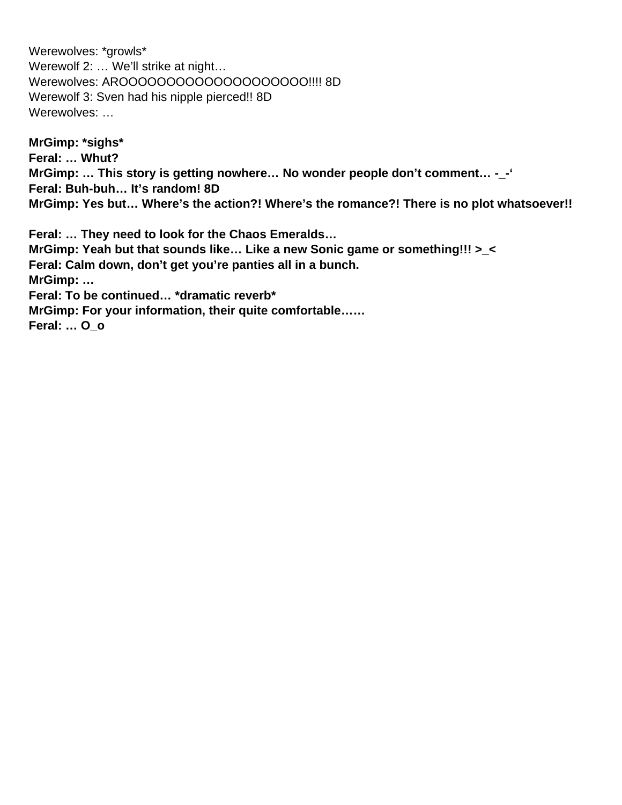Werewolves: \*growls\* Werewolf 2: ... We'll strike at night... Werewolves: AROOOOOOOOOOOOOOOOOOO!!!! 8D Werewolf 3: Sven had his nipple pierced!! 8D Werewolves: …

**MrGimp: \*sighs\* Feral: … Whut? MrGimp: … This story is getting nowhere… No wonder people don't comment… -\_-' Feral: Buh-buh… It's random! 8D MrGimp: Yes but… Where's the action?! Where's the romance?! There is no plot whatsoever!!**

**Feral: … They need to look for the Chaos Emeralds… MrGimp: Yeah but that sounds like… Like a new Sonic game or something!!! >\_< Feral: Calm down, don't get you're panties all in a bunch. MrGimp: … Feral: To be continued… \*dramatic reverb\* MrGimp: For your information, their quite comfortable…… Feral: … O\_o**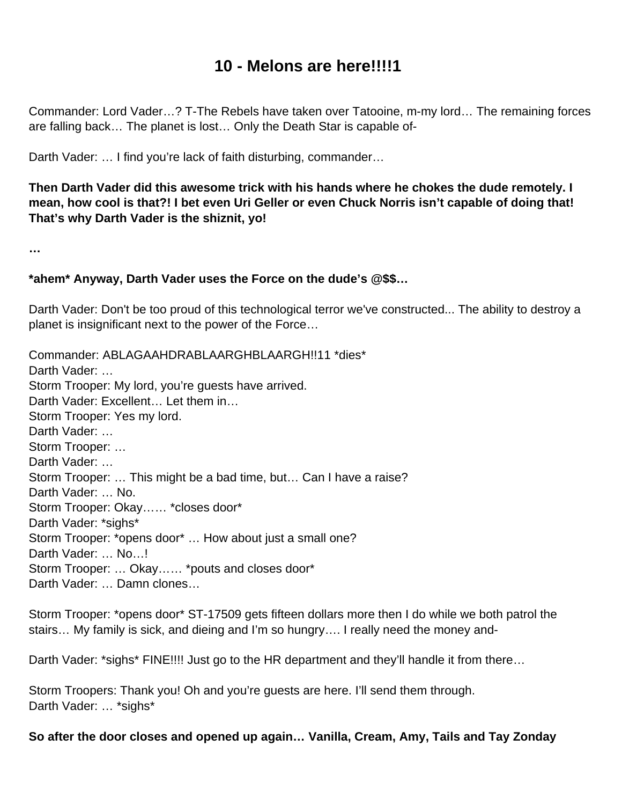# **10 - Melons are here!!!!1**

Commander: Lord Vader…? T-The Rebels have taken over Tatooine, m-my lord… The remaining forces are falling back… The planet is lost… Only the Death Star is capable of-

Darth Vader: … I find you're lack of faith disturbing, commander…

**Then Darth Vader did this awesome trick with his hands where he chokes the dude remotely. I mean, how cool is that?! I bet even Uri Geller or even Chuck Norris isn't capable of doing that! That's why Darth Vader is the shiznit, yo!** 

**…**

#### **\*ahem\* Anyway, Darth Vader uses the Force on the dude's @\$\$…**

Darth Vader: Don't be too proud of this technological terror we've constructed... The ability to destroy a planet is insignificant next to the power of the Force…

Commander: ABLAGAAHDRABLAARGHBLAARGH!!11 \*dies\* Darth Vader: ... Storm Trooper: My lord, you're guests have arrived. Darth Vader: Excellent… Let them in… Storm Trooper: Yes my lord. Darth Vader: ... Storm Trooper: … Darth Vader: ... Storm Trooper: … This might be a bad time, but… Can I have a raise? Darth Vader: … No. Storm Trooper: Okay…… \*closes door\* Darth Vader: \*sighs\* Storm Trooper: \*opens door\* … How about just a small one? Darth Vader: ... No...! Storm Trooper: … Okay…… \*pouts and closes door\* Darth Vader: … Damn clones…

Storm Trooper: \*opens door\* ST-17509 gets fifteen dollars more then I do while we both patrol the stairs… My family is sick, and dieing and I'm so hungry…. I really need the money and-

Darth Vader: \*sighs\* FINE!!!! Just go to the HR department and they'll handle it from there...

Storm Troopers: Thank you! Oh and you're guests are here. I'll send them through. Darth Vader: … \*sighs\*

#### **So after the door closes and opened up again… Vanilla, Cream, Amy, Tails and Tay Zonday**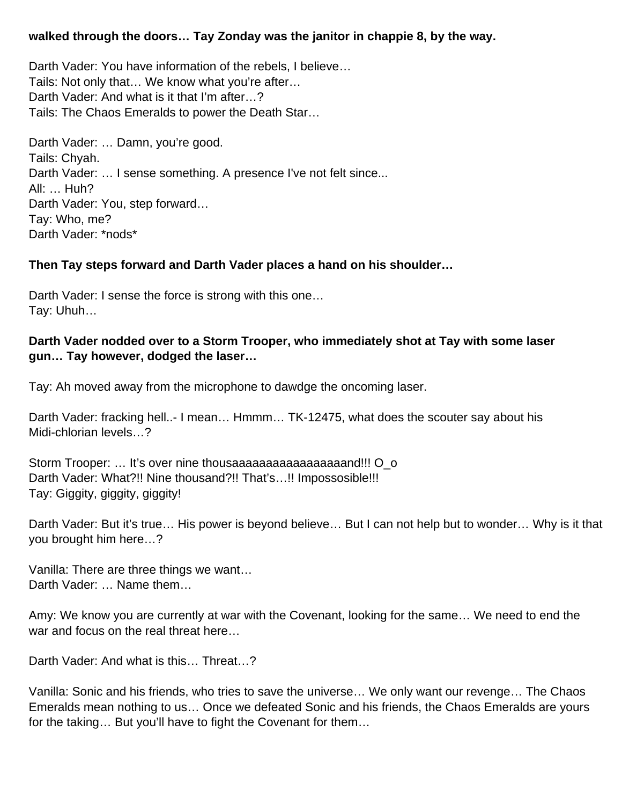#### **walked through the doors… Tay Zonday was the janitor in chappie 8, by the way.**

Darth Vader: You have information of the rebels, I believe… Tails: Not only that… We know what you're after… Darth Vader: And what is it that I'm after…? Tails: The Chaos Emeralds to power the Death Star…

Darth Vader: … Damn, you're good. Tails: Chyah. Darth Vader: ... I sense something. A presence I've not felt since... All: … Huh? Darth Vader: You, step forward… Tay: Who, me? Darth Vader: \*nods\*

#### **Then Tay steps forward and Darth Vader places a hand on his shoulder…**

Darth Vader: I sense the force is strong with this one… Tay: Uhuh…

#### **Darth Vader nodded over to a Storm Trooper, who immediately shot at Tay with some laser gun… Tay however, dodged the laser…**

Tay: Ah moved away from the microphone to dawdge the oncoming laser.

Darth Vader: fracking hell..- I mean… Hmmm… TK-12475, what does the scouter say about his Midi-chlorian levels…?

Storm Trooper: ... It's over nine thousaaaaaaaaaaaaaaaaaaaaad!!! O\_o Darth Vader: What?!! Nine thousand?!! That's…!! Impossosible!!! Tay: Giggity, giggity, giggity!

Darth Vader: But it's true… His power is beyond believe… But I can not help but to wonder… Why is it that you brought him here…?

Vanilla: There are three things we want… Darth Vader: ... Name them...

Amy: We know you are currently at war with the Covenant, looking for the same… We need to end the war and focus on the real threat here…

Darth Vader: And what is this… Threat…?

Vanilla: Sonic and his friends, who tries to save the universe… We only want our revenge… The Chaos Emeralds mean nothing to us… Once we defeated Sonic and his friends, the Chaos Emeralds are yours for the taking… But you'll have to fight the Covenant for them…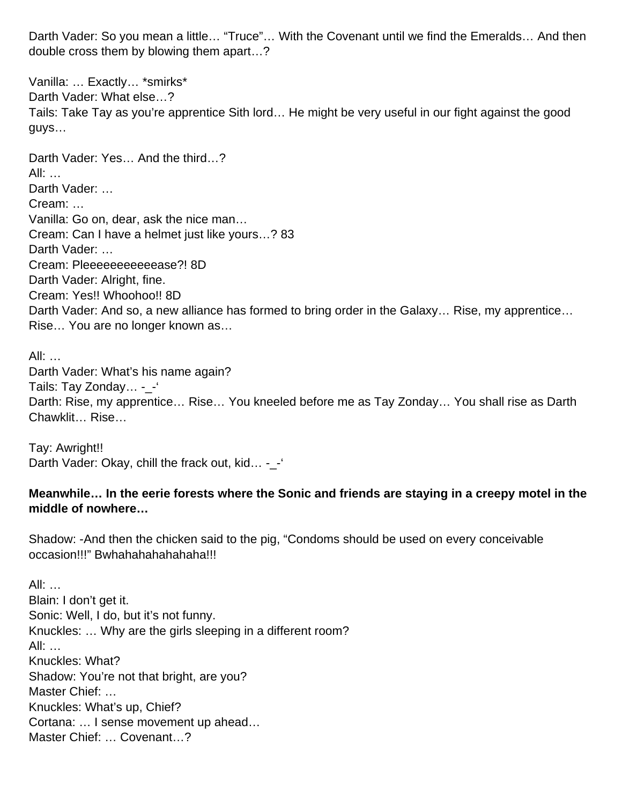Darth Vader: So you mean a little… "Truce"… With the Covenant until we find the Emeralds… And then double cross them by blowing them apart…?

Vanilla: … Exactly… \*smirks\* Darth Vader: What else…? Tails: Take Tay as you're apprentice Sith lord… He might be very useful in our fight against the good guys…

Darth Vader: Yes… And the third…? All: … Darth Vader: ... Cream: … Vanilla: Go on, dear, ask the nice man… Cream: Can I have a helmet just like yours…? 83 Darth Vader: ... Cream: Pleeeeeeeeeeease?! 8D Darth Vader: Alright, fine. Cream: Yes!! Whoohoo!! 8D Darth Vader: And so, a new alliance has formed to bring order in the Galaxy… Rise, my apprentice… Rise… You are no longer known as…

All: … Darth Vader: What's his name again? Tails: Tay Zonday... - -Darth: Rise, my apprentice… Rise… You kneeled before me as Tay Zonday… You shall rise as Darth Chawklit… Rise…

Tay: Awright!! Darth Vader: Okay, chill the frack out, kid... -\_-

#### **Meanwhile… In the eerie forests where the Sonic and friends are staying in a creepy motel in the middle of nowhere…**

Shadow: -And then the chicken said to the pig, "Condoms should be used on every conceivable occasion!!!" Bwhahahahahahaha!!!

All: … Blain: I don't get it. Sonic: Well, I do, but it's not funny. Knuckles: … Why are the girls sleeping in a different room? All: … Knuckles: What? Shadow: You're not that bright, are you? Master Chief: … Knuckles: What's up, Chief? Cortana: … I sense movement up ahead… Master Chief: … Covenant…?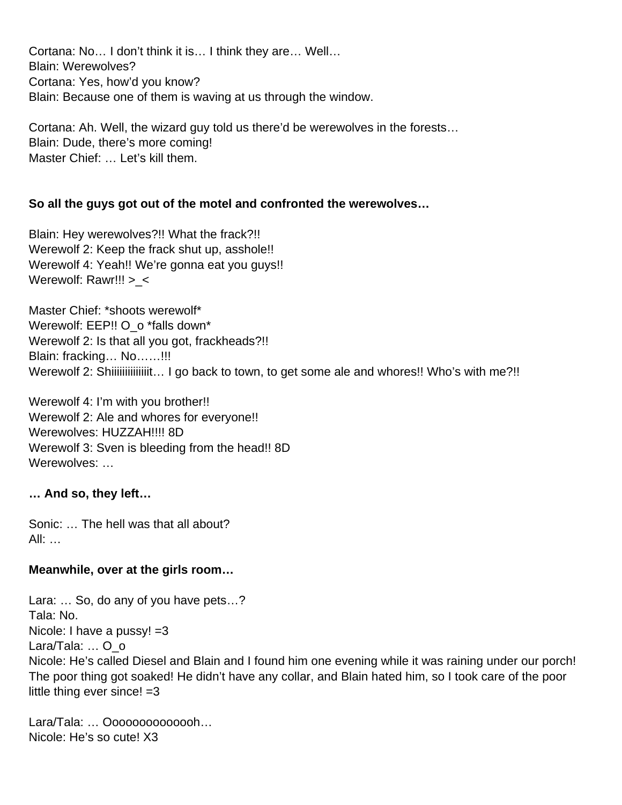Cortana: No… I don't think it is… I think they are… Well… Blain: Werewolves? Cortana: Yes, how'd you know? Blain: Because one of them is waving at us through the window.

Cortana: Ah. Well, the wizard guy told us there'd be werewolves in the forests… Blain: Dude, there's more coming! Master Chief: … Let's kill them.

#### **So all the guys got out of the motel and confronted the werewolves…**

Blain: Hey werewolves?!! What the frack?!! Werewolf 2: Keep the frack shut up, asshole!! Werewolf 4: Yeah!! We're gonna eat you guys!! Werewolf: Rawr!!! > <

Master Chief: \*shoots werewolf\* Werewolf: EEP!! O\_o \*falls down\* Werewolf 2: Is that all you got, frackheads?!! Blain: fracking… No……!!! Werewolf 2: Shiiiiiiiiiiiiiiiii... I go back to town, to get some ale and whores!! Who's with me?!!

Werewolf 4: I'm with you brother!! Werewolf 2: Ale and whores for everyone!! Werewolves: HUZZAH!!!! 8D Werewolf 3: Sven is bleeding from the head!! 8D Werewolves: ...

#### **… And so, they left…**

Sonic: … The hell was that all about? All: …

#### **Meanwhile, over at the girls room…**

Lara: … So, do any of you have pets…? Tala: No. Nicole: I have a pussy! =3 Lara/Tala: ... O o Nicole: He's called Diesel and Blain and I found him one evening while it was raining under our porch! The poor thing got soaked! He didn't have any collar, and Blain hated him, so I took care of the poor little thing ever since!  $=3$ 

Lara/Tala: … Oooooooooooooh… Nicole: He's so cute! X3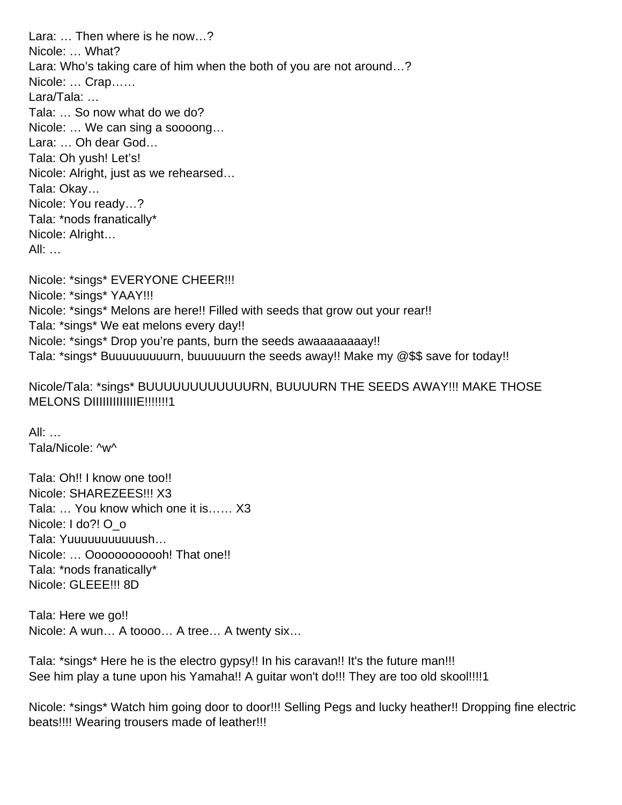Lara: … Then where is he now…? Nicole: … What? Lara: Who's taking care of him when the both of you are not around…? Nicole: … Crap…… Lara/Tala: … Tala: … So now what do we do? Nicole: … We can sing a soooong… Lara: … Oh dear God… Tala: Oh yush! Let's! Nicole: Alright, just as we rehearsed… Tala: Okay… Nicole: You ready…? Tala: \*nods franatically\* Nicole: Alright… All: …

Nicole: \*sings\* EVERYONE CHEER!!! Nicole: \*sings\* YAAY!!! Nicole: \*sings\* Melons are here!! Filled with seeds that grow out your rear!! Tala: \*sings\* We eat melons every day!! Nicole: \*sings\* Drop you're pants, burn the seeds awaaaaaaaaay!! Tala: \*sings\* Buuuuuuuuurn, buuuuuurn the seeds away!! Make my @\$\$ save for today!!

Nicole/Tala: \*sings\* BUUUUUUUUUUUURN, BUUUURN THE SEEDS AWAY!!! MAKE THOSE MELONS DIIIIIIIIIIIIIE!!!!!!!1

All: … Tala/Nicole: ^w^

Tala: Oh!! I know one too!! Nicole: SHAREZEES!!! X3 Tala: … You know which one it is…… X3 Nicole: I do?! O\_o Tala: Yuuuuuuuuuuush… Nicole: … Oooooooooooh! That one!! Tala: \*nods franatically\* Nicole: GLEEE!!! 8D

Tala: Here we go!! Nicole: A wun… A toooo… A tree… A twenty six…

Tala: \*sings\* Here he is the electro gypsy!! In his caravan!! It's the future man!!! See him play a tune upon his Yamaha!! A guitar won't do!!! They are too old skool!!!!1

Nicole: \*sings\* Watch him going door to door!!! Selling Pegs and lucky heather!! Dropping fine electric beats!!!! Wearing trousers made of leather!!!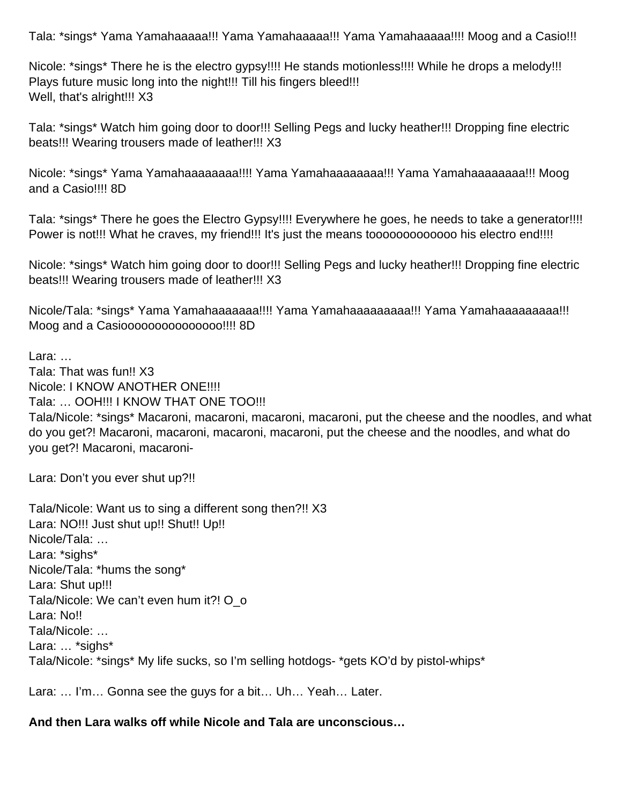Tala: \*sings\* Yama Yamahaaaaa!!! Yama Yamahaaaaa!!! Yama Yamahaaaaa!!!! Moog and a Casio!!!

Nicole: \*sings\* There he is the electro gypsy!!!! He stands motionless!!!! While he drops a melody!!! Plays future music long into the night!!! Till his fingers bleed!!! Well, that's alright!!! X3

Tala: \*sings\* Watch him going door to door!!! Selling Pegs and lucky heather!!! Dropping fine electric beats!!! Wearing trousers made of leather!!! X3

Nicole: \*sings\* Yama Yamahaaaaaaaa!!!! Yama Yamahaaaaaaaa!!! Yama Yamahaaaaaaaa!!! Moog and a Casio!!!! 8D

Tala: \*sings\* There he goes the Electro Gypsy!!!! Everywhere he goes, he needs to take a generator!!!! Power is not!!! What he craves, my friend!!! It's just the means toooooooooooooo his electro end!!!!

Nicole: \*sings\* Watch him going door to door!!! Selling Pegs and lucky heather!!! Dropping fine electric beats!!! Wearing trousers made of leather!!! X3

Nicole/Tala: \*sings\* Yama Yamahaaaaaaa!!!! Yama Yamahaaaaaaaaa!!! Yama Yamahaaaaaaaaa!!! Moog and a Casiooooooooooooooo!!!! 8D

Lara: …

Tala: That was fun!! X3 Nicole: I KNOW ANOTHER ONE!!!! Tala: … OOH!!! I KNOW THAT ONE TOO!!! Tala/Nicole: \*sings\* Macaroni, macaroni, macaroni, macaroni, put the cheese and the noodles, and what do you get?! Macaroni, macaroni, macaroni, macaroni, put the cheese and the noodles, and what do you get?! Macaroni, macaroni-

Lara: Don't you ever shut up?!!

Tala/Nicole: Want us to sing a different song then?!! X3 Lara: NO!!! Just shut up!! Shut!! Up!! Nicole/Tala: … Lara: \*sighs\* Nicole/Tala: \*hums the song\* Lara: Shut up!!! Tala/Nicole: We can't even hum it?! O o Lara: No!! Tala/Nicole: … Lara: ... \*sighs\* Tala/Nicole: \*sings\* My life sucks, so I'm selling hotdogs- \*gets KO'd by pistol-whips\*

Lara: … I'm… Gonna see the guys for a bit… Uh… Yeah… Later.

#### **And then Lara walks off while Nicole and Tala are unconscious…**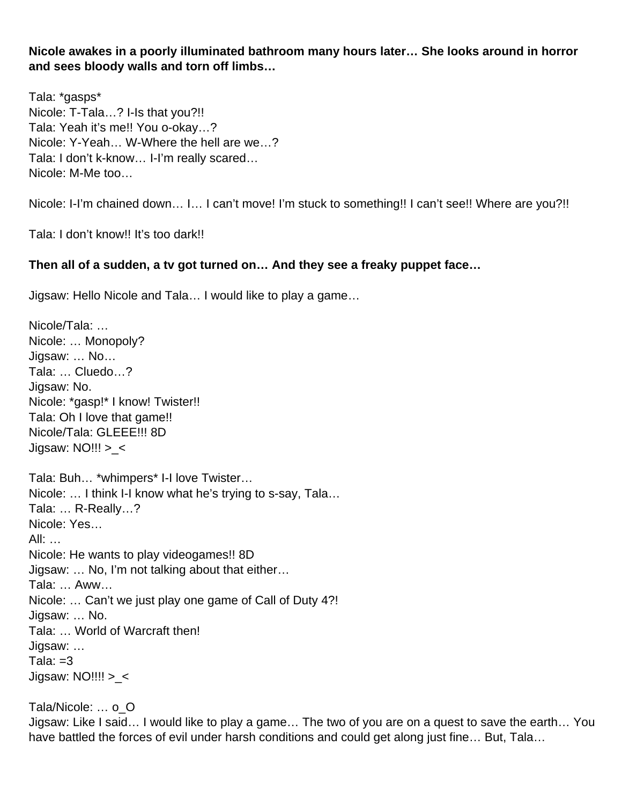**Nicole awakes in a poorly illuminated bathroom many hours later… She looks around in horror and sees bloody walls and torn off limbs…**

Tala: \*gasps\* Nicole: T-Tala…? I-Is that you?!! Tala: Yeah it's me!! You o-okay…? Nicole: Y-Yeah… W-Where the hell are we…? Tala: I don't k-know… I-I'm really scared… Nicole: M-Me too…

Nicole: I-I'm chained down… I… I can't move! I'm stuck to something!! I can't see!! Where are you?!!

Tala: I don't know!! It's too dark!!

#### **Then all of a sudden, a tv got turned on… And they see a freaky puppet face…**

Jigsaw: Hello Nicole and Tala… I would like to play a game…

Nicole/Tala: … Nicole: … Monopoly? Jigsaw: … No… Tala: … Cluedo…? Jigsaw: No. Nicole: \*gasp!\* I know! Twister!! Tala: Oh I love that game!! Nicole/Tala: GLEEE!!! 8D Jigsaw:  $NO!!$  > < Tala: Buh… \*whimpers\* I-I love Twister… Nicole: … I think I-I know what he's trying to s-say, Tala… Tala: … R-Really…? Nicole: Yes… All: … Nicole: He wants to play videogames!! 8D Jigsaw: … No, I'm not talking about that either… Tala: … Aww… Nicole: … Can't we just play one game of Call of Duty 4?! Jigsaw: … No. Tala: … World of Warcraft then! Jigsaw: … Tala:  $=3$ Jigsaw:  $NO$ !!!! > <

Tala/Nicole: … o\_O Jigsaw: Like I said… I would like to play a game… The two of you are on a quest to save the earth… You have battled the forces of evil under harsh conditions and could get along just fine... But, Tala...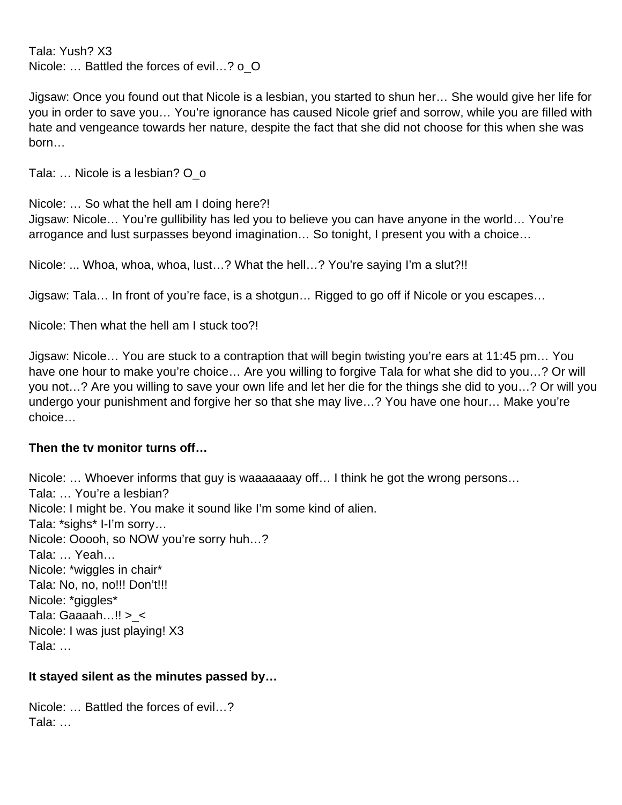Tala: Yush? X3 Nicole: … Battled the forces of evil…? o\_O

Jigsaw: Once you found out that Nicole is a lesbian, you started to shun her… She would give her life for you in order to save you… You're ignorance has caused Nicole grief and sorrow, while you are filled with hate and vengeance towards her nature, despite the fact that she did not choose for this when she was born…

Tala: ... Nicole is a lesbian? O o

Nicole: … So what the hell am I doing here?!

Jigsaw: Nicole… You're gullibility has led you to believe you can have anyone in the world… You're arrogance and lust surpasses beyond imagination… So tonight, I present you with a choice…

Nicole: ... Whoa, whoa, whoa, lust…? What the hell…? You're saying I'm a slut?!!

Jigsaw: Tala… In front of you're face, is a shotgun… Rigged to go off if Nicole or you escapes…

Nicole: Then what the hell am I stuck too?!

Jigsaw: Nicole… You are stuck to a contraption that will begin twisting you're ears at 11:45 pm… You have one hour to make you're choice... Are you willing to forgive Tala for what she did to you...? Or will you not…? Are you willing to save your own life and let her die for the things she did to you…? Or will you undergo your punishment and forgive her so that she may live…? You have one hour… Make you're choice…

#### **Then the tv monitor turns off…**

Nicole: … Whoever informs that guy is waaaaaaay off… I think he got the wrong persons… Tala: … You're a lesbian? Nicole: I might be. You make it sound like I'm some kind of alien. Tala: \*sighs\* I-I'm sorry… Nicole: Ooooh, so NOW you're sorry huh…? Tala: … Yeah… Nicole: \*wiggles in chair\* Tala: No, no, no!!! Don't!!! Nicole: \*giggles\* Tala: Gaaaah...!! >  $\leq$ Nicole: I was just playing! X3 Tala: …

#### **It stayed silent as the minutes passed by…**

Nicole: … Battled the forces of evil…? Tala: …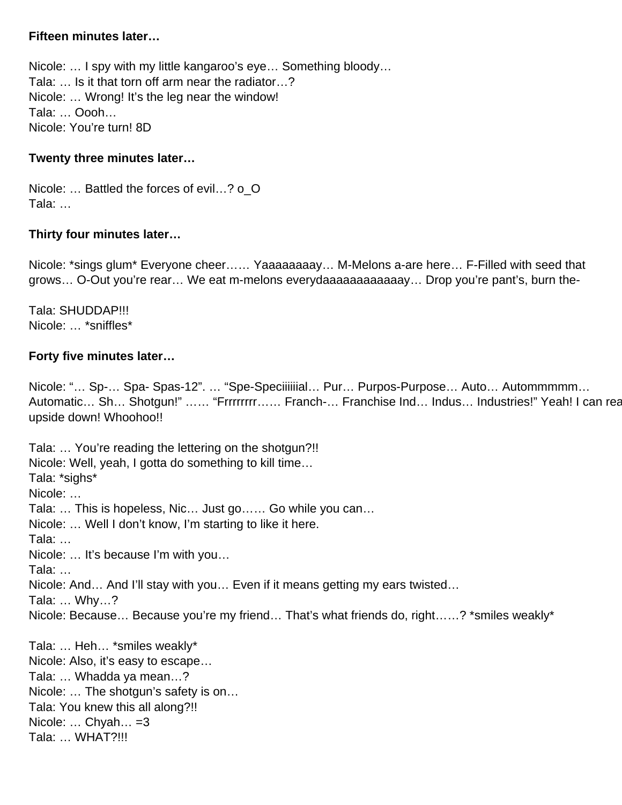#### **Fifteen minutes later…**

Nicole: … I spy with my little kangaroo's eye… Something bloody… Tala: … Is it that torn off arm near the radiator…? Nicole: … Wrong! It's the leg near the window! Tala: … Oooh… Nicole: You're turn! 8D

#### **Twenty three minutes later…**

Nicole: … Battled the forces of evil…? o\_O Tala: …

#### **Thirty four minutes later…**

Nicole: \*sings glum\* Everyone cheer…… Yaaaaaaaay… M-Melons a-are here… F-Filled with seed that grows… O-Out you're rear… We eat m-melons everydaaaaaaaaaaaay… Drop you're pant's, burn the-

Tala: SHUDDAP!!! Nicole: … \*sniffles\*

#### **Forty five minutes later…**

Nicole: "… Sp-… Spa- Spas-12". … "Spe-Speciiiiiial… Pur… Purpos-Purpose… Auto… Autommmmm… Automatic... Sh... Shotgun!" ...... "Frrrrrrrr...... Franch-... Franchise Ind... Indus... Industries!" Yeah! I can rea upside down! Whoohoo!!

Tala: … You're reading the lettering on the shotgun?!! Nicole: Well, yeah, I gotta do something to kill time… Tala: \*sighs\* Nicole: … Tala: … This is hopeless, Nic… Just go…… Go while you can… Nicole: … Well I don't know, I'm starting to like it here. Tala: … Nicole: … It's because I'm with you… Tala: … Nicole: And… And I'll stay with you… Even if it means getting my ears twisted… Tala: … Why…? Nicole: Because… Because you're my friend… That's what friends do, right……? \*smiles weakly\* Tala: … Heh… \*smiles weakly\* Nicole: Also, it's easy to escape…

Tala: … Whadda ya mean…? Nicole: … The shotgun's safety is on… Tala: You knew this all along?!! Nicole: ... Chyah... = 3 Tala: … WHAT?!!!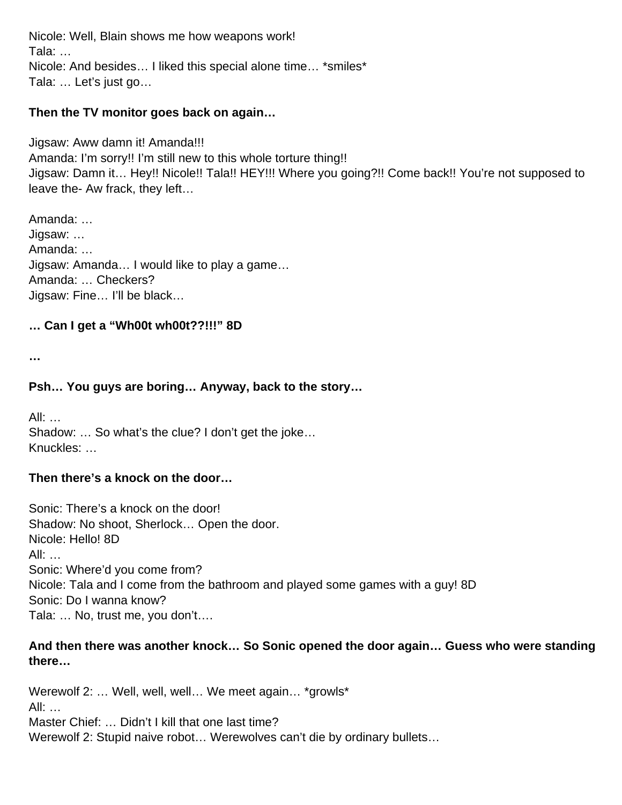Nicole: Well, Blain shows me how weapons work! Tala: … Nicole: And besides… I liked this special alone time… \*smiles\* Tala: … Let's just go…

#### **Then the TV monitor goes back on again…**

Jigsaw: Aww damn it! Amanda!!! Amanda: I'm sorry!! I'm still new to this whole torture thing!! Jigsaw: Damn it… Hey!! Nicole!! Tala!! HEY!!! Where you going?!! Come back!! You're not supposed to leave the- Aw frack, they left…

Amanda: … Jigsaw: … Amanda: … Jigsaw: Amanda… I would like to play a game… Amanda: … Checkers? Jigsaw: Fine… I'll be black…

#### **… Can I get a "Wh00t wh00t??!!!" 8D**

**…**

#### **Psh… You guys are boring… Anyway, back to the story…**

All: … Shadow: … So what's the clue? I don't get the joke… Knuckles: …

#### **Then there's a knock on the door…**

Sonic: There's a knock on the door! Shadow: No shoot, Sherlock… Open the door. Nicole: Hello! 8D All: … Sonic: Where'd you come from? Nicole: Tala and I come from the bathroom and played some games with a guy! 8D Sonic: Do I wanna know? Tala: … No, trust me, you don't….

#### **And then there was another knock… So Sonic opened the door again… Guess who were standing there…**

Werewolf 2: ... Well, well, well... We meet again... \*growls\*  $All:$ Master Chief: … Didn't I kill that one last time? Werewolf 2: Stupid naive robot… Werewolves can't die by ordinary bullets…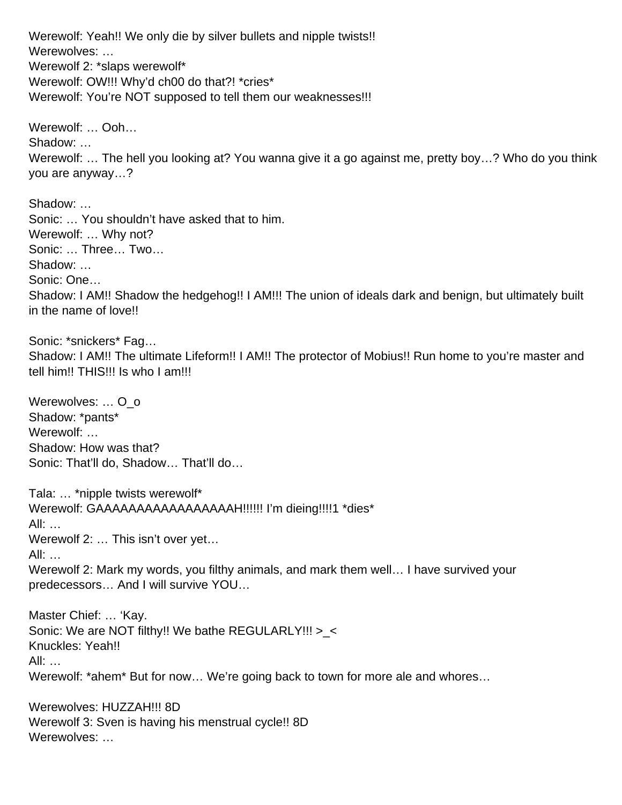Werewolf: Yeah!! We only die by silver bullets and nipple twists!! Werewolves: … Werewolf 2: \*slaps werewolf\* Werewolf: OW!!! Why'd ch00 do that?! \*cries\* Werewolf: You're NOT supposed to tell them our weaknesses!!!

Werewolf: … Ooh… Shadow: … Werewolf: ... The hell you looking at? You wanna give it a go against me, pretty boy...? Who do you think you are anyway…?

Shadow: … Sonic: … You shouldn't have asked that to him. Werewolf: … Why not? Sonic: … Three… Two… Shadow: … Sonic: One… Shadow: I AM!! Shadow the hedgehog!! I AM!!! The union of ideals dark and benign, but ultimately built in the name of love!!

Sonic: \*snickers\* Fag… Shadow: I AM!! The ultimate Lifeform!! I AM!! The protector of Mobius!! Run home to you're master and tell him!! THIS!!! Is who I am!!!

Werewolves: ... O\_o Shadow: \*pants\* Werewolf: ... Shadow: How was that? Sonic: That'll do, Shadow… That'll do…

Tala: … \*nipple twists werewolf\* Werewolf: GAAAAAAAAAAAAAAAAAH!!!!!! I'm dieing!!!!1 \*dies\* All: … Werewolf 2: … This isn't over yet… All: … Werewolf 2: Mark my words, you filthy animals, and mark them well… I have survived your predecessors… And I will survive YOU… Master Chief: … 'Kay. Sonic: We are NOT filthy!! We bathe REGULARLY!!! >\_< Knuckles: Yeah!! All: …

Werewolf: \*ahem\* But for now… We're going back to town for more ale and whores…

Werewolves: HUZZAH!!! 8D Werewolf 3: Sven is having his menstrual cycle!! 8D Werewolves: …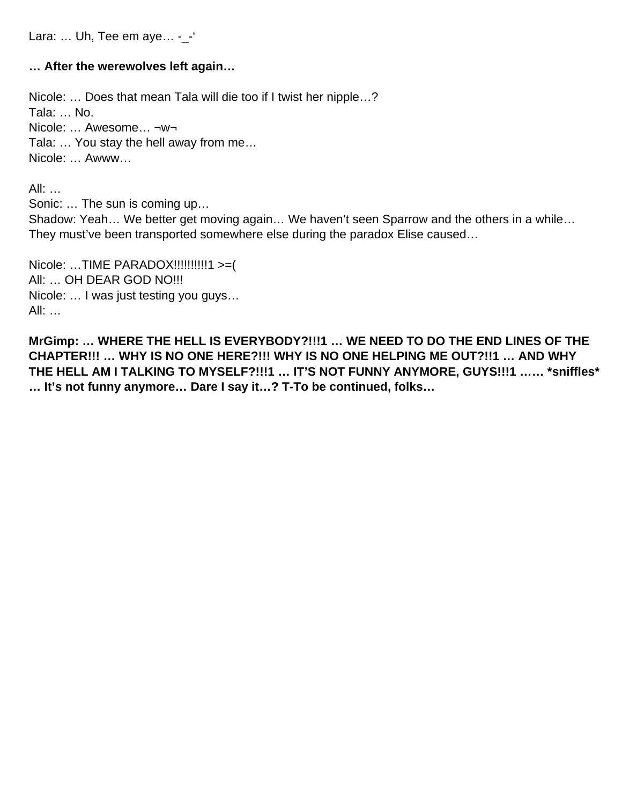Lara: ... Uh, Tee em aye... -\_-

#### **… After the werewolves left again…**

Nicole: … Does that mean Tala will die too if I twist her nipple…? Tala: … No. Nicole: … Awesome… ¬w¬ Tala: … You stay the hell away from me… Nicole: … Awww…

All: …

Sonic: … The sun is coming up… Shadow: Yeah… We better get moving again… We haven't seen Sparrow and the others in a while… They must've been transported somewhere else during the paradox Elise caused…

Nicole: …TIME PARADOX!!!!!!!!!!1 >=( All: … OH DEAR GOD NO!!! Nicole: … I was just testing you guys… All: …

**MrGimp: … WHERE THE HELL IS EVERYBODY?!!!1 … WE NEED TO DO THE END LINES OF THE CHAPTER!!! … WHY IS NO ONE HERE?!!! WHY IS NO ONE HELPING ME OUT?!!1 … AND WHY THE HELL AM I TALKING TO MYSELF?!!!1 … IT'S NOT FUNNY ANYMORE, GUYS!!!1 …… \*sniffles\* … It's not funny anymore… Dare I say it…? T-To be continued, folks…**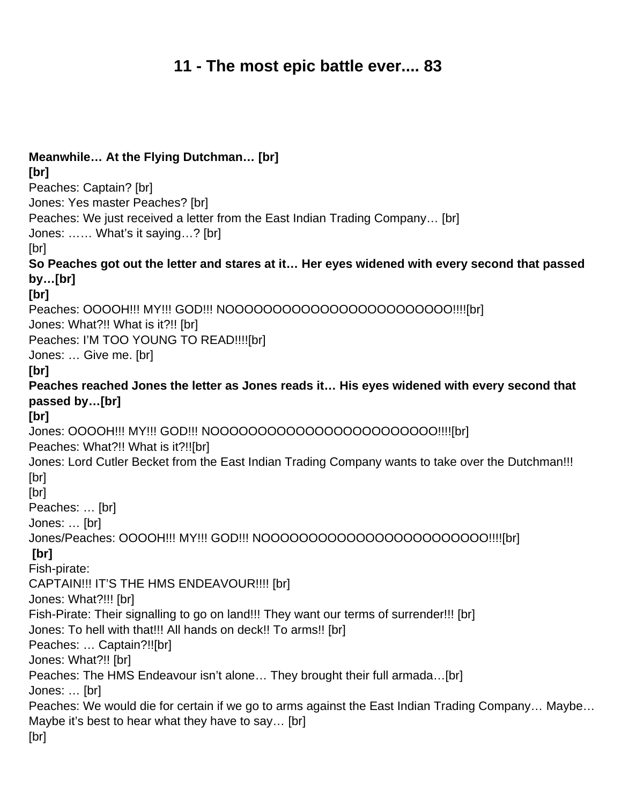# **11 - The most epic battle ever.... 83**

| Meanwhile At the Flying Dutchman [br]                                                             |
|---------------------------------------------------------------------------------------------------|
| [br]<br>Peaches: Captain? [br]                                                                    |
| Jones: Yes master Peaches? [br]                                                                   |
| Peaches: We just received a letter from the East Indian Trading Company [br]                      |
| Jones:  What's it saying? [br]                                                                    |
| [br]                                                                                              |
| So Peaches got out the letter and stares at it Her eyes widened with every second that passed     |
| by…[br]                                                                                           |
| [br]                                                                                              |
| Peaches: OOOOH!!! MY!!! GOD!!! NOOOOOOOOOOOOOOOOOOOOOOO!!!![br]                                   |
| Jones: What?!! What is it?!! [br]                                                                 |
| Peaches: I'M TOO YOUNG TO READ!!!![br]                                                            |
| Jones:  Give me. [br]                                                                             |
| [br]                                                                                              |
| Peaches reached Jones the letter as Jones reads it His eyes widened with every second that        |
| passed by…[br]                                                                                    |
| [br]                                                                                              |
| Jones: OOOOH!!! MY!!! GOD!!! NOOOOOOOOOOOOOOOOOOOOOOO!!!![br]                                     |
| Peaches: What?!! What is it?!![br]                                                                |
| Jones: Lord Cutler Becket from the East Indian Trading Company wants to take over the Dutchman!!! |
| [br]                                                                                              |
| [br]                                                                                              |
| Peaches:  [br]<br>Jones:  [br]                                                                    |
| Jones/Peaches: OOOOH!!! MY!!! GOD!!! NOOOOOOOOOOOOOOOOOOOOOOO!!!![br]                             |
| [br]                                                                                              |
| Fish-pirate:                                                                                      |
| CAPTAIN!!! IT'S THE HMS ENDEAVOUR!!!! [br]                                                        |
| Jones: What?!!! [br]                                                                              |
| Fish-Pirate: Their signalling to go on land!!! They want our terms of surrender!!! [br]           |
| Jones: To hell with that!!! All hands on deck!! To arms!! [br]                                    |
| Peaches:  Captain?!![br]                                                                          |
| Jones: What?!! [br]                                                                               |
| Peaches: The HMS Endeavour isn't alone They brought their full armada[br]                         |
| Jones:  [br]                                                                                      |
| Peaches: We would die for certain if we go to arms against the East Indian Trading Company Maybe  |
| Maybe it's best to hear what they have to say [br]                                                |
| [br]                                                                                              |
|                                                                                                   |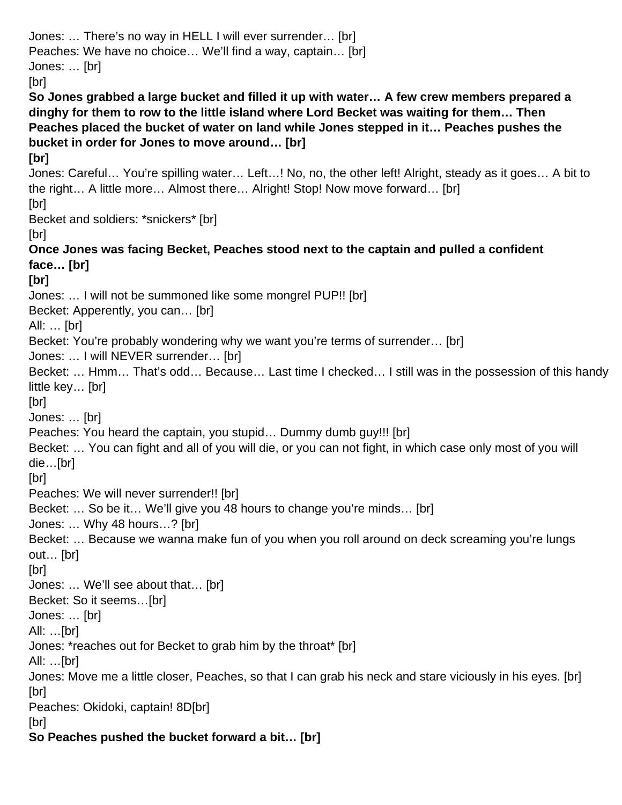Jones: … There's no way in HELL I will ever surrender… [br] Peaches: We have no choice… We'll find a way, captain… [br] Jones: … [br] [br] **So Jones grabbed a large bucket and filled it up with water… A few crew members prepared a dinghy for them to row to the little island where Lord Becket was waiting for them… Then Peaches placed the bucket of water on land while Jones stepped in it… Peaches pushes the bucket in order for Jones to move around… [br] [br]** Jones: Careful… You're spilling water… Left…! No, no, the other left! Alright, steady as it goes… A bit to the right… A little more… Almost there… Alright! Stop! Now move forward… [br] [br] Becket and soldiers: \*snickers\* [br] [br] **Once Jones was facing Becket, Peaches stood next to the captain and pulled a confident face… [br] [br]** Jones: … I will not be summoned like some mongrel PUP!! [br] Becket: Apperently, you can… [br] All: … [br] Becket: You're probably wondering why we want you're terms of surrender… [br] Jones: … I will NEVER surrender… [br] Becket: … Hmm… That's odd… Because… Last time I checked… I still was in the possession of this handy little key… [br] [br] Jones: … [br] Peaches: You heard the captain, you stupid… Dummy dumb guy!!! [br] Becket: … You can fight and all of you will die, or you can not fight, in which case only most of you will die…[br] [br] Peaches: We will never surrender!! [br] Becket: … So be it… We'll give you 48 hours to change you're minds… [br] Jones: … Why 48 hours…? [br] Becket: … Because we wanna make fun of you when you roll around on deck screaming you're lungs out… [br] [br] Jones: … We'll see about that… [br] Becket: So it seems…[br] Jones: … [br] All: …[br] Jones: \*reaches out for Becket to grab him by the throat\* [br] All: …[br] Jones: Move me a little closer, Peaches, so that I can grab his neck and stare viciously in his eyes. [br] [br] Peaches: Okidoki, captain! 8D[br] [br] **So Peaches pushed the bucket forward a bit… [br]**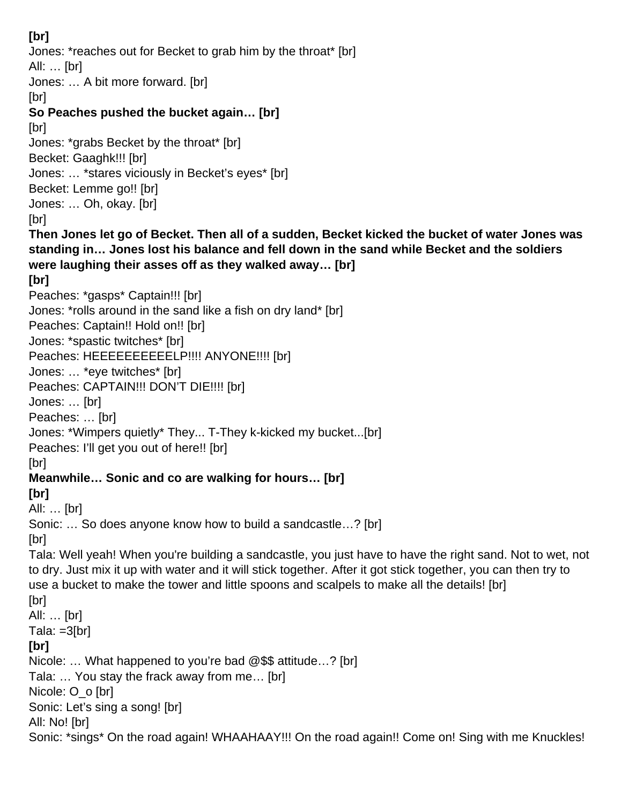### **[br]**

Jones: \*reaches out for Becket to grab him by the throat\* [br] All: … [br] Jones: … A bit more forward. [br] [br] **So Peaches pushed the bucket again… [br]** [br] Jones: \*grabs Becket by the throat\* [br] Becket: Gaaghk!!! [br] Jones: … \*stares viciously in Becket's eyes\* [br] Becket: Lemme go!! [br] Jones: … Oh, okay. [br] [br] **Then Jones let go of Becket. Then all of a sudden, Becket kicked the bucket of water Jones was standing in… Jones lost his balance and fell down in the sand while Becket and the soldiers were laughing their asses off as they walked away… [br] [br]** Peaches: \*gasps\* Captain!!! [br] Jones: \*rolls around in the sand like a fish on dry land\* [br] Peaches: Captain!! Hold on!! [br] Jones: \*spastic twitches\* [br] Peaches: HEEEEEEEEEELP!!!! ANYONE!!!! [br] Jones: … \*eye twitches\* [br] Peaches: CAPTAIN!!! DON'T DIE!!!! [br] Jones: … [br] Peaches: ... [br] Jones: \*Wimpers quietly\* They... T-They k-kicked my bucket...[br] Peaches: I'll get you out of here!! [br] [br] **Meanwhile… Sonic and co are walking for hours… [br] [br]** All: … [br] Sonic: … So does anyone know how to build a sandcastle…? [br] [br] Tala: Well yeah! When you're building a sandcastle, you just have to have the right sand. Not to wet, not to dry. Just mix it up with water and it will stick together. After it got stick together, you can then try to use a bucket to make the tower and little spoons and scalpels to make all the details! [br]

[br] All: … [br] Tala:  $=3[br]$ **[br]** Nicole: … What happened to you're bad @\$\$ attitude…? [br] Tala: … You stay the frack away from me… [br] Nicole: O\_o [br] Sonic: Let's sing a song! [br] All: No! [br]

Sonic: \*sings\* On the road again! WHAAHAAY!!! On the road again!! Come on! Sing with me Knuckles!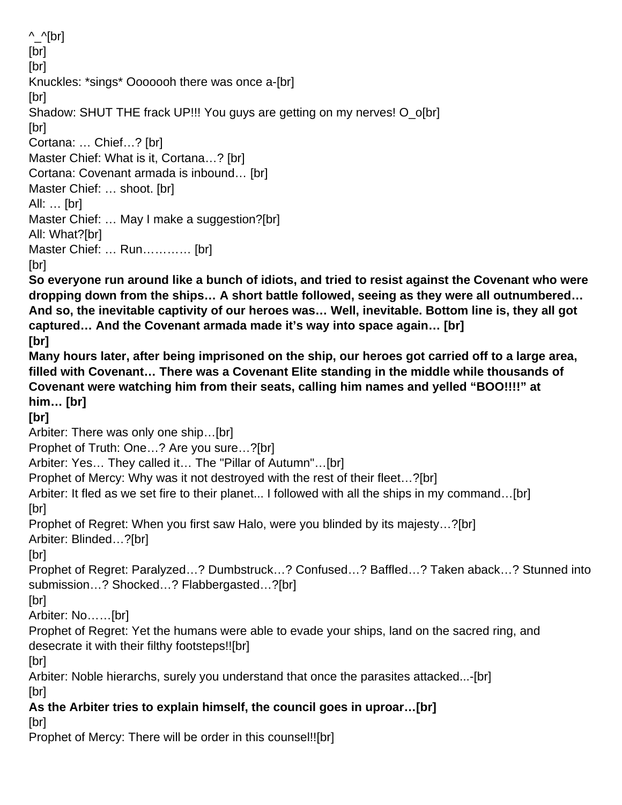$\wedge$   $\wedge$ [br] [br] [br] Knuckles: \*sings\* Ooooooh there was once a-[br] [br] Shadow: SHUT THE frack UP!!! You guys are getting on my nerves! O o[br] [br] Cortana: … Chief…? [br] Master Chief: What is it, Cortana...? [br] Cortana: Covenant armada is inbound… [br] Master Chief: … shoot. [br] All: … [br] Master Chief: ... May I make a suggestion?[br] All: What?[br] Master Chief: … Run………… [br] [br] **So everyone run around like a bunch of idiots, and tried to resist against the Covenant who were dropping down from the ships… A short battle followed, seeing as they were all outnumbered… And so, the inevitable captivity of our heroes was… Well, inevitable. Bottom line is, they all got captured… And the Covenant armada made it's way into space again… [br] [br] Many hours later, after being imprisoned on the ship, our heroes got carried off to a large area, filled with Covenant… There was a Covenant Elite standing in the middle while thousands of Covenant were watching him from their seats, calling him names and yelled "BOO!!!!" at him… [br] [br]** Arbiter: There was only one ship…[br] Prophet of Truth: One…? Are you sure…?[br] Arbiter: Yes… They called it… The "Pillar of Autumn"…[br] Prophet of Mercy: Why was it not destroyed with the rest of their fleet…?[br] Arbiter: It fled as we set fire to their planet... I followed with all the ships in my command... [br] [br] Prophet of Regret: When you first saw Halo, were you blinded by its majesty…?[br] Arbiter: Blinded…?[br] [br] Prophet of Regret: Paralyzed…? Dumbstruck…? Confused…? Baffled…? Taken aback…? Stunned into submission…? Shocked…? Flabbergasted…?[br] [br] Arbiter: No……[br] Prophet of Regret: Yet the humans were able to evade your ships, land on the sacred ring, and desecrate it with their filthy footsteps!![br] [br] Arbiter: Noble hierarchs, surely you understand that once the parasites attacked...-[br] [br] **As the Arbiter tries to explain himself, the council goes in uproar…[br]** [br] Prophet of Mercy: There will be order in this counsel!![br]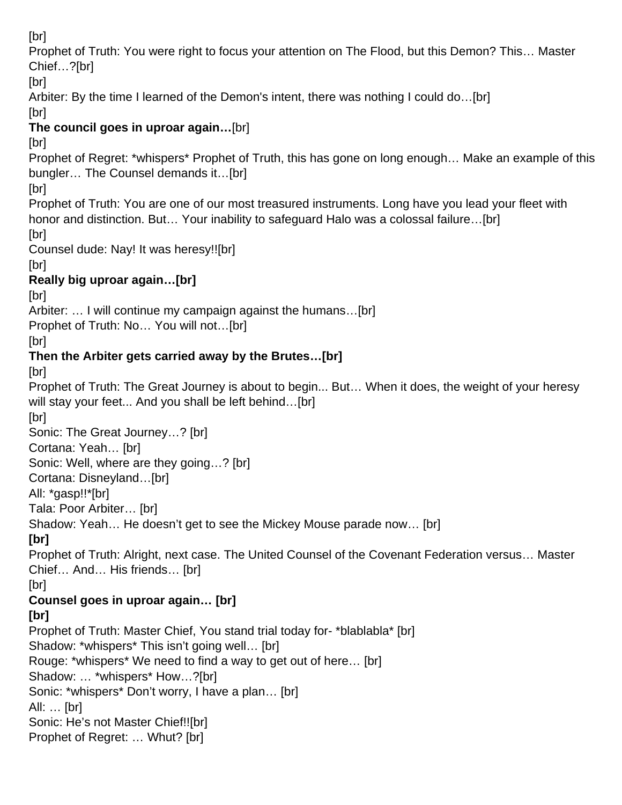[br]

Prophet of Truth: You were right to focus your attention on The Flood, but this Demon? This… Master Chief…?[br]

[br]

Arbiter: By the time I learned of the Demon's intent, there was nothing I could do…[br]

[br]

### **The council goes in uproar again…**[br]

[br]

Prophet of Regret: \*whispers\* Prophet of Truth, this has gone on long enough… Make an example of this bungler… The Counsel demands it…[br]

[br]

Prophet of Truth: You are one of our most treasured instruments. Long have you lead your fleet with honor and distinction. But... Your inability to safeguard Halo was a colossal failure...[br]

[br]

Counsel dude: Nay! It was heresy!![br]

[br]

# **Really big uproar again…[br]**

[br]

Arbiter: … I will continue my campaign against the humans…[br]

Prophet of Truth: No… You will not…[br]

[br]

# **Then the Arbiter gets carried away by the Brutes…[br]**

[br]

Prophet of Truth: The Great Journey is about to begin... But… When it does, the weight of your heresy will stay your feet... And you shall be left behind...[br]

[br]

Sonic: The Great Journey…? [br]

Cortana: Yeah… [br]

Sonic: Well, where are they going…? [br]

Cortana: Disneyland…[br]

All: \*gasp!!\*[br]

Tala: Poor Arbiter… [br]

Shadow: Yeah… He doesn't get to see the Mickey Mouse parade now… [br]

**[br]**

Prophet of Truth: Alright, next case. The United Counsel of the Covenant Federation versus… Master Chief… And… His friends… [br]

[br]

## **Counsel goes in uproar again… [br]**

## **[br]**

Prophet of Truth: Master Chief, You stand trial today for- \*blablabla\* [br] Shadow: \*whispers\* This isn't going well… [br] Rouge: \*whispers\* We need to find a way to get out of here… [br] Shadow: … \*whispers\* How…?[br] Sonic: \*whispers\* Don't worry, I have a plan… [br] All: … [br] Sonic: He's not Master Chief!![br] Prophet of Regret: … Whut? [br]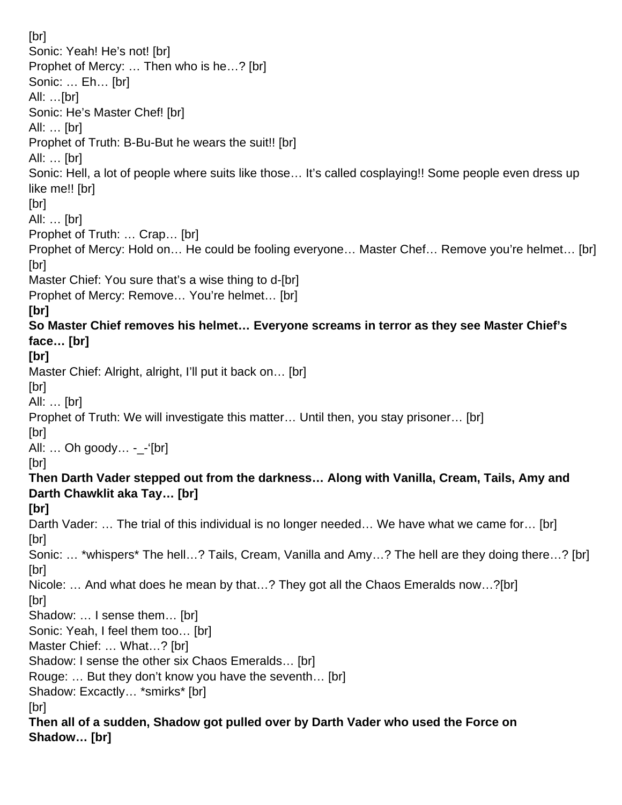[br] Sonic: Yeah! He's not! [br] Prophet of Mercy: … Then who is he…? [br] Sonic: … Eh… [br] All: …[br] Sonic: He's Master Chef! [br] All: … [br] Prophet of Truth: B-Bu-But he wears the suit!! [br] All: … [br] Sonic: Hell, a lot of people where suits like those… It's called cosplaying!! Some people even dress up like me!! [br] [br] All: … [br] Prophet of Truth: … Crap… [br] Prophet of Mercy: Hold on… He could be fooling everyone… Master Chef… Remove you're helmet… [br] [br] Master Chief: You sure that's a wise thing to d-[br] Prophet of Mercy: Remove… You're helmet… [br] **[br] So Master Chief removes his helmet… Everyone screams in terror as they see Master Chief's face… [br] [br]** Master Chief: Alright, alright, I'll put it back on... [br] [br] All: … [br] Prophet of Truth: We will investigate this matter… Until then, you stay prisoner… [br] [br] All:  $\ldots$  Oh goody $\ldots$  - - '[br] [br] **Then Darth Vader stepped out from the darkness… Along with Vanilla, Cream, Tails, Amy and Darth Chawklit aka Tay… [br] [br]** Darth Vader: ... The trial of this individual is no longer needed... We have what we came for... [br] [br] Sonic: … \*whispers\* The hell…? Tails, Cream, Vanilla and Amy…? The hell are they doing there…? [br] [br] Nicole: … And what does he mean by that…? They got all the Chaos Emeralds now…?[br] [br] Shadow: … I sense them… [br] Sonic: Yeah, I feel them too… [br] Master Chief: … What…? [br] Shadow: I sense the other six Chaos Emeralds… [br] Rouge: … But they don't know you have the seventh… [br] Shadow: Excactly… \*smirks\* [br] [br] **Then all of a sudden, Shadow got pulled over by Darth Vader who used the Force on Shadow… [br]**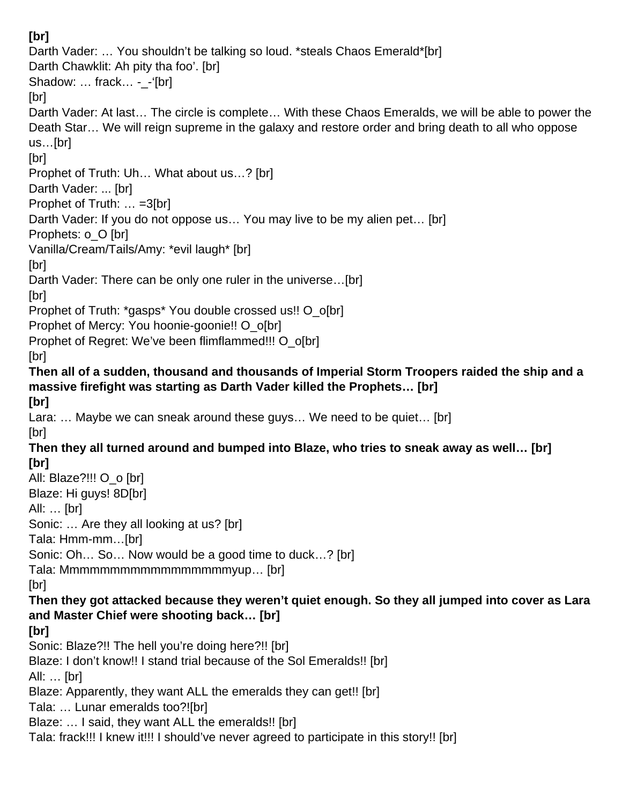#### **[br]** Darth Vader: … You shouldn't be talking so loud. \*steals Chaos Emerald\*[br] Darth Chawklit: Ah pity tha foo'. [br] Shadow: ... frack... -\_-'[br] [br] Darth Vader: At last… The circle is complete… With these Chaos Emeralds, we will be able to power the Death Star… We will reign supreme in the galaxy and restore order and bring death to all who oppose us…[br] [br] Prophet of Truth: Uh… What about us…? [br] Darth Vader: ... [br] Prophet of Truth: … =3[br] Darth Vader: If you do not oppose us… You may live to be my alien pet… [br] Prophets: o\_O [br] Vanilla/Cream/Tails/Amy: \*evil laugh\* [br] [br] Darth Vader: There can be only one ruler in the universe…[br] [br] Prophet of Truth: \*gasps\* You double crossed us!! O\_o[br] Prophet of Mercy: You hoonie-goonie!! O o[br] Prophet of Regret: We've been flimflammed!!! O\_o[br] [br] **Then all of a sudden, thousand and thousands of Imperial Storm Troopers raided the ship and a massive firefight was starting as Darth Vader killed the Prophets… [br] [br]** Lara: … Maybe we can sneak around these guys… We need to be quiet… [br] [br] **Then they all turned around and bumped into Blaze, who tries to sneak away as well… [br] [br]** All: Blaze?!!! O\_o [br] Blaze: Hi guys! 8D[br] All: … [br] Sonic: … Are they all looking at us? [br] Tala: Hmm-mm…[br] Sonic: Oh… So… Now would be a good time to duck…? [br] Tala: Mmmmmmmmmmmmmmmmmyup… [br] [br] **Then they got attacked because they weren't quiet enough. So they all jumped into cover as Lara and Master Chief were shooting back… [br] [br]** Sonic: Blaze?!! The hell you're doing here?!! [br] Blaze: I don't know!! I stand trial because of the Sol Emeralds!! [br] All: … [br] Blaze: Apparently, they want ALL the emeralds they can get!! [br] Tala: … Lunar emeralds too?![br] Blaze: … I said, they want ALL the emeralds!! [br] Tala: frack!!! I knew it!!! I should've never agreed to participate in this story!! [br]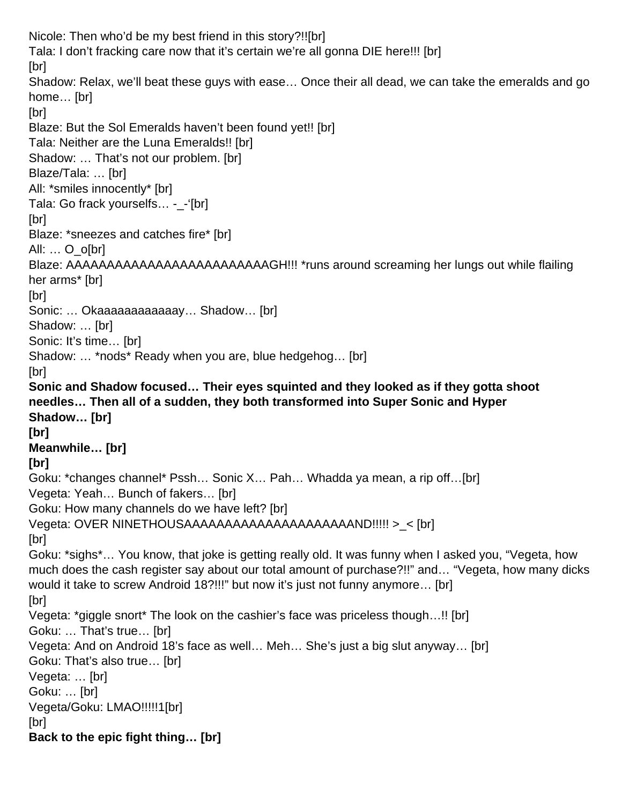Nicole: Then who'd be my best friend in this story?!![br] Tala: I don't fracking care now that it's certain we're all gonna DIE here!!! [br] [br] Shadow: Relax, we'll beat these guys with ease… Once their all dead, we can take the emeralds and go home… [br] [br] Blaze: But the Sol Emeralds haven't been found yet!! [br] Tala: Neither are the Luna Emeralds!! [br] Shadow: … That's not our problem. [br] Blaze/Tala: … [br] All: \*smiles innocently\* [br] Tala: Go frack yourselfs… -\_-'[br] [br] Blaze: \*sneezes and catches fire\* [br] All: … O\_o[br] Blaze: AAAAAAAAAAAAAAAAAAAAAAAAAGH!!! \*runs around screaming her lungs out while flailing her arms\* [br] [br] Sonic: ... Okaaaaaaaaaaaaaay... Shadow... [br] Shadow: … [br] Sonic: It's time... [br] Shadow: … \*nods\* Ready when you are, blue hedgehog… [br] [br] **Sonic and Shadow focused… Their eyes squinted and they looked as if they gotta shoot needles… Then all of a sudden, they both transformed into Super Sonic and Hyper Shadow… [br] [br] Meanwhile… [br] [br]** Goku: \*changes channel\* Pssh… Sonic X… Pah… Whadda ya mean, a rip off…[br] Vegeta: Yeah… Bunch of fakers… [br] Goku: How many channels do we have left? [br] Vegeta: OVER NINETHOUSAAAAAAAAAAAAAAAAAAAAAND!!!!! >\_< [br] [br] Goku: \*sighs\*… You know, that joke is getting really old. It was funny when I asked you, "Vegeta, how much does the cash register say about our total amount of purchase?!!" and… "Vegeta, how many dicks would it take to screw Android 18?!!!" but now it's just not funny anymore… [br] [br] Vegeta: \*giggle snort\* The look on the cashier's face was priceless though…!! [br] Goku: … That's true… [br] Vegeta: And on Android 18's face as well… Meh… She's just a big slut anyway… [br] Goku: That's also true… [br] Vegeta: … [br] Goku: … [br] Vegeta/Goku: LMAO!!!!!1[br] [br] **Back to the epic fight thing… [br]**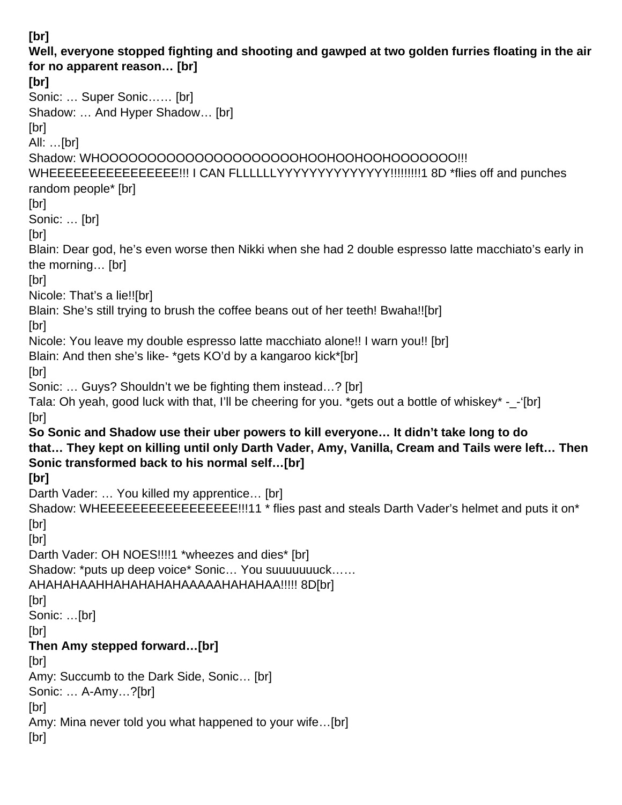**[br] Well, everyone stopped fighting and shooting and gawped at two golden furries floating in the air for no apparent reason… [br] [br]** Sonic: … Super Sonic…… [br] Shadow: … And Hyper Shadow… [br] [br] All: …[br] Shadow: WHOOOOOOOOOOOOOOOOOOOOOHOOHOOHOOHOOOOOOO!!! WHEEEEEEEEEEEEEEEEE!!! I CAN FLLLLLLYYYYYYYYYYYYYY!!!!!!!!!!1 8D \*flies off and punches random people\* [br] [br] Sonic: … [br] [br] Blain: Dear god, he's even worse then Nikki when she had 2 double espresso latte macchiato's early in the morning… [br] [br] Nicole: That's a lie!![br] Blain: She's still trying to brush the coffee beans out of her teeth! Bwaha!![br] [br] Nicole: You leave my double espresso latte macchiato alone!! I warn you!! [br] Blain: And then she's like- \*gets KO'd by a kangaroo kick\*[br] [br] Sonic: … Guys? Shouldn't we be fighting them instead…? [br] Tala: Oh yeah, good luck with that, I'll be cheering for you. \*gets out a bottle of whiskey\* -\_-'[br] [br] **So Sonic and Shadow use their uber powers to kill everyone… It didn't take long to do that… They kept on killing until only Darth Vader, Amy, Vanilla, Cream and Tails were left… Then Sonic transformed back to his normal self…[br] [br]** Darth Vader: … You killed my apprentice… [br] Shadow: WHEEEEEEEEEEEEEEEEEE!!!11 \* flies past and steals Darth Vader's helmet and puts it on\* [br] [br] Darth Vader: OH NOES!!!!1 \*wheezes and dies\* [br] Shadow: \*puts up deep voice\* Sonic… You suuuuuuuck…… AHAHAHAAHHAHAHAHAHAAAAAHAHAHAA!!!!! 8D[br] [br] Sonic: …[br] [br] **Then Amy stepped forward…[br]** [br] Amy: Succumb to the Dark Side, Sonic… [br] Sonic: … A-Amy…?[br] [br] Amy: Mina never told you what happened to your wife…[br] [br]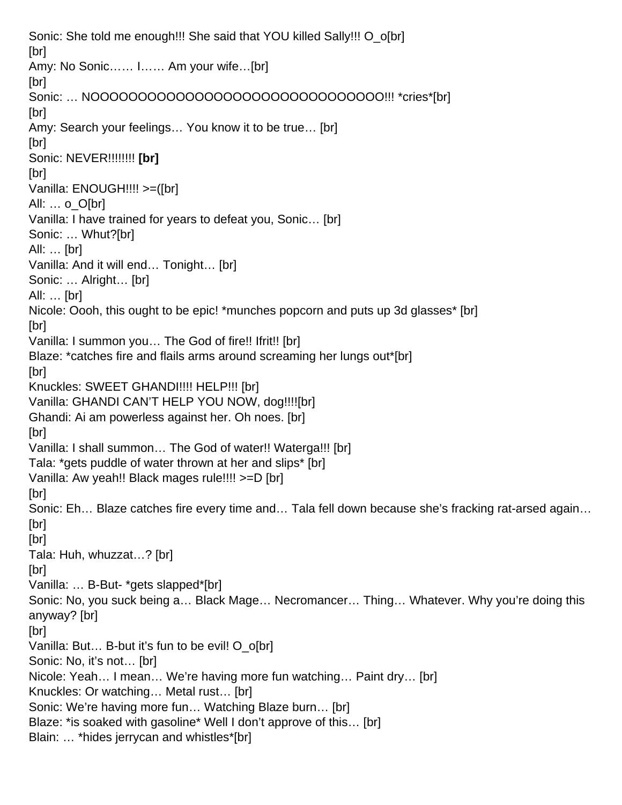Sonic: She told me enough!!! She said that YOU killed Sally!!! O\_o[br] [br] Amy: No Sonic…… I…… Am your wife…[br] [br] Sonic: ... NOOOOOOOOOOOOOOOOOOOOOOOOOOOOOOOO!!! \*cries\*[br] [br] Amy: Search your feelings… You know it to be true… [br] [br] Sonic: NEVER!!!!!!!! **[br]** [br] Vanilla: ENOUGH!!!! >=([br] All: … o\_O[br] Vanilla: I have trained for years to defeat you, Sonic… [br] Sonic: … Whut?[br] All: … [br] Vanilla: And it will end… Tonight… [br] Sonic: … Alright… [br] All: … [br] Nicole: Oooh, this ought to be epic! \*munches popcorn and puts up 3d glasses\* [br] [br] Vanilla: I summon you… The God of fire!! Ifrit!! [br] Blaze: \*catches fire and flails arms around screaming her lungs out\*[br] [br] Knuckles: SWEET GHANDI!!!! HELP!!! [br] Vanilla: GHANDI CAN'T HELP YOU NOW, dog!!!![br] Ghandi: Ai am powerless against her. Oh noes. [br] [br] Vanilla: I shall summon… The God of water!! Waterga!!! [br] Tala: \*gets puddle of water thrown at her and slips\* [br] Vanilla: Aw yeah!! Black mages rule!!!! >=D [br] [br] Sonic: Eh… Blaze catches fire every time and… Tala fell down because she's fracking rat-arsed again… [br] [br] Tala: Huh, whuzzat…? [br] [br] Vanilla: … B-But- \*gets slapped\*[br] Sonic: No, you suck being a… Black Mage… Necromancer… Thing… Whatever. Why you're doing this anyway? [br] [br] Vanilla: But… B-but it's fun to be evil! O\_o[br] Sonic: No, it's not... [br] Nicole: Yeah… I mean… We're having more fun watching… Paint dry… [br] Knuckles: Or watching… Metal rust… [br] Sonic: We're having more fun… Watching Blaze burn… [br] Blaze: \*is soaked with gasoline\* Well I don't approve of this… [br] Blain: … \*hides jerrycan and whistles\*[br]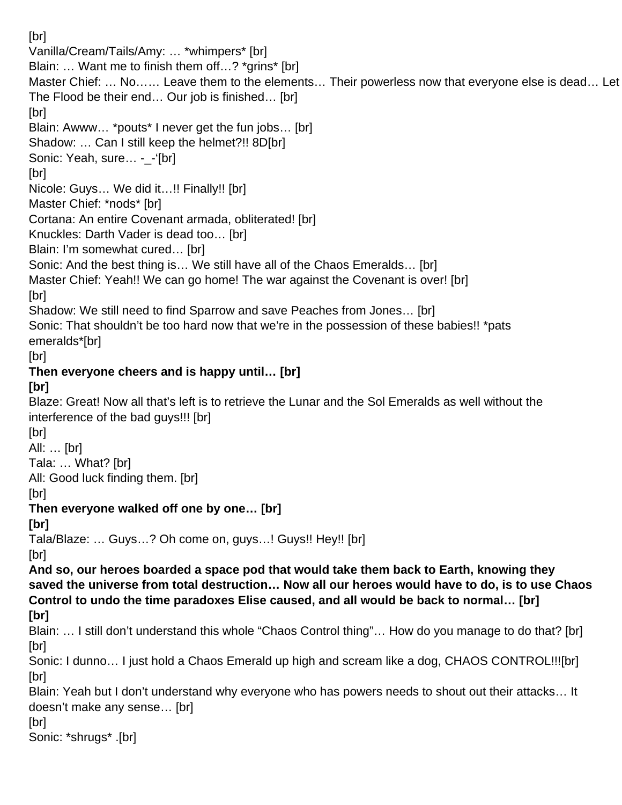[br] Vanilla/Cream/Tails/Amy: … \*whimpers\* [br] Blain: ... Want me to finish them off...? \*grins\* [br] Master Chief: … No…… Leave them to the elements… Their powerless now that everyone else is dead… Let The Flood be their end… Our job is finished… [br] [br] Blain: Awww… \*pouts\* I never get the fun jobs… [br] Shadow: … Can I still keep the helmet?!! 8D[br] Sonic: Yeah, sure... - -'[br] [br] Nicole: Guys… We did it…!! Finally!! [br] Master Chief: \*nods\* [br] Cortana: An entire Covenant armada, obliterated! [br] Knuckles: Darth Vader is dead too… [br] Blain: I'm somewhat cured… [br] Sonic: And the best thing is... We still have all of the Chaos Emeralds... [br] Master Chief: Yeah!! We can go home! The war against the Covenant is over! [br] [br] Shadow: We still need to find Sparrow and save Peaches from Jones… [br] Sonic: That shouldn't be too hard now that we're in the possession of these babies!! \*pats emeralds\*[br] [br] **Then everyone cheers and is happy until… [br] [br]** Blaze: Great! Now all that's left is to retrieve the Lunar and the Sol Emeralds as well without the interference of the bad guys!!! [br] [br] All: … [br] Tala: … What? [br] All: Good luck finding them. [br] [br] **Then everyone walked off one by one… [br] [br]** Tala/Blaze: … Guys…? Oh come on, guys…! Guys!! Hey!! [br] [br] **And so, our heroes boarded a space pod that would take them back to Earth, knowing they saved the universe from total destruction… Now all our heroes would have to do, is to use Chaos Control to undo the time paradoxes Elise caused, and all would be back to normal… [br] [br]** Blain: … I still don't understand this whole "Chaos Control thing"… How do you manage to do that? [br] [br] Sonic: I dunno… I just hold a Chaos Emerald up high and scream like a dog, CHAOS CONTROL!!![br] [br] Blain: Yeah but I don't understand why everyone who has powers needs to shout out their attacks… It doesn't make any sense… [br] [br] Sonic: \*shrugs\* .[br]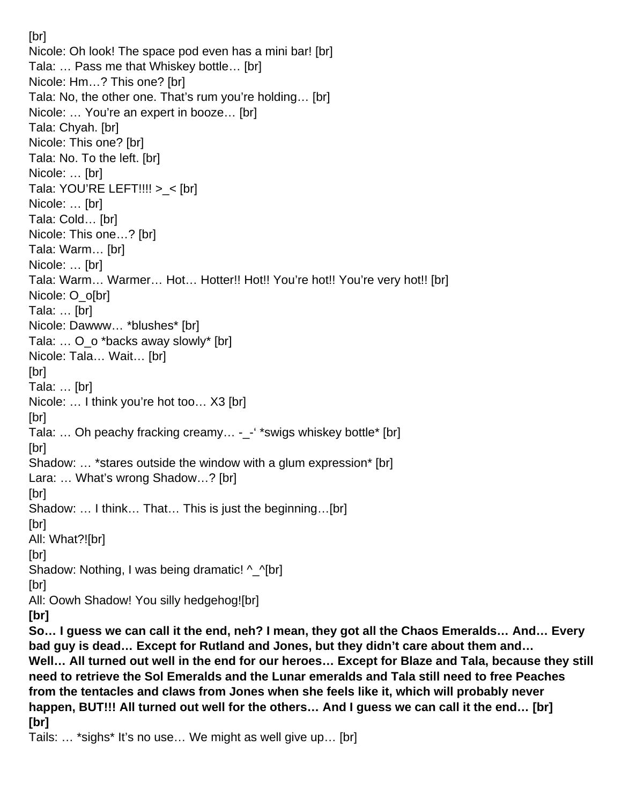[br] Nicole: Oh look! The space pod even has a mini bar! [br] Tala: … Pass me that Whiskey bottle… [br] Nicole: Hm…? This one? [br] Tala: No, the other one. That's rum you're holding… [br] Nicole: … You're an expert in booze… [br] Tala: Chyah. [br] Nicole: This one? [br] Tala: No. To the left. [br] Nicole: … [br] Tala: YOU'RE LEFT!!!! >\_< [br] Nicole: … [br] Tala: Cold… [br] Nicole: This one…? [br] Tala: Warm… [br] Nicole: … [br] Tala: Warm… Warmer… Hot… Hotter!! Hot!! You're hot!! You're very hot!! [br] Nicole: O\_o[br] Tala: … [br] Nicole: Dawww… \*blushes\* [br] Tala: ... O o \*backs away slowly\* [br] Nicole: Tala… Wait… [br] [br] Tala: … [br] Nicole: … I think you're hot too… X3 [br] [br] Tala: ... Oh peachy fracking creamy... -\_-' \*swigs whiskey bottle\* [br] [br] Shadow: … \*stares outside the window with a glum expression\* [br] Lara: … What's wrong Shadow…? [br] [br] Shadow: … I think… That… This is just the beginning…[br] [br] All: What?![br] [br] Shadow: Nothing, I was being dramatic! ^\_^[br] [br] All: Oowh Shadow! You silly hedgehog![br] **[br] So… I guess we can call it the end, neh? I mean, they got all the Chaos Emeralds… And… Every bad guy is dead… Except for Rutland and Jones, but they didn't care about them and… Well… All turned out well in the end for our heroes… Except for Blaze and Tala, because they still need to retrieve the Sol Emeralds and the Lunar emeralds and Tala still need to free Peaches from the tentacles and claws from Jones when she feels like it, which will probably never happen, BUT!!! All turned out well for the others… And I guess we can call it the end… [br] [br]**

Tails: … \*sighs\* It's no use… We might as well give up… [br]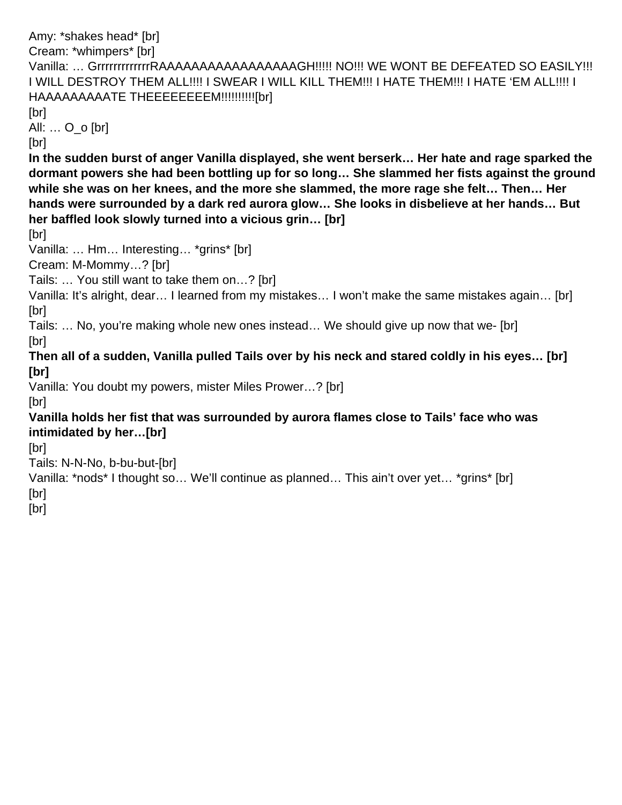Amy: \*shakes head\* [br] Cream: \*whimpers\* [br] Vanilla: ... GrrrrrrrrrrrRAAAAAAAAAAAAAAAAAAGH!!!!! NO!!! WE WONT BE DEFEATED SO EASILY!!! I WILL DESTROY THEM ALL!!!! I SWEAR I WILL KILL THEM!!! I HATE THEM!!! I HATE 'EM ALL!!!! I HAAAAAAAAATE THEEEEEEEEM!!!!!!!!!!![br] [br] All: … O\_o [br] [br] **In the sudden burst of anger Vanilla displayed, she went berserk… Her hate and rage sparked the dormant powers she had been bottling up for so long… She slammed her fists against the ground while she was on her knees, and the more she slammed, the more rage she felt… Then… Her hands were surrounded by a dark red aurora glow… She looks in disbelieve at her hands… But her baffled look slowly turned into a vicious grin… [br]** [br] Vanilla: … Hm… Interesting… \*grins\* [br] Cream: M-Mommy…? [br] Tails: … You still want to take them on…? [br] Vanilla: It's alright, dear… I learned from my mistakes… I won't make the same mistakes again… [br] [br] Tails: … No, you're making whole new ones instead… We should give up now that we- [br] [br] **Then all of a sudden, Vanilla pulled Tails over by his neck and stared coldly in his eyes… [br] [br]** Vanilla: You doubt my powers, mister Miles Prower…? [br] [br] **Vanilla holds her fist that was surrounded by aurora flames close to Tails' face who was intimidated by her…[br]** [br] Tails: N-N-No, b-bu-but-[br] Vanilla: \*nods\* I thought so… We'll continue as planned… This ain't over yet… \*grins\* [br] [br] [br]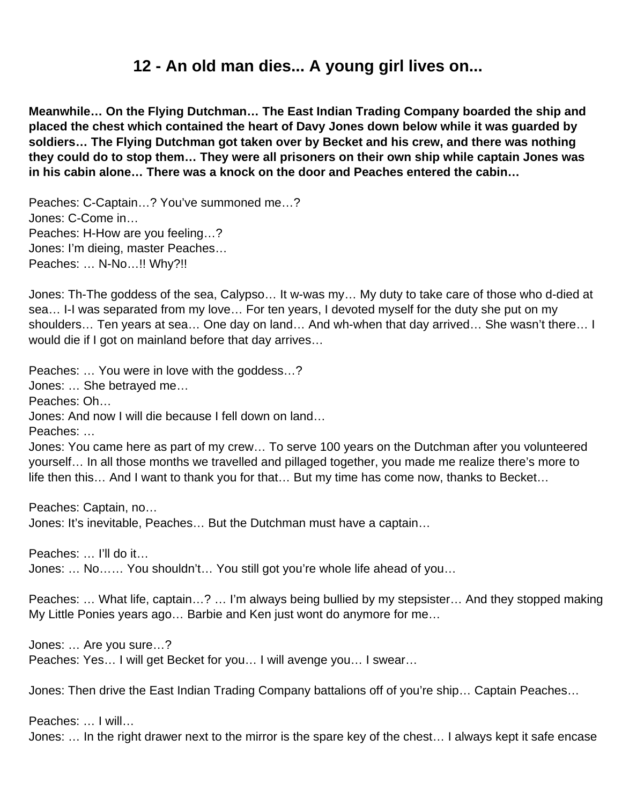# **12 - An old man dies... A young girl lives on...**

**Meanwhile… On the Flying Dutchman… The East Indian Trading Company boarded the ship and placed the chest which contained the heart of Davy Jones down below while it was guarded by soldiers… The Flying Dutchman got taken over by Becket and his crew, and there was nothing they could do to stop them… They were all prisoners on their own ship while captain Jones was in his cabin alone… There was a knock on the door and Peaches entered the cabin…**

Peaches: C-Captain…? You've summoned me…? Jones: C-Come in… Peaches: H-How are you feeling…? Jones: I'm dieing, master Peaches… Peaches: … N-No…!! Why?!!

Jones: Th-The goddess of the sea, Calypso… It w-was my… My duty to take care of those who d-died at sea… I-I was separated from my love… For ten years, I devoted myself for the duty she put on my shoulders… Ten years at sea… One day on land… And wh-when that day arrived… She wasn't there… I would die if I got on mainland before that day arrives…

Peaches: … You were in love with the goddess…? Jones: … She betrayed me… Peaches: Oh… Jones: And now I will die because I fell down on land… Peaches: … Jones: You came here as part of my crew… To serve 100 years on the Dutchman after you volunteered yourself… In all those months we travelled and pillaged together, you made me realize there's more to life then this… And I want to thank you for that… But my time has come now, thanks to Becket…

Peaches: Captain, no…

Jones: It's inevitable, Peaches… But the Dutchman must have a captain…

Peaches: … I'll do it…

Jones: … No…… You shouldn't… You still got you're whole life ahead of you…

Peaches: … What life, captain…? … I'm always being bullied by my stepsister… And they stopped making My Little Ponies years ago… Barbie and Ken just wont do anymore for me…

Jones: … Are you sure…? Peaches: Yes… I will get Becket for you… I will avenge you… I swear…

Jones: Then drive the East Indian Trading Company battalions off of you're ship… Captain Peaches…

Peaches: … I will… Jones: … In the right drawer next to the mirror is the spare key of the chest… I always kept it safe encase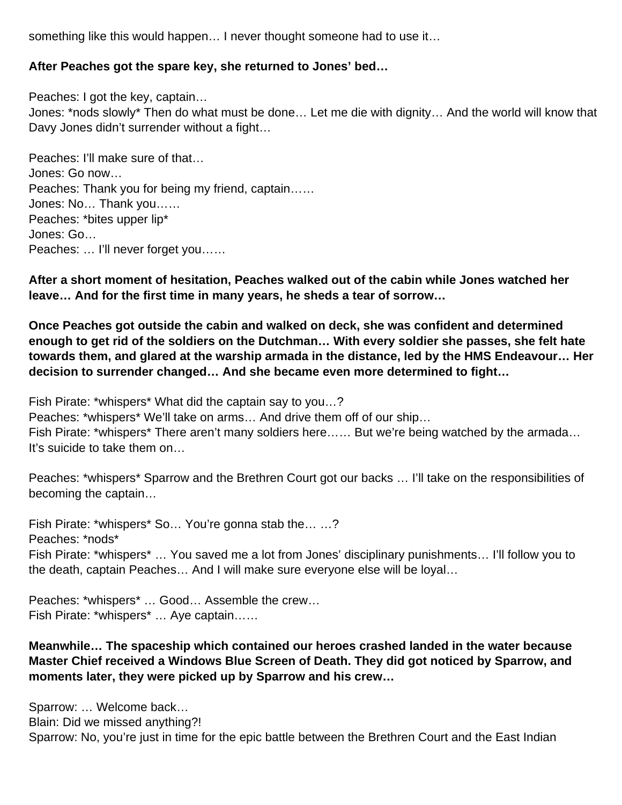something like this would happen… I never thought someone had to use it…

#### **After Peaches got the spare key, she returned to Jones' bed…**

Peaches: I got the key, captain… Jones: \*nods slowly\* Then do what must be done… Let me die with dignity… And the world will know that Davy Jones didn't surrender without a fight…

Peaches: I'll make sure of that… Jones: Go now… Peaches: Thank you for being my friend, captain…… Jones: No… Thank you…… Peaches: \*bites upper lip\* Jones: Go… Peaches: … I'll never forget you……

**After a short moment of hesitation, Peaches walked out of the cabin while Jones watched her leave… And for the first time in many years, he sheds a tear of sorrow…**

**Once Peaches got outside the cabin and walked on deck, she was confident and determined enough to get rid of the soldiers on the Dutchman… With every soldier she passes, she felt hate towards them, and glared at the warship armada in the distance, led by the HMS Endeavour… Her decision to surrender changed… And she became even more determined to fight…** 

Fish Pirate: \*whispers\* What did the captain say to you…? Peaches: \*whispers\* We'll take on arms… And drive them off of our ship… Fish Pirate: \*whispers\* There aren't many soldiers here…… But we're being watched by the armada… It's suicide to take them on…

Peaches: \*whispers\* Sparrow and the Brethren Court got our backs … I'll take on the responsibilities of becoming the captain…

Fish Pirate: \*whispers\* So… You're gonna stab the… …? Peaches: \*nods\* Fish Pirate: \*whispers\* … You saved me a lot from Jones' disciplinary punishments… I'll follow you to the death, captain Peaches… And I will make sure everyone else will be loyal…

Peaches: \*whispers\* … Good… Assemble the crew… Fish Pirate: \*whispers\* … Aye captain……

#### **Meanwhile… The spaceship which contained our heroes crashed landed in the water because Master Chief received a Windows Blue Screen of Death. They did got noticed by Sparrow, and moments later, they were picked up by Sparrow and his crew…**

Sparrow: … Welcome back… Blain: Did we missed anything?! Sparrow: No, you're just in time for the epic battle between the Brethren Court and the East Indian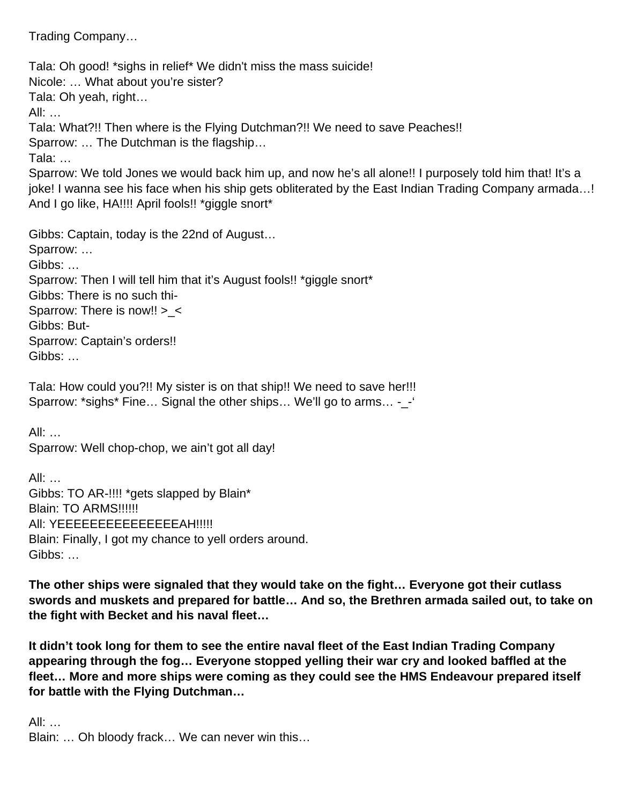Trading Company…

Tala: Oh good! \*sighs in relief\* We didn't miss the mass suicide! Nicole: … What about you're sister? Tala: Oh yeah, right… All: … Tala: What?!! Then where is the Flying Dutchman?!! We need to save Peaches!! Sparrow: … The Dutchman is the flagship… Tala: … Sparrow: We told Jones we would back him up, and now he's all alone!! I purposely told him that! It's a joke! I wanna see his face when his ship gets obliterated by the East Indian Trading Company armada...!

And I go like, HA!!!! April fools!! \*giggle snort\*

Gibbs: Captain, today is the 22nd of August…

Sparrow: … Gibbs: … Sparrow: Then I will tell him that it's August fools!! \*giggle snort\* Gibbs: There is no such thi-Sparrow: There is now!! >\_< Gibbs: But-Sparrow: Captain's orders!! Gibbs: …

Tala: How could you?!! My sister is on that ship!! We need to save her!!! Sparrow: \*sighs\* Fine... Signal the other ships... We'll go to arms... -\_-'

All: … Sparrow: Well chop-chop, we ain't got all day!

All: … Gibbs: TO AR-!!!! \*gets slapped by Blain\* Blain: TO ARMS!!!!!! AII: YEEEEEEEEEEEEEEEAH!!!!! Blain: Finally, I got my chance to yell orders around. Gibbs: …

**The other ships were signaled that they would take on the fight… Everyone got their cutlass swords and muskets and prepared for battle… And so, the Brethren armada sailed out, to take on the fight with Becket and his naval fleet…**

**It didn't took long for them to see the entire naval fleet of the East Indian Trading Company appearing through the fog… Everyone stopped yelling their war cry and looked baffled at the fleet… More and more ships were coming as they could see the HMS Endeavour prepared itself for battle with the Flying Dutchman…** 

All: … Blain: … Oh bloody frack… We can never win this…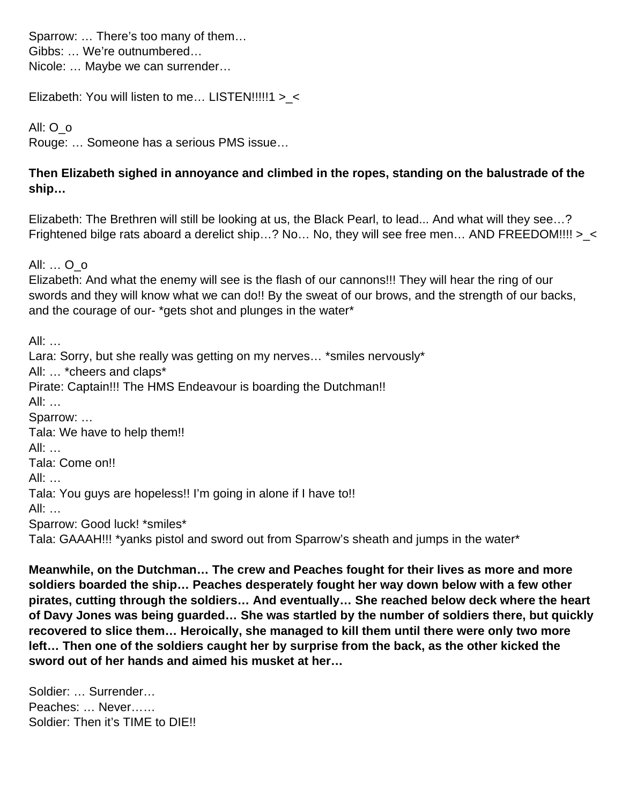Sparrow: … There's too many of them… Gibbs: … We're outnumbered… Nicole: … Maybe we can surrender…

Elizabeth: You will listen to me… LISTEN!!!!!1 >\_<

All: O\_o

Rouge: … Someone has a serious PMS issue…

#### **Then Elizabeth sighed in annoyance and climbed in the ropes, standing on the balustrade of the ship…**

Elizabeth: The Brethren will still be looking at us, the Black Pearl, to lead... And what will they see…? Frightened bilge rats aboard a derelict ship...? No... No, they will see free men... AND FREEDOM!!!! >\_<

All: … O\_o

Elizabeth: And what the enemy will see is the flash of our cannons!!! They will hear the ring of our swords and they will know what we can do!! By the sweat of our brows, and the strength of our backs, and the courage of our- \*gets shot and plunges in the water\*

All: … Lara: Sorry, but she really was getting on my nerves... \*smiles nervously\* All: … \*cheers and claps\* Pirate: Captain!!! The HMS Endeavour is boarding the Dutchman!! All: … Sparrow: … Tala: We have to help them!! All: … Tala: Come on!! All: … Tala: You guys are hopeless!! I'm going in alone if I have to!! All: … Sparrow: Good luck! \*smiles\* Tala: GAAAH!!! \*yanks pistol and sword out from Sparrow's sheath and jumps in the water\*

**Meanwhile, on the Dutchman… The crew and Peaches fought for their lives as more and more soldiers boarded the ship… Peaches desperately fought her way down below with a few other pirates, cutting through the soldiers… And eventually… She reached below deck where the heart of Davy Jones was being guarded… She was startled by the number of soldiers there, but quickly recovered to slice them… Heroically, she managed to kill them until there were only two more left… Then one of the soldiers caught her by surprise from the back, as the other kicked the sword out of her hands and aimed his musket at her…** 

Soldier: … Surrender… Peaches: … Never…… Soldier: Then it's TIME to DIE!!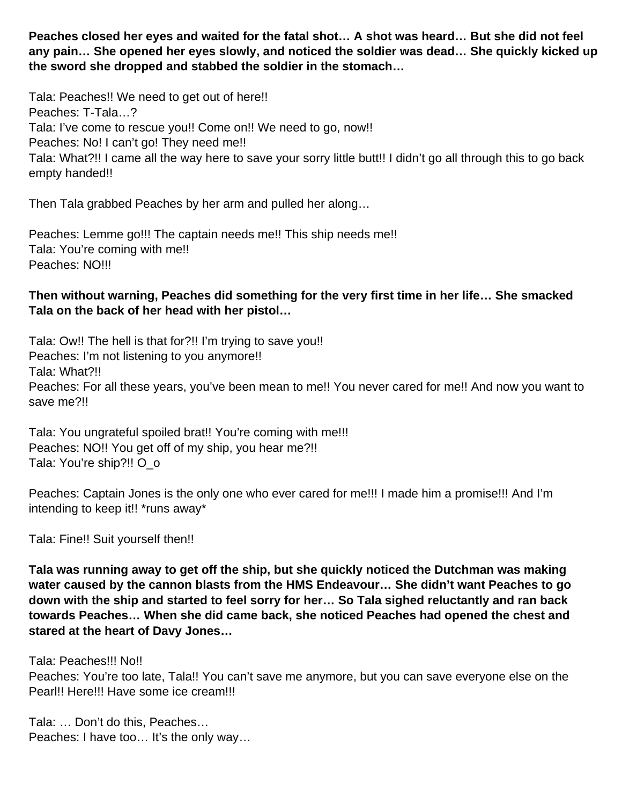**Peaches closed her eyes and waited for the fatal shot… A shot was heard… But she did not feel any pain… She opened her eyes slowly, and noticed the soldier was dead… She quickly kicked up the sword she dropped and stabbed the soldier in the stomach…** 

Tala: Peaches!! We need to get out of here!! Peaches: T-Tala…? Tala: I've come to rescue you!! Come on!! We need to go, now!! Peaches: No! I can't go! They need me!! Tala: What?!! I came all the way here to save your sorry little butt!! I didn't go all through this to go back empty handed!!

Then Tala grabbed Peaches by her arm and pulled her along…

Peaches: Lemme go!!! The captain needs me!! This ship needs me!! Tala: You're coming with me!! Peaches: NO!!!

#### **Then without warning, Peaches did something for the very first time in her life… She smacked Tala on the back of her head with her pistol…**

Tala: Ow!! The hell is that for?!! I'm trying to save you!! Peaches: I'm not listening to you anymore!! Tala: What?!! Peaches: For all these years, you've been mean to me!! You never cared for me!! And now you want to save me?!!

Tala: You ungrateful spoiled brat!! You're coming with me!!! Peaches: NO!! You get off of my ship, you hear me?!! Tala: You're ship?!! O o

Peaches: Captain Jones is the only one who ever cared for me!!! I made him a promise!!! And I'm intending to keep it!! \*runs away\*

Tala: Fine!! Suit yourself then!!

**Tala was running away to get off the ship, but she quickly noticed the Dutchman was making water caused by the cannon blasts from the HMS Endeavour… She didn't want Peaches to go down with the ship and started to feel sorry for her… So Tala sighed reluctantly and ran back towards Peaches… When she did came back, she noticed Peaches had opened the chest and stared at the heart of Davy Jones…**

Tala: Peaches!!! No!!

Peaches: You're too late, Tala!! You can't save me anymore, but you can save everyone else on the Pearl!! Here!!! Have some ice cream!!!

Tala: … Don't do this, Peaches… Peaches: I have too... It's the only way...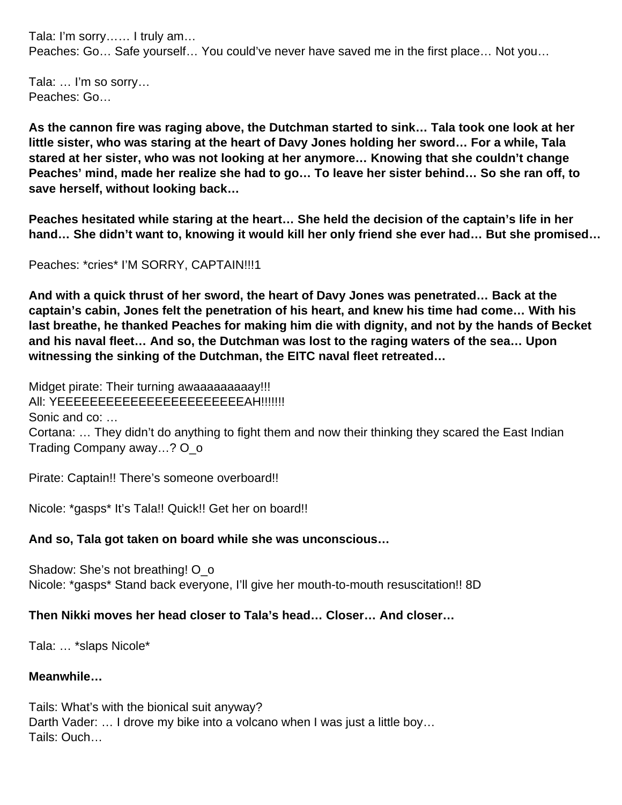Tala: I'm sorry…… I truly am… Peaches: Go… Safe yourself… You could've never have saved me in the first place… Not you…

Tala: … I'm so sorry… Peaches: Go…

**As the cannon fire was raging above, the Dutchman started to sink… Tala took one look at her little sister, who was staring at the heart of Davy Jones holding her sword… For a while, Tala stared at her sister, who was not looking at her anymore… Knowing that she couldn't change Peaches' mind, made her realize she had to go… To leave her sister behind… So she ran off, to save herself, without looking back…**

**Peaches hesitated while staring at the heart… She held the decision of the captain's life in her hand… She didn't want to, knowing it would kill her only friend she ever had… But she promised…** 

Peaches: \*cries\* I'M SORRY, CAPTAIN!!!1

**And with a quick thrust of her sword, the heart of Davy Jones was penetrated… Back at the captain's cabin, Jones felt the penetration of his heart, and knew his time had come… With his last breathe, he thanked Peaches for making him die with dignity, and not by the hands of Becket and his naval fleet… And so, the Dutchman was lost to the raging waters of the sea… Upon witnessing the sinking of the Dutchman, the EITC naval fleet retreated…** 

Midget pirate: Their turning awaaaaaaaaaay!!! AII: YEEEEEEEEEEEEEEEEEEEEEEEEAH!!!!!!! Sonic and co: … Cortana: … They didn't do anything to fight them and now their thinking they scared the East Indian Trading Company away…? O\_o

Pirate: Captain!! There's someone overboard!!

Nicole: \*gasps\* It's Tala!! Quick!! Get her on board!!

#### **And so, Tala got taken on board while she was unconscious…**

Shadow: She's not breathing! O\_o Nicole: \*gasps\* Stand back everyone, I'll give her mouth-to-mouth resuscitation!! 8D

#### **Then Nikki moves her head closer to Tala's head… Closer… And closer…**

Tala: … \*slaps Nicole\*

#### **Meanwhile…**

Tails: What's with the bionical suit anyway? Darth Vader: ... I drove my bike into a volcano when I was just a little boy... Tails: Ouch…